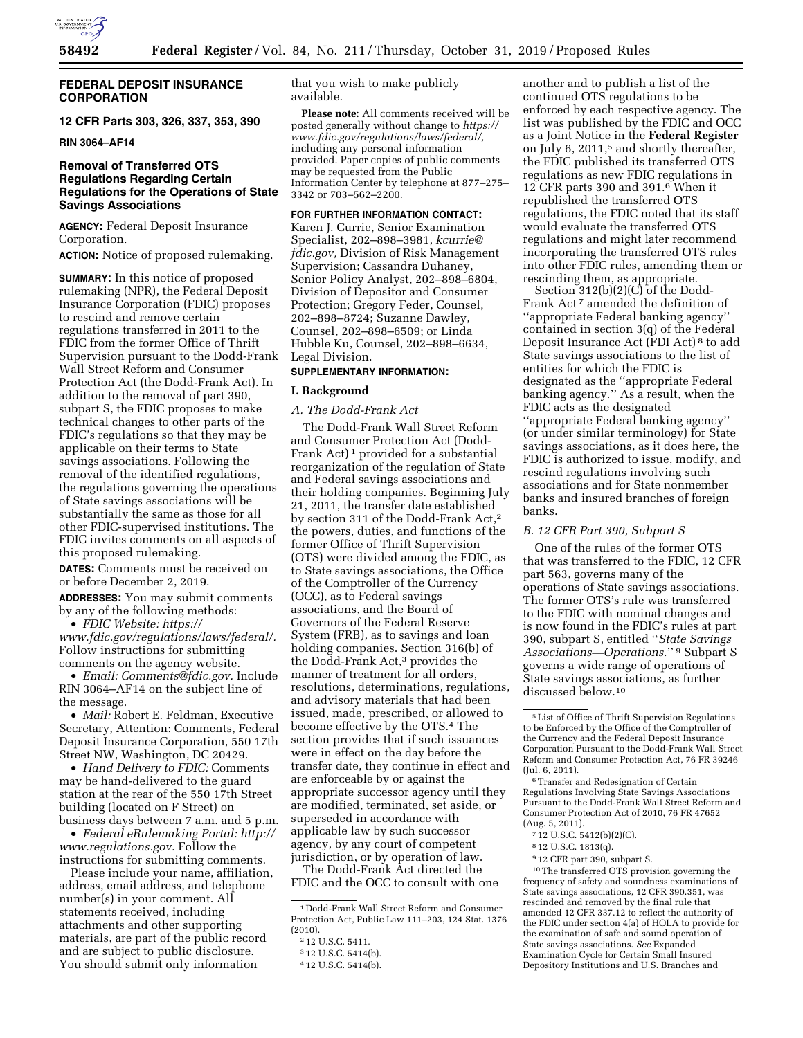

## **FEDERAL DEPOSIT INSURANCE CORPORATION**

**12 CFR Parts 303, 326, 337, 353, 390** 

**RIN 3064–AF14** 

# **Removal of Transferred OTS Regulations Regarding Certain Regulations for the Operations of State Savings Associations**

**AGENCY:** Federal Deposit Insurance Corporation.

**ACTION:** Notice of proposed rulemaking.

**SUMMARY:** In this notice of proposed rulemaking (NPR), the Federal Deposit Insurance Corporation (FDIC) proposes to rescind and remove certain regulations transferred in 2011 to the FDIC from the former Office of Thrift Supervision pursuant to the Dodd-Frank Wall Street Reform and Consumer Protection Act (the Dodd-Frank Act). In addition to the removal of part 390, subpart S, the FDIC proposes to make technical changes to other parts of the FDIC's regulations so that they may be applicable on their terms to State savings associations. Following the removal of the identified regulations, the regulations governing the operations of State savings associations will be substantially the same as those for all other FDIC-supervised institutions. The FDIC invites comments on all aspects of this proposed rulemaking.

**DATES:** Comments must be received on or before December 2, 2019.

**ADDRESSES:** You may submit comments by any of the following methods:

• *FDIC Website: [https://](https://www.fdic.gov/regulations/laws/federal/) [www.fdic.gov/regulations/laws/federal/.](https://www.fdic.gov/regulations/laws/federal/)*  Follow instructions for submitting comments on the agency website.

• *Email: [Comments@fdic.gov.](mailto:Comments@fdic.gov)* Include RIN 3064–AF14 on the subject line of the message.

• *Mail:* Robert E. Feldman, Executive Secretary, Attention: Comments, Federal Deposit Insurance Corporation, 550 17th Street NW, Washington, DC 20429.

• *Hand Delivery to FDIC:* Comments may be hand-delivered to the guard station at the rear of the 550 17th Street building (located on F Street) on business days between 7 a.m. and 5 p.m.

• *Federal eRulemaking Portal: [http://](http://www.regulations.gov)  [www.regulations.gov.](http://www.regulations.gov)* Follow the instructions for submitting comments.

Please include your name, affiliation, address, email address, and telephone number(s) in your comment. All statements received, including attachments and other supporting materials, are part of the public record and are subject to public disclosure. You should submit only information

that you wish to make publicly available.

**Please note:** All comments received will be posted generally without change to *[https://](https://www.fdic.gov/regulations/laws/federal/) [www.fdic.gov/regulations/laws/federal/,](https://www.fdic.gov/regulations/laws/federal/)*  including any personal information provided. Paper copies of public comments may be requested from the Public Information Center by telephone at 877–275– 3342 or 703–562–2200.

# **FOR FURTHER INFORMATION CONTACT:**

Karen J. Currie, Senior Examination Specialist, 202–898–3981, *[kcurrie@](mailto:kcurrie@fdic.gov) [fdic.gov,](mailto:kcurrie@fdic.gov)* Division of Risk Management Supervision; Cassandra Duhaney, Senior Policy Analyst, 202–898–6804, Division of Depositor and Consumer Protection; Gregory Feder, Counsel, 202–898–8724; Suzanne Dawley, Counsel, 202–898–6509; or Linda Hubble Ku, Counsel, 202–898–6634, Legal Division.

## **SUPPLEMENTARY INFORMATION:**

### **I. Background**

### *A. The Dodd-Frank Act*

The Dodd-Frank Wall Street Reform and Consumer Protection Act (Dodd-Frank Act)<sup>1</sup> provided for a substantial reorganization of the regulation of State and Federal savings associations and their holding companies. Beginning July 21, 2011, the transfer date established by section 311 of the Dodd-Frank Act,2 the powers, duties, and functions of the former Office of Thrift Supervision (OTS) were divided among the FDIC, as to State savings associations, the Office of the Comptroller of the Currency (OCC), as to Federal savings associations, and the Board of Governors of the Federal Reserve System (FRB), as to savings and loan holding companies. Section 316(b) of the Dodd-Frank Act,3 provides the manner of treatment for all orders, resolutions, determinations, regulations, and advisory materials that had been issued, made, prescribed, or allowed to become effective by the OTS.4 The section provides that if such issuances were in effect on the day before the transfer date, they continue in effect and are enforceable by or against the appropriate successor agency until they are modified, terminated, set aside, or superseded in accordance with applicable law by such successor agency, by any court of competent jurisdiction, or by operation of law. The Dodd-Frank Act directed the

FDIC and the OCC to consult with one

another and to publish a list of the continued OTS regulations to be enforced by each respective agency. The list was published by the FDIC and OCC as a Joint Notice in the **Federal Register**  on July 6, 2011,<sup>5</sup> and shortly thereafter, the FDIC published its transferred OTS regulations as new FDIC regulations in 12 CFR parts 390 and 391.6 When it republished the transferred OTS regulations, the FDIC noted that its staff would evaluate the transferred OTS regulations and might later recommend incorporating the transferred OTS rules into other FDIC rules, amending them or rescinding them, as appropriate.

Section 312(b)(2)(C) of the Dodd-Frank Act<sup>7</sup> amended the definition of ''appropriate Federal banking agency'' contained in section 3(q) of the Federal Deposit Insurance Act (FDI Act) 8 to add State savings associations to the list of entities for which the FDIC is designated as the ''appropriate Federal banking agency.'' As a result, when the FDIC acts as the designated ''appropriate Federal banking agency'' (or under similar terminology) for State savings associations, as it does here, the FDIC is authorized to issue, modify, and rescind regulations involving such associations and for State nonmember banks and insured branches of foreign banks.

# *B. 12 CFR Part 390, Subpart S*

One of the rules of the former OTS that was transferred to the FDIC, 12 CFR part 563, governs many of the operations of State savings associations. The former OTS's rule was transferred to the FDIC with nominal changes and is now found in the FDIC's rules at part 390, subpart S, entitled ''*State Savings Associations—Operations.*'' 9 Subpart S governs a wide range of operations of State savings associations, as further discussed below.10

6Transfer and Redesignation of Certain Regulations Involving State Savings Associations Pursuant to the Dodd-Frank Wall Street Reform and Consumer Protection Act of 2010, 76 FR 47652 (Aug. 5, 2011).

- 8 12 U.S.C. 1813(q).
- 9 12 CFR part 390, subpart S.

10The transferred OTS provision governing the frequency of safety and soundness examinations of State savings associations, 12 CFR 390.351, was rescinded and removed by the final rule that amended 12 CFR 337.12 to reflect the authority of the FDIC under section 4(a) of HOLA to provide for the examination of safe and sound operation of State savings associations. *See* Expanded Examination Cycle for Certain Small Insured Depository Institutions and U.S. Branches and

<sup>1</sup> Dodd-Frank Wall Street Reform and Consumer Protection Act, Public Law 111–203, 124 Stat. 1376 (2010).

<sup>2</sup> 12 U.S.C. 5411.

<sup>3</sup> 12 U.S.C. 5414(b).

<sup>4</sup> 12 U.S.C. 5414(b).

<sup>5</sup>List of Office of Thrift Supervision Regulations to be Enforced by the Office of the Comptroller of the Currency and the Federal Deposit Insurance Corporation Pursuant to the Dodd-Frank Wall Street Reform and Consumer Protection Act, 76 FR 39246 (Jul. 6, 2011).

<sup>7</sup> 12 U.S.C. 5412(b)(2)(C).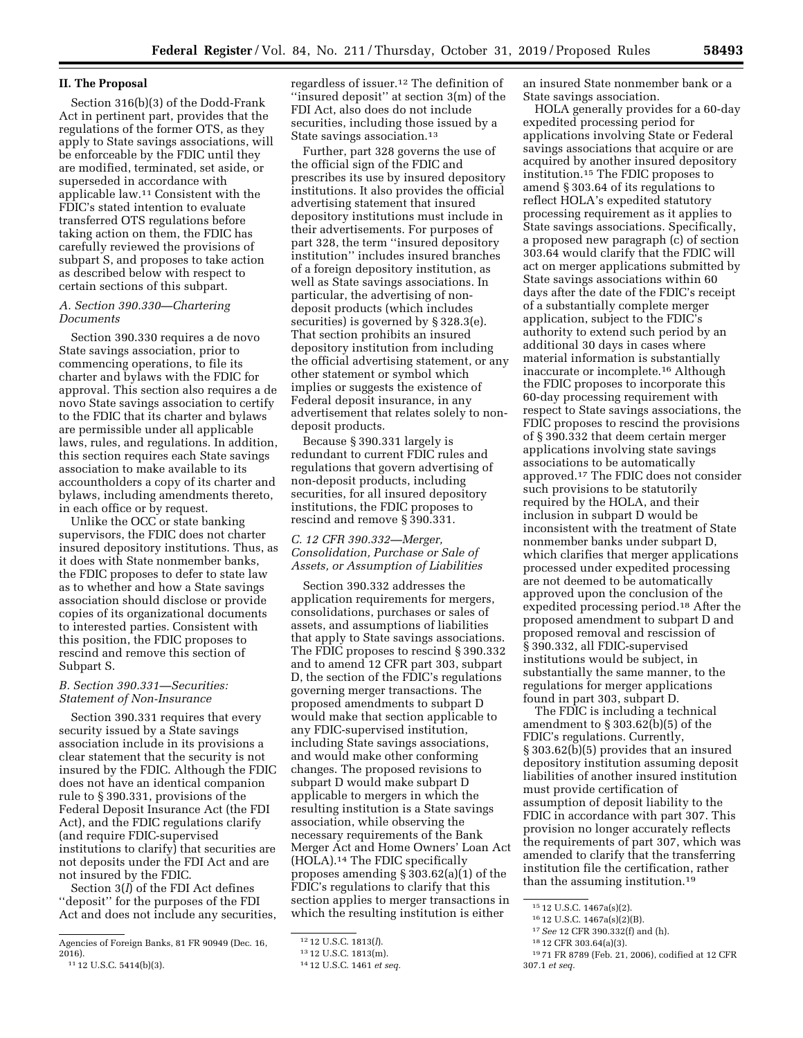# **II. The Proposal**

Section 316(b)(3) of the Dodd-Frank Act in pertinent part, provides that the regulations of the former OTS, as they apply to State savings associations, will be enforceable by the FDIC until they are modified, terminated, set aside, or superseded in accordance with applicable law.11 Consistent with the FDIC's stated intention to evaluate transferred OTS regulations before taking action on them, the FDIC has carefully reviewed the provisions of subpart S, and proposes to take action as described below with respect to certain sections of this subpart.

### *A. Section 390.330—Chartering Documents*

Section 390.330 requires a de novo State savings association, prior to commencing operations, to file its charter and bylaws with the FDIC for approval. This section also requires a de novo State savings association to certify to the FDIC that its charter and bylaws are permissible under all applicable laws, rules, and regulations. In addition, this section requires each State savings association to make available to its accountholders a copy of its charter and bylaws, including amendments thereto, in each office or by request.

Unlike the OCC or state banking supervisors, the FDIC does not charter insured depository institutions. Thus, as it does with State nonmember banks, the FDIC proposes to defer to state law as to whether and how a State savings association should disclose or provide copies of its organizational documents to interested parties. Consistent with this position, the FDIC proposes to rescind and remove this section of Subpart S.

### *B. Section 390.331—Securities: Statement of Non-Insurance*

Section 390.331 requires that every security issued by a State savings association include in its provisions a clear statement that the security is not insured by the FDIC. Although the FDIC does not have an identical companion rule to § 390.331, provisions of the Federal Deposit Insurance Act (the FDI Act), and the FDIC regulations clarify (and require FDIC-supervised institutions to clarify) that securities are not deposits under the FDI Act and are not insured by the FDIC.

Section 3(*l*) of the FDI Act defines ''deposit'' for the purposes of the FDI Act and does not include any securities, regardless of issuer.12 The definition of ''insured deposit'' at section 3(m) of the FDI Act, also does do not include securities, including those issued by a State savings association.13

Further, part 328 governs the use of the official sign of the FDIC and prescribes its use by insured depository institutions. It also provides the official advertising statement that insured depository institutions must include in their advertisements. For purposes of part 328, the term ''insured depository institution'' includes insured branches of a foreign depository institution, as well as State savings associations. In particular, the advertising of nondeposit products (which includes securities) is governed by § 328.3(e). That section prohibits an insured depository institution from including the official advertising statement, or any other statement or symbol which implies or suggests the existence of Federal deposit insurance, in any advertisement that relates solely to nondeposit products.

Because § 390.331 largely is redundant to current FDIC rules and regulations that govern advertising of non-deposit products, including securities, for all insured depository institutions, the FDIC proposes to rescind and remove § 390.331.

# *C. 12 CFR 390.332—Merger, Consolidation, Purchase or Sale of Assets, or Assumption of Liabilities*

Section 390.332 addresses the application requirements for mergers, consolidations, purchases or sales of assets, and assumptions of liabilities that apply to State savings associations. The FDIC proposes to rescind § 390.332 and to amend 12 CFR part 303, subpart D, the section of the FDIC's regulations governing merger transactions. The proposed amendments to subpart D would make that section applicable to any FDIC-supervised institution, including State savings associations, and would make other conforming changes. The proposed revisions to subpart D would make subpart D applicable to mergers in which the resulting institution is a State savings association, while observing the necessary requirements of the Bank Merger Act and Home Owners' Loan Act (HOLA).14 The FDIC specifically proposes amending § 303.62(a)(1) of the FDIC's regulations to clarify that this section applies to merger transactions in which the resulting institution is either

an insured State nonmember bank or a State savings association.

HOLA generally provides for a 60-day expedited processing period for applications involving State or Federal savings associations that acquire or are acquired by another insured depository institution.15 The FDIC proposes to amend § 303.64 of its regulations to reflect HOLA's expedited statutory processing requirement as it applies to State savings associations. Specifically, a proposed new paragraph (c) of section 303.64 would clarify that the FDIC will act on merger applications submitted by State savings associations within 60 days after the date of the FDIC's receipt of a substantially complete merger application, subject to the FDIC's authority to extend such period by an additional 30 days in cases where material information is substantially inaccurate or incomplete.16 Although the FDIC proposes to incorporate this 60-day processing requirement with respect to State savings associations, the FDIC proposes to rescind the provisions of § 390.332 that deem certain merger applications involving state savings associations to be automatically approved.17 The FDIC does not consider such provisions to be statutorily required by the HOLA, and their inclusion in subpart D would be inconsistent with the treatment of State nonmember banks under subpart D, which clarifies that merger applications processed under expedited processing are not deemed to be automatically approved upon the conclusion of the expedited processing period.18 After the proposed amendment to subpart D and proposed removal and rescission of § 390.332, all FDIC-supervised institutions would be subject, in substantially the same manner, to the regulations for merger applications found in part 303, subpart D.

The FDIC is including a technical amendment to § 303.62(b)(5) of the FDIC's regulations. Currently, § 303.62(b)(5) provides that an insured depository institution assuming deposit liabilities of another insured institution must provide certification of assumption of deposit liability to the FDIC in accordance with part 307. This provision no longer accurately reflects the requirements of part 307, which was amended to clarify that the transferring institution file the certification, rather than the assuming institution.19

Agencies of Foreign Banks, 81 FR 90949 (Dec. 16, 2016). 11 12 U.S.C. 5414(b)(3).

<sup>12</sup> 12 U.S.C. 1813(*l*).

<sup>13</sup> 12 U.S.C. 1813(m).

<sup>14</sup> 12 U.S.C. 1461 *et seq.* 

<sup>15</sup> 12 U.S.C. 1467a(s)(2).

<sup>16</sup> 12 U.S.C. 1467a(s)(2)(B).

<sup>17</sup>*See* 12 CFR 390.332(f) and (h).

<sup>18</sup> 12 CFR 303.64(a)(3).

<sup>19</sup> 71 FR 8789 (Feb. 21, 2006), codified at 12 CFR 307.1 *et seq.*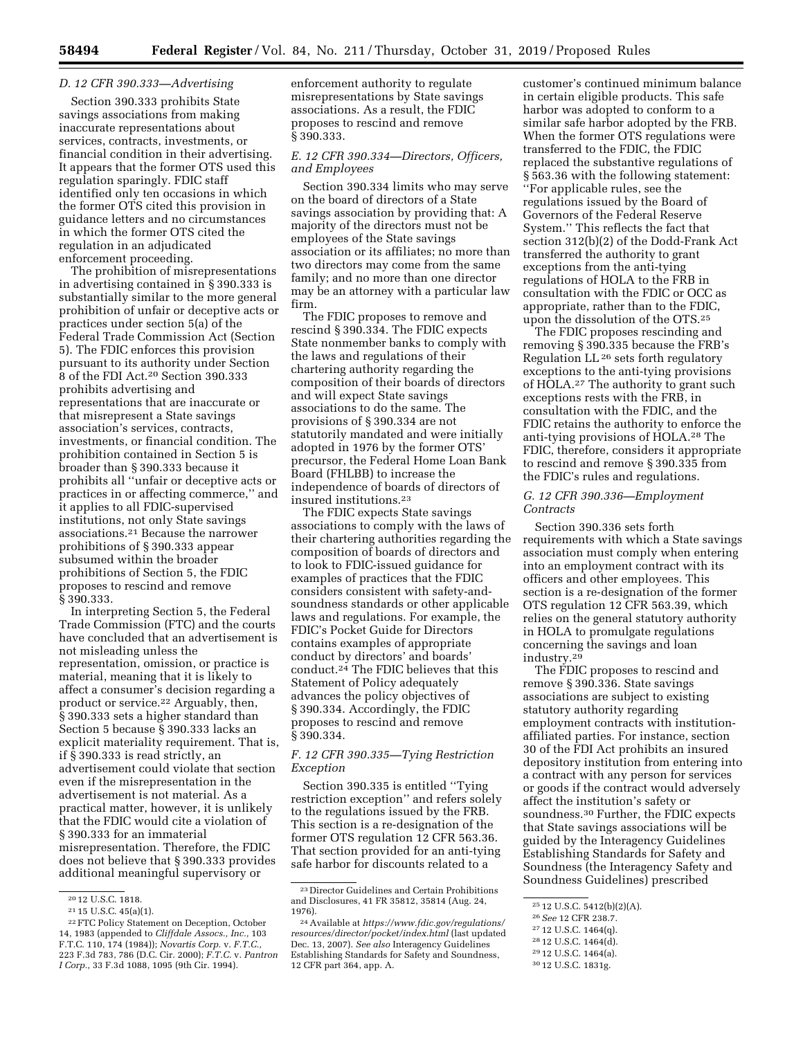## *D. 12 CFR 390.333—Advertising*

Section 390.333 prohibits State savings associations from making inaccurate representations about services, contracts, investments, or financial condition in their advertising. It appears that the former OTS used this regulation sparingly. FDIC staff identified only ten occasions in which the former OTS cited this provision in guidance letters and no circumstances in which the former OTS cited the regulation in an adjudicated enforcement proceeding.

The prohibition of misrepresentations in advertising contained in § 390.333 is substantially similar to the more general prohibition of unfair or deceptive acts or practices under section 5(a) of the Federal Trade Commission Act (Section 5). The FDIC enforces this provision pursuant to its authority under Section 8 of the FDI Act.20 Section 390.333 prohibits advertising and representations that are inaccurate or that misrepresent a State savings association's services, contracts, investments, or financial condition. The prohibition contained in Section 5 is broader than § 390.333 because it prohibits all ''unfair or deceptive acts or practices in or affecting commerce,'' and it applies to all FDIC-supervised institutions, not only State savings associations.21 Because the narrower prohibitions of § 390.333 appear subsumed within the broader prohibitions of Section 5, the FDIC proposes to rescind and remove § 390.333.

In interpreting Section 5, the Federal Trade Commission (FTC) and the courts have concluded that an advertisement is not misleading unless the representation, omission, or practice is material, meaning that it is likely to affect a consumer's decision regarding a product or service.22 Arguably, then, § 390.333 sets a higher standard than Section 5 because § 390.333 lacks an explicit materiality requirement. That is, if § 390.333 is read strictly, an advertisement could violate that section even if the misrepresentation in the advertisement is not material. As a practical matter, however, it is unlikely that the FDIC would cite a violation of § 390.333 for an immaterial misrepresentation. Therefore, the FDIC does not believe that § 390.333 provides additional meaningful supervisory or

enforcement authority to regulate misrepresentations by State savings associations. As a result, the FDIC proposes to rescind and remove § 390.333.

### *E. 12 CFR 390.334—Directors, Officers, and Employees*

Section 390.334 limits who may serve on the board of directors of a State savings association by providing that: A majority of the directors must not be employees of the State savings association or its affiliates; no more than two directors may come from the same family; and no more than one director may be an attorney with a particular law firm.

The FDIC proposes to remove and rescind § 390.334. The FDIC expects State nonmember banks to comply with the laws and regulations of their chartering authority regarding the composition of their boards of directors and will expect State savings associations to do the same. The provisions of § 390.334 are not statutorily mandated and were initially adopted in 1976 by the former OTS' precursor, the Federal Home Loan Bank Board (FHLBB) to increase the independence of boards of directors of insured institutions.23

The FDIC expects State savings associations to comply with the laws of their chartering authorities regarding the composition of boards of directors and to look to FDIC-issued guidance for examples of practices that the FDIC considers consistent with safety-andsoundness standards or other applicable laws and regulations. For example, the FDIC's Pocket Guide for Directors contains examples of appropriate conduct by directors' and boards' conduct.24 The FDIC believes that this Statement of Policy adequately advances the policy objectives of § 390.334. Accordingly, the FDIC proposes to rescind and remove § 390.334.

# *F. 12 CFR 390.335—Tying Restriction Exception*

Section 390.335 is entitled ''Tying restriction exception'' and refers solely to the regulations issued by the FRB. This section is a re-designation of the former OTS regulation 12 CFR 563.36. That section provided for an anti-tying safe harbor for discounts related to a

customer's continued minimum balance in certain eligible products. This safe harbor was adopted to conform to a similar safe harbor adopted by the FRB. When the former OTS regulations were transferred to the FDIC, the FDIC replaced the substantive regulations of § 563.36 with the following statement: ''For applicable rules, see the regulations issued by the Board of Governors of the Federal Reserve System.'' This reflects the fact that section 312(b)(2) of the Dodd-Frank Act transferred the authority to grant exceptions from the anti-tying regulations of HOLA to the FRB in consultation with the FDIC or OCC as appropriate, rather than to the FDIC, upon the dissolution of the OTS.25

The FDIC proposes rescinding and removing § 390.335 because the FRB's Regulation LL 26 sets forth regulatory exceptions to the anti-tying provisions of HOLA.<sup>27</sup> The authority to grant such exceptions rests with the FRB, in consultation with the FDIC, and the FDIC retains the authority to enforce the anti-tying provisions of HOLA.28 The FDIC, therefore, considers it appropriate to rescind and remove § 390.335 from the FDIC's rules and regulations.

## *G. 12 CFR 390.336—Employment Contracts*

Section 390.336 sets forth requirements with which a State savings association must comply when entering into an employment contract with its officers and other employees. This section is a re-designation of the former OTS regulation 12 CFR 563.39, which relies on the general statutory authority in HOLA to promulgate regulations concerning the savings and loan industry.29

The FDIC proposes to rescind and remove § 390.336. State savings associations are subject to existing statutory authority regarding employment contracts with institutionaffiliated parties. For instance, section 30 of the FDI Act prohibits an insured depository institution from entering into a contract with any person for services or goods if the contract would adversely affect the institution's safety or soundness.30 Further, the FDIC expects that State savings associations will be guided by the Interagency Guidelines Establishing Standards for Safety and Soundness (the Interagency Safety and Soundness Guidelines) prescribed

<sup>20</sup> 12 U.S.C. 1818.

 $^{\rm 21}$  15 U.S.C. 45(a)(1).

<sup>22</sup>FTC Policy Statement on Deception, October 14, 1983 (appended to *Cliffdale Assocs., Inc.,* 103 F.T.C. 110, 174 (1984)); *Novartis Corp.* v. *F.T.C.,*  223 F.3d 783, 786 (D.C. Cir. 2000); *F.T.C.* v. *Pantron I Corp.,* 33 F.3d 1088, 1095 (9th Cir. 1994).

<sup>23</sup> Director Guidelines and Certain Prohibitions and Disclosures, 41 FR 35812, 35814 (Aug. 24, 1976).

<sup>24</sup>Available at *[https://www.fdic.gov/regulations/](https://www.fdic.gov/regulations/resources/director/pocket/index.html)  [resources/director/pocket/index.html](https://www.fdic.gov/regulations/resources/director/pocket/index.html)* (last updated Dec. 13, 2007). *See also* Interagency Guidelines Establishing Standards for Safety and Soundness, 12 CFR part 364, app. A.

<sup>25</sup> 12 U.S.C. 5412(b)(2)(A).

<sup>26</sup>*See* 12 CFR 238.7.

<sup>27</sup> 12 U.S.C. 1464(q).

<sup>28</sup> 12 U.S.C. 1464(d).

<sup>29</sup> 12 U.S.C. 1464(a). 30 12 U.S.C. 1831g.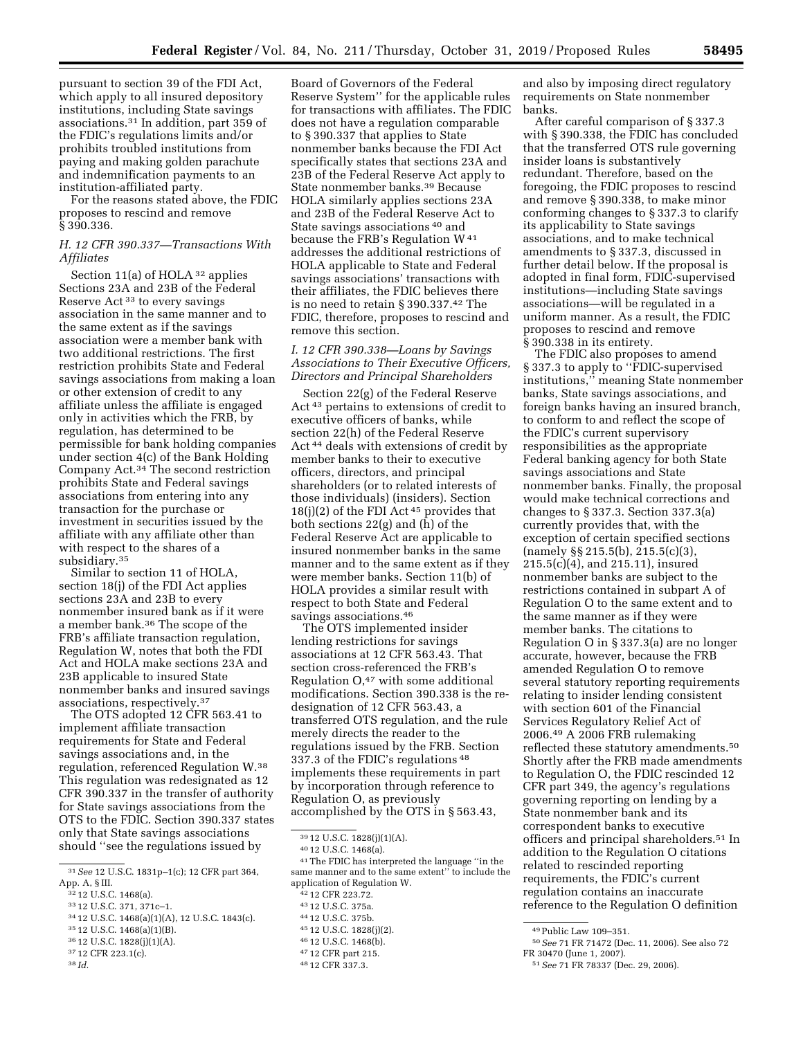pursuant to section 39 of the FDI Act, which apply to all insured depository institutions, including State savings associations.31 In addition, part 359 of the FDIC's regulations limits and/or prohibits troubled institutions from paying and making golden parachute and indemnification payments to an institution-affiliated party.

For the reasons stated above, the FDIC proposes to rescind and remove § 390.336.

# *H. 12 CFR 390.337—Transactions With Affiliates*

Section 11(a) of HOLA 32 applies Sections 23A and 23B of the Federal Reserve Act 33 to every savings association in the same manner and to the same extent as if the savings association were a member bank with two additional restrictions. The first restriction prohibits State and Federal savings associations from making a loan or other extension of credit to any affiliate unless the affiliate is engaged only in activities which the FRB, by regulation, has determined to be permissible for bank holding companies under section 4(c) of the Bank Holding Company Act.34 The second restriction prohibits State and Federal savings associations from entering into any transaction for the purchase or investment in securities issued by the affiliate with any affiliate other than with respect to the shares of a subsidiary.35

Similar to section 11 of HOLA, section 18(j) of the FDI Act applies sections 23A and 23B to every nonmember insured bank as if it were a member bank.36 The scope of the FRB's affiliate transaction regulation, Regulation W, notes that both the FDI Act and HOLA make sections 23A and 23B applicable to insured State nonmember banks and insured savings associations, respectively.37

The OTS adopted 12 CFR 563.41 to implement affiliate transaction requirements for State and Federal savings associations and, in the regulation, referenced Regulation W.38 This regulation was redesignated as 12 CFR 390.337 in the transfer of authority for State savings associations from the OTS to the FDIC. Section 390.337 states only that State savings associations should ''see the regulations issued by

- 33 12 U.S.C. 371, 371c–1.
- 34 12 U.S.C. 1468(a)(1)(A), 12 U.S.C. 1843(c).
- 35 12 U.S.C. 1468(a)(1)(B).
- 36 12 U.S.C. 1828(j)(1)(A).
- 37 12 CFR 223.1(c). 38 *Id.*

Board of Governors of the Federal Reserve System'' for the applicable rules for transactions with affiliates. The FDIC does not have a regulation comparable to § 390.337 that applies to State nonmember banks because the FDI Act specifically states that sections 23A and 23B of the Federal Reserve Act apply to State nonmember banks.39 Because HOLA similarly applies sections 23A and 23B of the Federal Reserve Act to State savings associations 40 and because the FRB's Regulation W<sup>41</sup> addresses the additional restrictions of HOLA applicable to State and Federal savings associations' transactions with their affiliates, the FDIC believes there is no need to retain § 390.337.42 The FDIC, therefore, proposes to rescind and remove this section.

# *I. 12 CFR 390.338—Loans by Savings Associations to Their Executive Officers, Directors and Principal Shareholders*

Section 22(g) of the Federal Reserve Act 43 pertains to extensions of credit to executive officers of banks, while section 22(h) of the Federal Reserve Act 44 deals with extensions of credit by member banks to their to executive officers, directors, and principal shareholders (or to related interests of those individuals) (insiders). Section  $18(j)(2)$  of the FDI Act<sup>45</sup> provides that both sections 22(g) and (h) of the Federal Reserve Act are applicable to insured nonmember banks in the same manner and to the same extent as if they were member banks. Section 11(b) of HOLA provides a similar result with respect to both State and Federal savings associations.46

The OTS implemented insider lending restrictions for savings associations at 12 CFR 563.43. That section cross-referenced the FRB's Regulation  $O<sub>147</sub>$  with some additional modifications. Section 390.338 is the redesignation of 12 CFR 563.43, a transferred OTS regulation, and the rule merely directs the reader to the regulations issued by the FRB. Section 337.3 of the FDIC's regulations 48 implements these requirements in part by incorporation through reference to Regulation O, as previously accomplished by the OTS in § 563.43,

46 12 U.S.C. 1468(b).

and also by imposing direct regulatory requirements on State nonmember banks.

After careful comparison of § 337.3 with § 390.338, the FDIC has concluded that the transferred OTS rule governing insider loans is substantively redundant. Therefore, based on the foregoing, the FDIC proposes to rescind and remove § 390.338, to make minor conforming changes to § 337.3 to clarify its applicability to State savings associations, and to make technical amendments to § 337.3, discussed in further detail below. If the proposal is adopted in final form, FDIC-supervised institutions—including State savings associations—will be regulated in a uniform manner. As a result, the FDIC proposes to rescind and remove § 390.338 in its entirety.

The FDIC also proposes to amend § 337.3 to apply to ''FDIC-supervised institutions,'' meaning State nonmember banks, State savings associations, and foreign banks having an insured branch, to conform to and reflect the scope of the FDIC's current supervisory responsibilities as the appropriate Federal banking agency for both State savings associations and State nonmember banks. Finally, the proposal would make technical corrections and changes to § 337.3. Section 337.3(a) currently provides that, with the exception of certain specified sections (namely §§ 215.5(b), 215.5(c)(3), 215.5(c)(4), and 215.11), insured nonmember banks are subject to the restrictions contained in subpart A of Regulation O to the same extent and to the same manner as if they were member banks. The citations to Regulation O in § 337.3(a) are no longer accurate, however, because the FRB amended Regulation O to remove several statutory reporting requirements relating to insider lending consistent with section 601 of the Financial Services Regulatory Relief Act of 2006.49 A 2006 FRB rulemaking reflected these statutory amendments.50 Shortly after the FRB made amendments to Regulation O, the FDIC rescinded 12 CFR part 349, the agency's regulations governing reporting on lending by a State nonmember bank and its correspondent banks to executive officers and principal shareholders.51 In addition to the Regulation O citations related to rescinded reporting requirements, the FDIC's current regulation contains an inaccurate reference to the Regulation O definition

<sup>31</sup>*See* 12 U.S.C. 1831p–1(c); 12 CFR part 364, App. A, § III.

<sup>32</sup> 12 U.S.C. 1468(a).

<sup>39</sup> 12 U.S.C. 1828(j)(1)(A).

<sup>40</sup> 12 U.S.C. 1468(a).

<sup>41</sup>The FDIC has interpreted the language ''in the same manner and to the same extent'' to include the application of Regulation W.

<sup>42</sup> 12 CFR 223.72.

<sup>43</sup> 12 U.S.C. 375a.

<sup>44</sup> 12 U.S.C. 375b.

<sup>45</sup> 12 U.S.C. 1828(j)(2).

<sup>47</sup> 12 CFR part 215.

<sup>48</sup> 12 CFR 337.3.

<sup>49</sup>Public Law 109–351.

<sup>50</sup>*See* 71 FR 71472 (Dec. 11, 2006). See also 72 FR 30470 (June 1, 2007).

<sup>51</sup>*See* 71 FR 78337 (Dec. 29, 2006).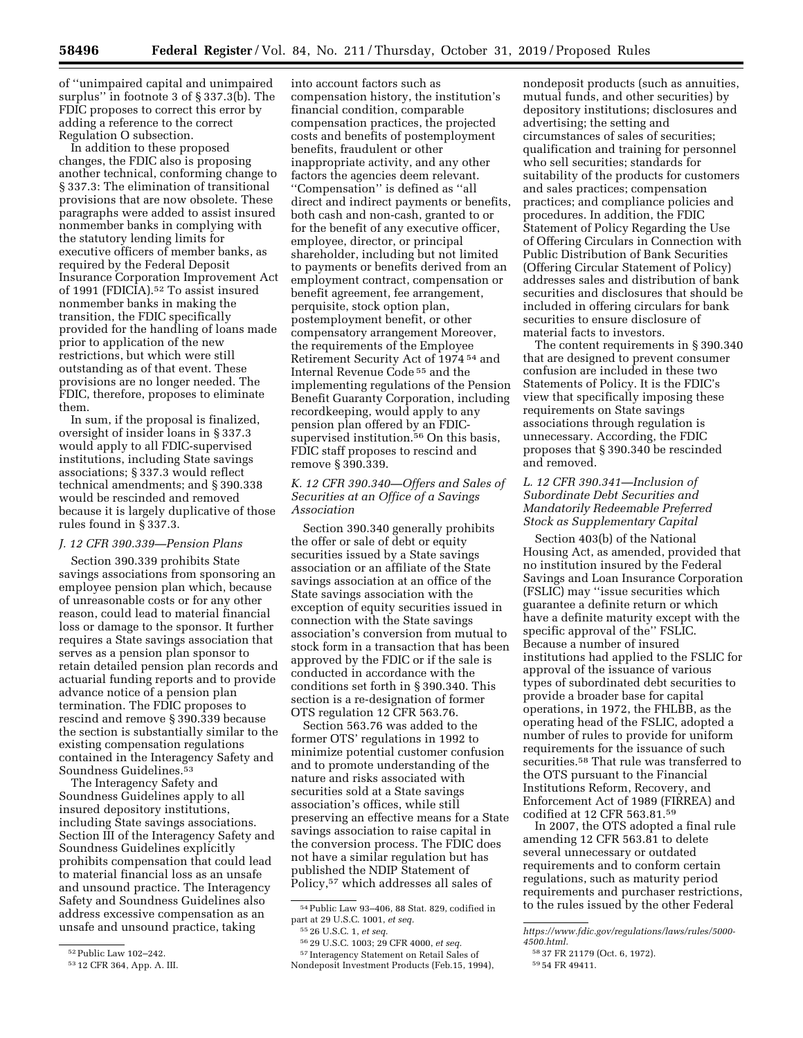of ''unimpaired capital and unimpaired surplus'' in footnote 3 of § 337.3(b). The FDIC proposes to correct this error by adding a reference to the correct Regulation O subsection.

In addition to these proposed changes, the FDIC also is proposing another technical, conforming change to § 337.3: The elimination of transitional provisions that are now obsolete. These paragraphs were added to assist insured nonmember banks in complying with the statutory lending limits for executive officers of member banks, as required by the Federal Deposit Insurance Corporation Improvement Act of 1991 (FDICIA).<sup>52</sup> To assist insured nonmember banks in making the transition, the FDIC specifically provided for the handling of loans made prior to application of the new restrictions, but which were still outstanding as of that event. These provisions are no longer needed. The FDIC, therefore, proposes to eliminate them.

In sum, if the proposal is finalized, oversight of insider loans in § 337.3 would apply to all FDIC-supervised institutions, including State savings associations; § 337.3 would reflect technical amendments; and § 390.338 would be rescinded and removed because it is largely duplicative of those rules found in § 337.3.

### *J. 12 CFR 390.339—Pension Plans*

Section 390.339 prohibits State savings associations from sponsoring an employee pension plan which, because of unreasonable costs or for any other reason, could lead to material financial loss or damage to the sponsor. It further requires a State savings association that serves as a pension plan sponsor to retain detailed pension plan records and actuarial funding reports and to provide advance notice of a pension plan termination. The FDIC proposes to rescind and remove § 390.339 because the section is substantially similar to the existing compensation regulations contained in the Interagency Safety and Soundness Guidelines.53

The Interagency Safety and Soundness Guidelines apply to all insured depository institutions, including State savings associations. Section III of the Interagency Safety and Soundness Guidelines explicitly prohibits compensation that could lead to material financial loss as an unsafe and unsound practice. The Interagency Safety and Soundness Guidelines also address excessive compensation as an unsafe and unsound practice, taking

into account factors such as compensation history, the institution's financial condition, comparable compensation practices, the projected costs and benefits of postemployment benefits, fraudulent or other inappropriate activity, and any other factors the agencies deem relevant. ''Compensation'' is defined as ''all direct and indirect payments or benefits, both cash and non-cash, granted to or for the benefit of any executive officer, employee, director, or principal shareholder, including but not limited to payments or benefits derived from an employment contract, compensation or benefit agreement, fee arrangement, perquisite, stock option plan, postemployment benefit, or other compensatory arrangement Moreover, the requirements of the Employee Retirement Security Act of 1974 54 and Internal Revenue Code 55 and the implementing regulations of the Pension Benefit Guaranty Corporation, including recordkeeping, would apply to any pension plan offered by an FDICsupervised institution.<sup>56</sup> On this basis, FDIC staff proposes to rescind and remove § 390.339.

# *K. 12 CFR 390.340—Offers and Sales of Securities at an Office of a Savings Association*

Section 390.340 generally prohibits the offer or sale of debt or equity securities issued by a State savings association or an affiliate of the State savings association at an office of the State savings association with the exception of equity securities issued in connection with the State savings association's conversion from mutual to stock form in a transaction that has been approved by the FDIC or if the sale is conducted in accordance with the conditions set forth in § 390.340. This section is a re-designation of former OTS regulation 12 CFR 563.76.

Section 563.76 was added to the former OTS' regulations in 1992 to minimize potential customer confusion and to promote understanding of the nature and risks associated with securities sold at a State savings association's offices, while still preserving an effective means for a State savings association to raise capital in the conversion process. The FDIC does not have a similar regulation but has published the NDIP Statement of Policy,57 which addresses all sales of

57 Interagency Statement on Retail Sales of Nondeposit Investment Products (Feb.15, 1994), nondeposit products (such as annuities, mutual funds, and other securities) by depository institutions; disclosures and advertising; the setting and circumstances of sales of securities; qualification and training for personnel who sell securities; standards for suitability of the products for customers and sales practices; compensation practices; and compliance policies and procedures. In addition, the FDIC Statement of Policy Regarding the Use of Offering Circulars in Connection with Public Distribution of Bank Securities (Offering Circular Statement of Policy) addresses sales and distribution of bank securities and disclosures that should be included in offering circulars for bank securities to ensure disclosure of material facts to investors.

The content requirements in § 390.340 that are designed to prevent consumer confusion are included in these two Statements of Policy. It is the FDIC's view that specifically imposing these requirements on State savings associations through regulation is unnecessary. According, the FDIC proposes that § 390.340 be rescinded and removed.

# *L. 12 CFR 390.341—Inclusion of Subordinate Debt Securities and Mandatorily Redeemable Preferred Stock as Supplementary Capital*

Section 403(b) of the National Housing Act, as amended, provided that no institution insured by the Federal Savings and Loan Insurance Corporation (FSLIC) may ''issue securities which guarantee a definite return or which have a definite maturity except with the specific approval of the'' FSLIC. Because a number of insured institutions had applied to the FSLIC for approval of the issuance of various types of subordinated debt securities to provide a broader base for capital operations, in 1972, the FHLBB, as the operating head of the FSLIC, adopted a number of rules to provide for uniform requirements for the issuance of such securities.58 That rule was transferred to the OTS pursuant to the Financial Institutions Reform, Recovery, and Enforcement Act of 1989 (FIRREA) and codified at 12 CFR 563.81.59

In 2007, the OTS adopted a final rule amending 12 CFR 563.81 to delete several unnecessary or outdated requirements and to conform certain regulations, such as maturity period requirements and purchaser restrictions, to the rules issued by the other Federal

<sup>52</sup>Public Law 102–242.

<sup>53</sup> 12 CFR 364, App. A. III.

<sup>54</sup>Public Law 93–406, 88 Stat. 829, codified in part at 29 U.S.C. 1001, *et seq.* 

<sup>55</sup> 26 U.S.C. 1, *et seq.* 

<sup>56</sup> 29 U.S.C. 1003; 29 CFR 4000, *et seq.* 

*[https://www.fdic.gov/regulations/laws/rules/5000-](https://www.fdic.gov/regulations/laws/rules/5000-4500.html)* 

*[<sup>4500.</sup>html.](https://www.fdic.gov/regulations/laws/rules/5000-4500.html)* 

<sup>58</sup> 37 FR 21179 (Oct. 6, 1972).

<sup>59</sup> 54 FR 49411.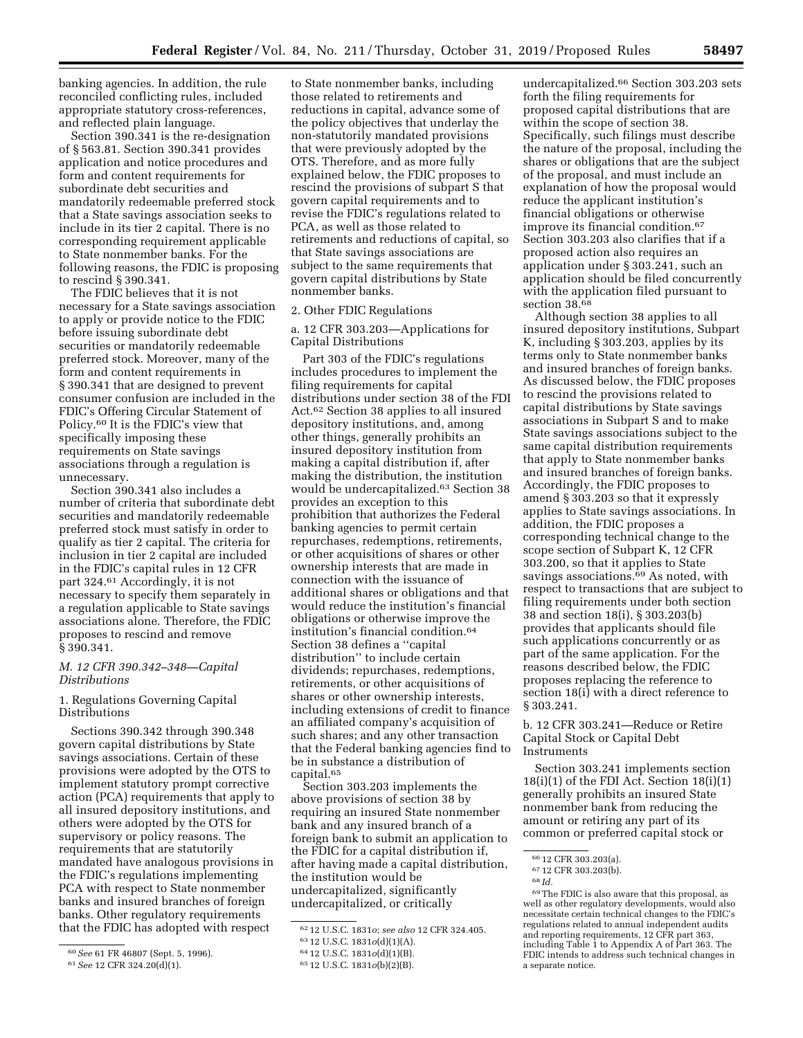banking agencies. In addition, the rule reconciled conflicting rules, included appropriate statutory cross-references, and reflected plain language.

Section 390.341 is the re-designation of § 563.81. Section 390.341 provides application and notice procedures and form and content requirements for subordinate debt securities and mandatorily redeemable preferred stock that a State savings association seeks to include in its tier 2 capital. There is no corresponding requirement applicable to State nonmember banks. For the following reasons, the FDIC is proposing to rescind § 390.341.

The FDIC believes that it is not necessary for a State savings association to apply or provide notice to the FDIC before issuing subordinate debt securities or mandatorily redeemable preferred stock. Moreover, many of the form and content requirements in § 390.341 that are designed to prevent consumer confusion are included in the FDIC's Offering Circular Statement of Policy.60 It is the FDIC's view that specifically imposing these requirements on State savings associations through a regulation is unnecessary.

Section 390.341 also includes a number of criteria that subordinate debt securities and mandatorily redeemable preferred stock must satisfy in order to qualify as tier 2 capital. The criteria for inclusion in tier 2 capital are included in the FDIC's capital rules in 12 CFR part 324.61 Accordingly, it is not necessary to specify them separately in a regulation applicable to State savings associations alone. Therefore, the FDIC proposes to rescind and remove § 390.341.

### *M. 12 CFR 390.342–348—Capital Distributions*

## 1. Regulations Governing Capital Distributions

Sections 390.342 through 390.348 govern capital distributions by State savings associations. Certain of these provisions were adopted by the OTS to implement statutory prompt corrective action (PCA) requirements that apply to all insured depository institutions, and others were adopted by the OTS for supervisory or policy reasons. The requirements that are statutorily mandated have analogous provisions in the FDIC's regulations implementing PCA with respect to State nonmember banks and insured branches of foreign banks. Other regulatory requirements that the FDIC has adopted with respect

to State nonmember banks, including those related to retirements and reductions in capital, advance some of the policy objectives that underlay the non-statutorily mandated provisions that were previously adopted by the OTS. Therefore, and as more fully explained below, the FDIC proposes to rescind the provisions of subpart S that govern capital requirements and to revise the FDIC's regulations related to PCA, as well as those related to retirements and reductions of capital, so that State savings associations are subject to the same requirements that govern capital distributions by State nonmember banks.

2. Other FDIC Regulations

a. 12 CFR 303.203—Applications for Capital Distributions

Part 303 of the FDIC's regulations includes procedures to implement the filing requirements for capital distributions under section 38 of the FDI Act.62 Section 38 applies to all insured depository institutions, and, among other things, generally prohibits an insured depository institution from making a capital distribution if, after making the distribution, the institution would be undercapitalized.63 Section 38 provides an exception to this prohibition that authorizes the Federal banking agencies to permit certain repurchases, redemptions, retirements, or other acquisitions of shares or other ownership interests that are made in connection with the issuance of additional shares or obligations and that would reduce the institution's financial obligations or otherwise improve the institution's financial condition.64 Section 38 defines a ''capital distribution'' to include certain dividends; repurchases, redemptions, retirements, or other acquisitions of shares or other ownership interests, including extensions of credit to finance an affiliated company's acquisition of such shares; and any other transaction that the Federal banking agencies find to be in substance a distribution of capital.65

Section 303.203 implements the above provisions of section 38 by requiring an insured State nonmember bank and any insured branch of a foreign bank to submit an application to the FDIC for a capital distribution if, after having made a capital distribution, the institution would be undercapitalized, significantly undercapitalized, or critically

undercapitalized.66 Section 303.203 sets forth the filing requirements for proposed capital distributions that are within the scope of section 38. Specifically, such filings must describe the nature of the proposal, including the shares or obligations that are the subject of the proposal, and must include an explanation of how the proposal would reduce the applicant institution's financial obligations or otherwise improve its financial condition.67 Section 303.203 also clarifies that if a proposed action also requires an application under § 303.241, such an application should be filed concurrently with the application filed pursuant to section 38.68

Although section 38 applies to all insured depository institutions, Subpart K, including § 303.203, applies by its terms only to State nonmember banks and insured branches of foreign banks. As discussed below, the FDIC proposes to rescind the provisions related to capital distributions by State savings associations in Subpart S and to make State savings associations subject to the same capital distribution requirements that apply to State nonmember banks and insured branches of foreign banks. Accordingly, the FDIC proposes to amend § 303.203 so that it expressly applies to State savings associations. In addition, the FDIC proposes a corresponding technical change to the scope section of Subpart K, 12 CFR 303.200, so that it applies to State savings associations.<sup>69</sup> As noted, with respect to transactions that are subject to filing requirements under both section 38 and section 18(i), § 303.203(b) provides that applicants should file such applications concurrently or as part of the same application. For the reasons described below, the FDIC proposes replacing the reference to section 18(i) with a direct reference to § 303.241.

b. 12 CFR 303.241—Reduce or Retire Capital Stock or Capital Debt Instruments

Section 303.241 implements section  $18(i)(1)$  of the FDI Act. Section  $18(i)(1)$ generally prohibits an insured State nonmember bank from reducing the amount or retiring any part of its common or preferred capital stock or

<sup>60</sup>*See* 61 FR 46807 (Sept. 5, 1996).

<sup>61</sup>*See* 12 CFR 324.20(d)(1).

<sup>62</sup> 12 U.S.C. 1831*o*; *see also* 12 CFR 324.405.

<sup>63</sup> 12 U.S.C. 1831*o*(d)(1)(A).

<sup>64</sup> 12 U.S.C. 1831*o*(d)(1)(B).

<sup>65</sup> 12 U.S.C. 1831*o*(b)(2)(B).

<sup>66</sup> 12 CFR 303.203(a). 67 12 CFR 303.203(b). 68 *Id.* 

<sup>69</sup>The FDIC is also aware that this proposal, as well as other regulatory developments, would also necessitate certain technical changes to the FDIC's regulations related to annual independent audits and reporting requirements, 12 CFR part 363, including Table 1 to Appendix A of Part 363. The FDIC intends to address such technical changes in a separate notice.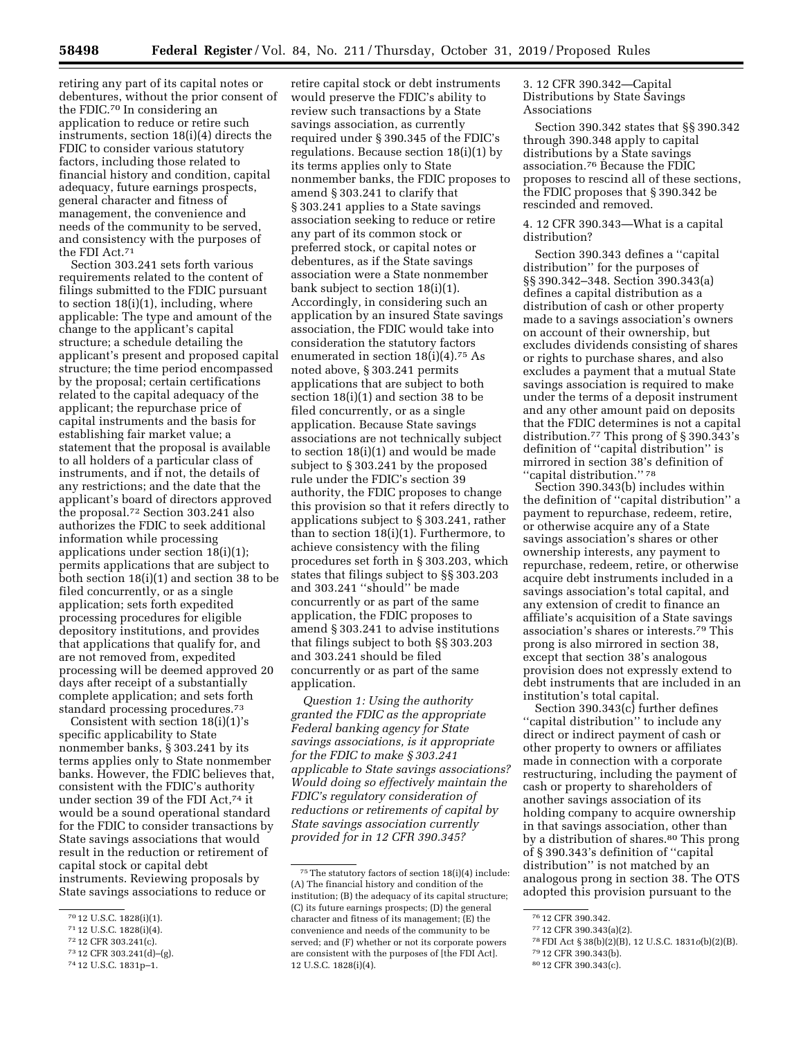retiring any part of its capital notes or debentures, without the prior consent of the FDIC.70 In considering an application to reduce or retire such instruments, section 18(i)(4) directs the FDIC to consider various statutory factors, including those related to financial history and condition, capital adequacy, future earnings prospects, general character and fitness of management, the convenience and needs of the community to be served, and consistency with the purposes of the FDI Act.71

Section 303.241 sets forth various requirements related to the content of filings submitted to the FDIC pursuant to section 18(i)(1), including, where applicable: The type and amount of the change to the applicant's capital structure; a schedule detailing the applicant's present and proposed capital structure; the time period encompassed by the proposal; certain certifications related to the capital adequacy of the applicant; the repurchase price of capital instruments and the basis for establishing fair market value; a statement that the proposal is available to all holders of a particular class of instruments, and if not, the details of any restrictions; and the date that the applicant's board of directors approved the proposal.72 Section 303.241 also authorizes the FDIC to seek additional information while processing applications under section 18(i)(1); permits applications that are subject to both section 18(i)(1) and section 38 to be filed concurrently, or as a single application; sets forth expedited processing procedures for eligible depository institutions, and provides that applications that qualify for, and are not removed from, expedited processing will be deemed approved 20 days after receipt of a substantially complete application; and sets forth standard processing procedures.73

Consistent with section  $18(i)(1)$ 's specific applicability to State nonmember banks, § 303.241 by its terms applies only to State nonmember banks. However, the FDIC believes that, consistent with the FDIC's authority under section 39 of the FDI Act,74 it would be a sound operational standard for the FDIC to consider transactions by State savings associations that would result in the reduction or retirement of capital stock or capital debt instruments. Reviewing proposals by State savings associations to reduce or

72 12 CFR 303.241(c).

retire capital stock or debt instruments would preserve the FDIC's ability to review such transactions by a State savings association, as currently required under § 390.345 of the FDIC's regulations. Because section 18(i)(1) by its terms applies only to State nonmember banks, the FDIC proposes to amend § 303.241 to clarify that § 303.241 applies to a State savings association seeking to reduce or retire any part of its common stock or preferred stock, or capital notes or debentures, as if the State savings association were a State nonmember bank subject to section 18(i)(1). Accordingly, in considering such an application by an insured State savings association, the FDIC would take into consideration the statutory factors enumerated in section 18(i)(4).75 As noted above, § 303.241 permits applications that are subject to both section 18(i)(1) and section 38 to be filed concurrently, or as a single application. Because State savings associations are not technically subject to section 18(i)(1) and would be made subject to § 303.241 by the proposed rule under the FDIC's section 39 authority, the FDIC proposes to change this provision so that it refers directly to applications subject to § 303.241, rather than to section 18(i)(1). Furthermore, to achieve consistency with the filing procedures set forth in § 303.203, which states that filings subject to §§ 303.203 and 303.241 ''should'' be made concurrently or as part of the same application, the FDIC proposes to amend § 303.241 to advise institutions that filings subject to both §§ 303.203 and 303.241 should be filed concurrently or as part of the same application.

*Question 1: Using the authority granted the FDIC as the appropriate Federal banking agency for State savings associations, is it appropriate for the FDIC to make § 303.241 applicable to State savings associations? Would doing so effectively maintain the FDIC's regulatory consideration of reductions or retirements of capital by State savings association currently provided for in 12 CFR 390.345?* 

3. 12 CFR 390.342—Capital Distributions by State Savings Associations

Section 390.342 states that §§ 390.342 through 390.348 apply to capital distributions by a State savings association.76 Because the FDIC proposes to rescind all of these sections, the FDIC proposes that § 390.342 be rescinded and removed.

## 4. 12 CFR 390.343—What is a capital distribution?

Section 390.343 defines a ''capital distribution'' for the purposes of §§ 390.342–348. Section 390.343(a) defines a capital distribution as a distribution of cash or other property made to a savings association's owners on account of their ownership, but excludes dividends consisting of shares or rights to purchase shares, and also excludes a payment that a mutual State savings association is required to make under the terms of a deposit instrument and any other amount paid on deposits that the FDIC determines is not a capital distribution.77 This prong of § 390.343's definition of ''capital distribution'' is mirrored in section 38's definition of ''capital distribution.'' 78

Section 390.343(b) includes within the definition of ''capital distribution'' a payment to repurchase, redeem, retire, or otherwise acquire any of a State savings association's shares or other ownership interests, any payment to repurchase, redeem, retire, or otherwise acquire debt instruments included in a savings association's total capital, and any extension of credit to finance an affiliate's acquisition of a State savings association's shares or interests.79 This prong is also mirrored in section 38, except that section 38's analogous provision does not expressly extend to debt instruments that are included in an institution's total capital.

Section 390.343(c) further defines ''capital distribution'' to include any direct or indirect payment of cash or other property to owners or affiliates made in connection with a corporate restructuring, including the payment of cash or property to shareholders of another savings association of its holding company to acquire ownership in that savings association, other than by a distribution of shares.<sup>80</sup> This prong of § 390.343's definition of ''capital distribution'' is not matched by an analogous prong in section 38. The OTS adopted this provision pursuant to the

78FDI Act § 38(b)(2)(B), 12 U.S.C. 1831*o*(b)(2)(B).

<sup>70</sup> 12 U.S.C. 1828(i)(1).

<sup>71</sup> 12 U.S.C. 1828(i)(4).

<sup>73</sup> 12 CFR 303.241(d)–(g).

<sup>74</sup> 12 U.S.C. 1831p–1.

<sup>75</sup>The statutory factors of section 18(i)(4) include: (A) The financial history and condition of the institution; (B) the adequacy of its capital structure; (C) its future earnings prospects; (D) the general character and fitness of its management; (E) the convenience and needs of the community to be served; and (F) whether or not its corporate powers are consistent with the purposes of [the FDI Act]. 12 U.S.C. 1828(i)(4).

<sup>76</sup> 12 CFR 390.342.

<sup>77</sup> 12 CFR 390.343(a)(2).

<sup>79</sup> 12 CFR 390.343(b).

<sup>80</sup> 12 CFR 390.343(c).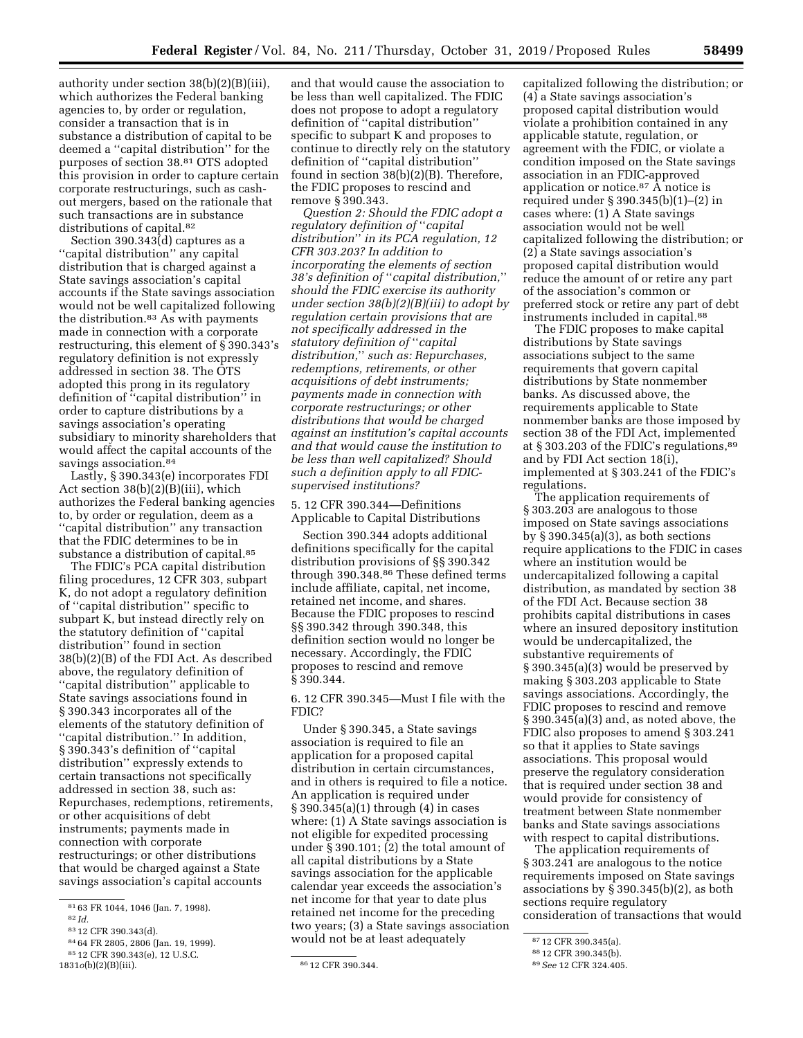authority under section 38(b)(2)(B)(iii), which authorizes the Federal banking agencies to, by order or regulation, consider a transaction that is in substance a distribution of capital to be deemed a ''capital distribution'' for the purposes of section 38.81 OTS adopted this provision in order to capture certain corporate restructurings, such as cashout mergers, based on the rationale that such transactions are in substance distributions of capital.82

Section 390.343(d) captures as a ''capital distribution'' any capital distribution that is charged against a State savings association's capital accounts if the State savings association would not be well capitalized following the distribution.83 As with payments made in connection with a corporate restructuring, this element of § 390.343's regulatory definition is not expressly addressed in section 38. The OTS adopted this prong in its regulatory definition of ''capital distribution'' in order to capture distributions by a savings association's operating subsidiary to minority shareholders that would affect the capital accounts of the savings association.<sup>84</sup>

Lastly, § 390.343(e) incorporates FDI Act section 38(b)(2)(B)(iii), which authorizes the Federal banking agencies to, by order or regulation, deem as a ''capital distribution'' any transaction that the FDIC determines to be in substance a distribution of capital.<sup>85</sup>

The FDIC's PCA capital distribution filing procedures, 12 CFR 303, subpart K, do not adopt a regulatory definition of ''capital distribution'' specific to subpart K, but instead directly rely on the statutory definition of ''capital distribution'' found in section 38(b)(2)(B) of the FDI Act. As described above, the regulatory definition of ''capital distribution'' applicable to State savings associations found in § 390.343 incorporates all of the elements of the statutory definition of ''capital distribution.'' In addition, § 390.343's definition of ''capital distribution'' expressly extends to certain transactions not specifically addressed in section 38, such as: Repurchases, redemptions, retirements, or other acquisitions of debt instruments; payments made in connection with corporate restructurings; or other distributions that would be charged against a State savings association's capital accounts

and that would cause the association to be less than well capitalized. The FDIC does not propose to adopt a regulatory definition of ''capital distribution'' specific to subpart K and proposes to continue to directly rely on the statutory definition of ''capital distribution'' found in section 38(b)(2)(B). Therefore, the FDIC proposes to rescind and remove § 390.343.

*Question 2: Should the FDIC adopt a regulatory definition of* ''*capital distribution*'' *in its PCA regulation, 12 CFR 303.203? In addition to incorporating the elements of section 38's definition of* ''*capital distribution,*'' *should the FDIC exercise its authority under section 38(b)(2)(B)(iii) to adopt by regulation certain provisions that are not specifically addressed in the statutory definition of* ''*capital distribution,*'' *such as: Repurchases, redemptions, retirements, or other acquisitions of debt instruments; payments made in connection with corporate restructurings; or other distributions that would be charged against an institution's capital accounts and that would cause the institution to be less than well capitalized? Should such a definition apply to all FDICsupervised institutions?* 

5. 12 CFR 390.344—Definitions Applicable to Capital Distributions

Section 390.344 adopts additional definitions specifically for the capital distribution provisions of §§ 390.342 through 390.348.86 These defined terms include affiliate, capital, net income, retained net income, and shares. Because the FDIC proposes to rescind §§ 390.342 through 390.348, this definition section would no longer be necessary. Accordingly, the FDIC proposes to rescind and remove § 390.344.

6. 12 CFR 390.345—Must I file with the FDIC?

Under § 390.345, a State savings association is required to file an application for a proposed capital distribution in certain circumstances, and in others is required to file a notice. An application is required under § 390.345(a)(1) through (4) in cases where: (1) A State savings association is not eligible for expedited processing under § 390.101; (2) the total amount of all capital distributions by a State savings association for the applicable calendar year exceeds the association's net income for that year to date plus retained net income for the preceding two years; (3) a State savings association would not be at least adequately

capitalized following the distribution; or (4) a State savings association's proposed capital distribution would violate a prohibition contained in any applicable statute, regulation, or agreement with the FDIC, or violate a condition imposed on the State savings association in an FDIC-approved application or notice.87 A notice is required under § 390.345(b)(1)–(2) in cases where: (1) A State savings association would not be well capitalized following the distribution; or (2) a State savings association's proposed capital distribution would reduce the amount of or retire any part of the association's common or preferred stock or retire any part of debt instruments included in capital.<sup>88</sup>

The FDIC proposes to make capital distributions by State savings associations subject to the same requirements that govern capital distributions by State nonmember banks. As discussed above, the requirements applicable to State nonmember banks are those imposed by section 38 of the FDI Act, implemented at § 303.203 of the FDIC's regulations,89 and by FDI Act section 18(i), implemented at § 303.241 of the FDIC's regulations.

The application requirements of § 303.203 are analogous to those imposed on State savings associations by  $\S 390.345(a)(3)$ , as both sections require applications to the FDIC in cases where an institution would be undercapitalized following a capital distribution, as mandated by section 38 of the FDI Act. Because section 38 prohibits capital distributions in cases where an insured depository institution would be undercapitalized, the substantive requirements of § 390.345(a)(3) would be preserved by making § 303.203 applicable to State savings associations. Accordingly, the FDIC proposes to rescind and remove § 390.345(a)(3) and, as noted above, the FDIC also proposes to amend § 303.241 so that it applies to State savings associations. This proposal would preserve the regulatory consideration that is required under section 38 and would provide for consistency of treatment between State nonmember banks and State savings associations with respect to capital distributions.

The application requirements of § 303.241 are analogous to the notice requirements imposed on State savings associations by § 390.345(b)(2), as both sections require regulatory consideration of transactions that would

<sup>81</sup> 63 FR 1044, 1046 (Jan. 7, 1998).

<sup>82</sup> *Id.* 

<sup>83</sup> 12 CFR 390.343(d).

<sup>84</sup> 64 FR 2805, 2806 (Jan. 19, 1999).

<sup>85</sup> 12 CFR 390.343(e), 12 U.S.C. 1831*o*(b)(2)(B)(iii). <sup>86</sup> 12 CFR 390.344.

<sup>87</sup> 12 CFR 390.345(a).

<sup>88</sup> 12 CFR 390.345(b).

<sup>89</sup>*See* 12 CFR 324.405.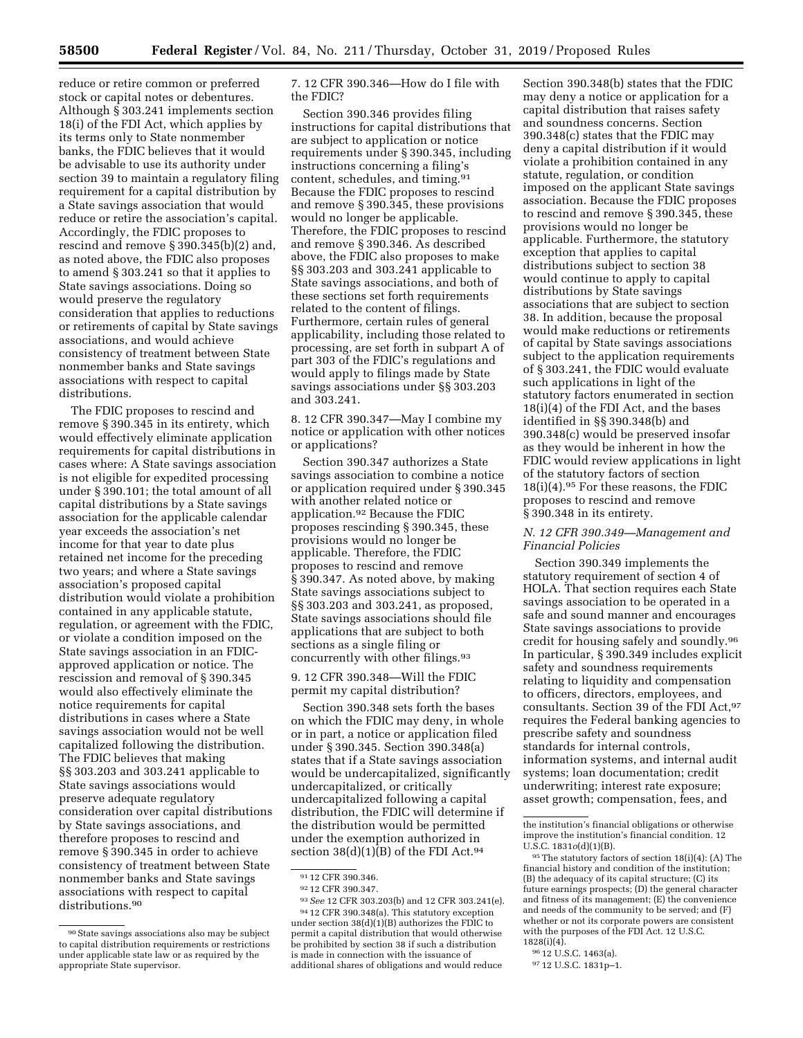reduce or retire common or preferred stock or capital notes or debentures. Although § 303.241 implements section 18(i) of the FDI Act, which applies by its terms only to State nonmember banks, the FDIC believes that it would be advisable to use its authority under section 39 to maintain a regulatory filing requirement for a capital distribution by a State savings association that would reduce or retire the association's capital. Accordingly, the FDIC proposes to rescind and remove § 390.345(b)(2) and, as noted above, the FDIC also proposes to amend § 303.241 so that it applies to State savings associations. Doing so would preserve the regulatory consideration that applies to reductions or retirements of capital by State savings associations, and would achieve consistency of treatment between State nonmember banks and State savings associations with respect to capital distributions.

The FDIC proposes to rescind and remove § 390.345 in its entirety, which would effectively eliminate application requirements for capital distributions in cases where: A State savings association is not eligible for expedited processing under § 390.101; the total amount of all capital distributions by a State savings association for the applicable calendar year exceeds the association's net income for that year to date plus retained net income for the preceding two years; and where a State savings association's proposed capital distribution would violate a prohibition contained in any applicable statute, regulation, or agreement with the FDIC, or violate a condition imposed on the State savings association in an FDICapproved application or notice. The rescission and removal of § 390.345 would also effectively eliminate the notice requirements for capital distributions in cases where a State savings association would not be well capitalized following the distribution. The FDIC believes that making §§ 303.203 and 303.241 applicable to State savings associations would preserve adequate regulatory consideration over capital distributions by State savings associations, and therefore proposes to rescind and remove § 390.345 in order to achieve consistency of treatment between State nonmember banks and State savings associations with respect to capital distributions.<sup>90</sup>

7. 12 CFR 390.346—How do I file with the FDIC?

Section 390.346 provides filing instructions for capital distributions that are subject to application or notice requirements under § 390.345, including instructions concerning a filing's content, schedules, and timing.91 Because the FDIC proposes to rescind and remove § 390.345, these provisions would no longer be applicable. Therefore, the FDIC proposes to rescind and remove § 390.346. As described above, the FDIC also proposes to make §§ 303.203 and 303.241 applicable to State savings associations, and both of these sections set forth requirements related to the content of filings. Furthermore, certain rules of general applicability, including those related to processing, are set forth in subpart A of part 303 of the FDIC's regulations and would apply to filings made by State savings associations under §§ 303.203 and 303.241.

8. 12 CFR 390.347—May I combine my notice or application with other notices or applications?

Section 390.347 authorizes a State savings association to combine a notice or application required under § 390.345 with another related notice or application.92 Because the FDIC proposes rescinding § 390.345, these provisions would no longer be applicable. Therefore, the FDIC proposes to rescind and remove § 390.347. As noted above, by making State savings associations subject to §§ 303.203 and 303.241, as proposed, State savings associations should file applications that are subject to both sections as a single filing or concurrently with other filings.93

9. 12 CFR 390.348—Will the FDIC permit my capital distribution?

Section 390.348 sets forth the bases on which the FDIC may deny, in whole or in part, a notice or application filed under § 390.345. Section 390.348(a) states that if a State savings association would be undercapitalized, significantly undercapitalized, or critically undercapitalized following a capital distribution, the FDIC will determine if the distribution would be permitted under the exemption authorized in section  $38(d)(1)(B)$  of the FDI Act.<sup>94</sup>

Section 390.348(b) states that the FDIC may deny a notice or application for a capital distribution that raises safety and soundness concerns. Section 390.348(c) states that the FDIC may deny a capital distribution if it would violate a prohibition contained in any statute, regulation, or condition imposed on the applicant State savings association. Because the FDIC proposes to rescind and remove § 390.345, these provisions would no longer be applicable. Furthermore, the statutory exception that applies to capital distributions subject to section 38 would continue to apply to capital distributions by State savings associations that are subject to section 38. In addition, because the proposal would make reductions or retirements of capital by State savings associations subject to the application requirements of § 303.241, the FDIC would evaluate such applications in light of the statutory factors enumerated in section 18(i)(4) of the FDI Act, and the bases identified in §§ 390.348(b) and 390.348(c) would be preserved insofar as they would be inherent in how the FDIC would review applications in light of the statutory factors of section 18(i)(4).95 For these reasons, the FDIC proposes to rescind and remove § 390.348 in its entirety.

# *N. 12 CFR 390.349—Management and Financial Policies*

Section 390.349 implements the statutory requirement of section 4 of HOLA. That section requires each State savings association to be operated in a safe and sound manner and encourages State savings associations to provide credit for housing safely and soundly.96 In particular, § 390.349 includes explicit safety and soundness requirements relating to liquidity and compensation to officers, directors, employees, and consultants. Section 39 of the FDI Act,97 requires the Federal banking agencies to prescribe safety and soundness standards for internal controls, information systems, and internal audit systems; loan documentation; credit underwriting; interest rate exposure; asset growth; compensation, fees, and

<sup>90</sup>State savings associations also may be subject to capital distribution requirements or restrictions under applicable state law or as required by the appropriate State supervisor.

<sup>91</sup> 12 CFR 390.346.

<sup>92</sup> 12 CFR 390.347.

<sup>93</sup>*See* 12 CFR 303.203(b) and 12 CFR 303.241(e).

<sup>94</sup> 12 CFR 390.348(a). This statutory exception under section 38(d)(1)(B) authorizes the FDIC to permit a capital distribution that would otherwise be prohibited by section 38 if such a distribution is made in connection with the issuance of additional shares of obligations and would reduce

the institution's financial obligations or otherwise improve the institution's financial condition. 12 U.S.C. 1831*o*(d)(1)(B).

<sup>95</sup>The statutory factors of section 18(i)(4): (A) The financial history and condition of the institution; (B) the adequacy of its capital structure; (C) its future earnings prospects; (D) the general character and fitness of its management; (E) the convenience and needs of the community to be served; and (F) whether or not its corporate powers are consistent with the purposes of the FDI Act. 12 U.S.C.  $1828(i)(4)$ 

<sup>96</sup> 12 U.S.C. 1463(a).

<sup>97</sup> 12 U.S.C. 1831p–1.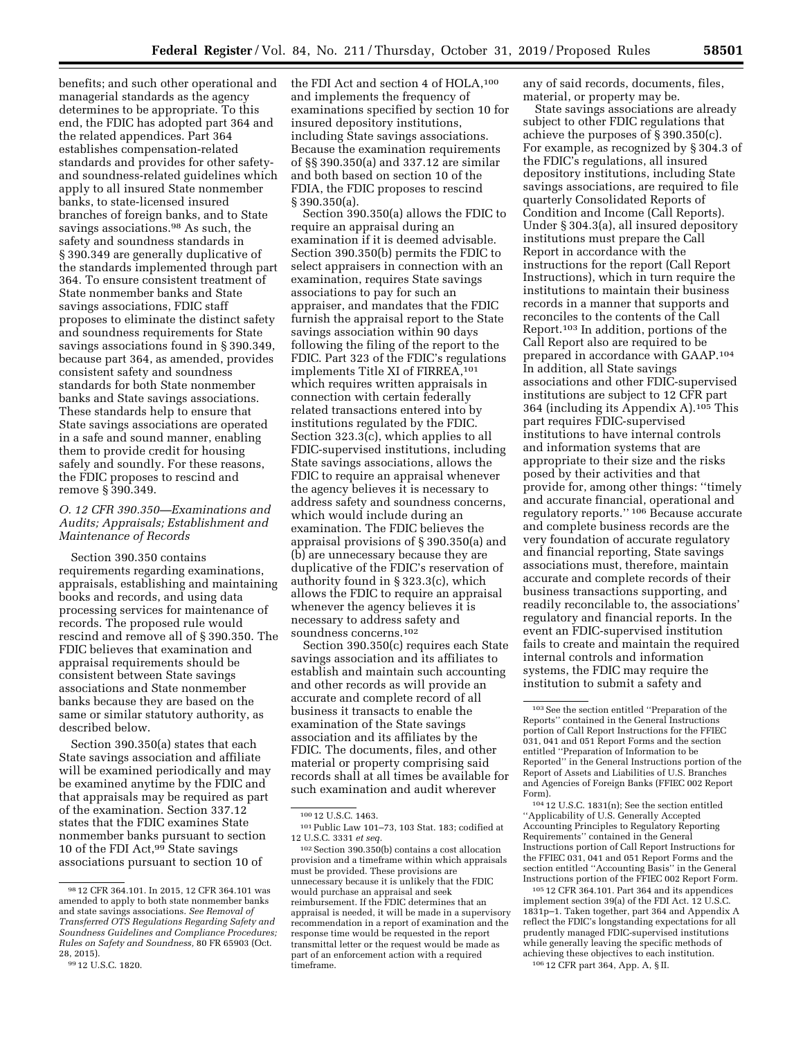benefits; and such other operational and managerial standards as the agency determines to be appropriate. To this end, the FDIC has adopted part 364 and the related appendices. Part 364 establishes compensation-related standards and provides for other safetyand soundness-related guidelines which apply to all insured State nonmember banks, to state-licensed insured branches of foreign banks, and to State savings associations.<sup>98</sup> As such, the safety and soundness standards in § 390.349 are generally duplicative of the standards implemented through part 364. To ensure consistent treatment of State nonmember banks and State savings associations, FDIC staff proposes to eliminate the distinct safety and soundness requirements for State savings associations found in § 390.349, because part 364, as amended, provides consistent safety and soundness standards for both State nonmember banks and State savings associations. These standards help to ensure that State savings associations are operated in a safe and sound manner, enabling them to provide credit for housing safely and soundly. For these reasons, the FDIC proposes to rescind and remove § 390.349.

# *O. 12 CFR 390.350—Examinations and Audits; Appraisals; Establishment and Maintenance of Records*

Section 390.350 contains requirements regarding examinations, appraisals, establishing and maintaining books and records, and using data processing services for maintenance of records. The proposed rule would rescind and remove all of § 390.350. The FDIC believes that examination and appraisal requirements should be consistent between State savings associations and State nonmember banks because they are based on the same or similar statutory authority, as described below.

Section 390.350(a) states that each State savings association and affiliate will be examined periodically and may be examined anytime by the FDIC and that appraisals may be required as part of the examination. Section 337.12 states that the FDIC examines State nonmember banks pursuant to section 10 of the FDI Act,99 State savings associations pursuant to section 10 of

the FDI Act and section 4 of HOLA,<sup>100</sup> and implements the frequency of examinations specified by section 10 for insured depository institutions, including State savings associations. Because the examination requirements of §§ 390.350(a) and 337.12 are similar and both based on section 10 of the FDIA, the FDIC proposes to rescind § 390.350(a).

Section 390.350(a) allows the FDIC to require an appraisal during an examination if it is deemed advisable. Section 390.350(b) permits the FDIC to select appraisers in connection with an examination, requires State savings associations to pay for such an appraiser, and mandates that the FDIC furnish the appraisal report to the State savings association within 90 days following the filing of the report to the FDIC. Part 323 of the FDIC's regulations implements Title XI of FIRREA,101 which requires written appraisals in connection with certain federally related transactions entered into by institutions regulated by the FDIC. Section 323.3(c), which applies to all FDIC-supervised institutions, including State savings associations, allows the FDIC to require an appraisal whenever the agency believes it is necessary to address safety and soundness concerns, which would include during an examination. The FDIC believes the appraisal provisions of § 390.350(a) and (b) are unnecessary because they are duplicative of the FDIC's reservation of authority found in § 323.3(c), which allows the FDIC to require an appraisal whenever the agency believes it is necessary to address safety and soundness concerns.102

Section 390.350(c) requires each State savings association and its affiliates to establish and maintain such accounting and other records as will provide an accurate and complete record of all business it transacts to enable the examination of the State savings association and its affiliates by the FDIC. The documents, files, and other material or property comprising said records shall at all times be available for such examination and audit wherever

102Section 390.350(b) contains a cost allocation provision and a timeframe within which appraisals must be provided. These provisions are unnecessary because it is unlikely that the FDIC would purchase an appraisal and seek reimbursement. If the FDIC determines that an appraisal is needed, it will be made in a supervisory recommendation in a report of examination and the response time would be requested in the report transmittal letter or the request would be made as part of an enforcement action with a required timeframe.

any of said records, documents, files, material, or property may be.

State savings associations are already subject to other FDIC regulations that achieve the purposes of § 390.350(c). For example, as recognized by § 304.3 of the FDIC's regulations, all insured depository institutions, including State savings associations, are required to file quarterly Consolidated Reports of Condition and Income (Call Reports). Under § 304.3(a), all insured depository institutions must prepare the Call Report in accordance with the instructions for the report (Call Report Instructions), which in turn require the institutions to maintain their business records in a manner that supports and reconciles to the contents of the Call Report.103 In addition, portions of the Call Report also are required to be prepared in accordance with GAAP.104 In addition, all State savings associations and other FDIC-supervised institutions are subject to 12 CFR part 364 (including its Appendix A).105 This part requires FDIC-supervised institutions to have internal controls and information systems that are appropriate to their size and the risks posed by their activities and that provide for, among other things: ''timely and accurate financial, operational and regulatory reports.'' 106 Because accurate and complete business records are the very foundation of accurate regulatory and financial reporting, State savings associations must, therefore, maintain accurate and complete records of their business transactions supporting, and readily reconcilable to, the associations' regulatory and financial reports. In the event an FDIC-supervised institution fails to create and maintain the required internal controls and information systems, the FDIC may require the institution to submit a safety and

<sup>98</sup> 12 CFR 364.101. In 2015, 12 CFR 364.101 was amended to apply to both state nonmember banks and state savings associations. *See Removal of Transferred OTS Regulations Regarding Safety and Soundness Guidelines and Compliance Procedures; Rules on Safety and Soundness,* 80 FR 65903 (Oct. 28, 2015).

<sup>99</sup> 12 U.S.C. 1820.

<sup>100</sup> 12 U.S.C. 1463.

<sup>101</sup>Public Law 101–73, 103 Stat. 183; codified at 12 U.S.C. 3331 *et seq.* 

<sup>103</sup>See the section entitled ''Preparation of the Reports'' contained in the General Instructions portion of Call Report Instructions for the FFIEC 031, 041 and 051 Report Forms and the section entitled ''Preparation of Information to be Reported'' in the General Instructions portion of the Report of Assets and Liabilities of U.S. Branches and Agencies of Foreign Banks (FFIEC 002 Report Form).

<sup>104</sup> 12 U.S.C. 1831(n); See the section entitled ''Applicability of U.S. Generally Accepted Accounting Principles to Regulatory Reporting Requirements'' contained in the General Instructions portion of Call Report Instructions for the FFIEC 031, 041 and 051 Report Forms and the section entitled ''Accounting Basis'' in the General Instructions portion of the FFIEC 002 Report Form.

<sup>105</sup> 12 CFR 364.101. Part 364 and its appendices implement section 39(a) of the FDI Act. 12 U.S.C. 1831p–1. Taken together, part 364 and Appendix A reflect the FDIC's longstanding expectations for all prudently managed FDIC-supervised institutions while generally leaving the specific methods of achieving these objectives to each institution. 106 12 CFR part 364, App. A, § II.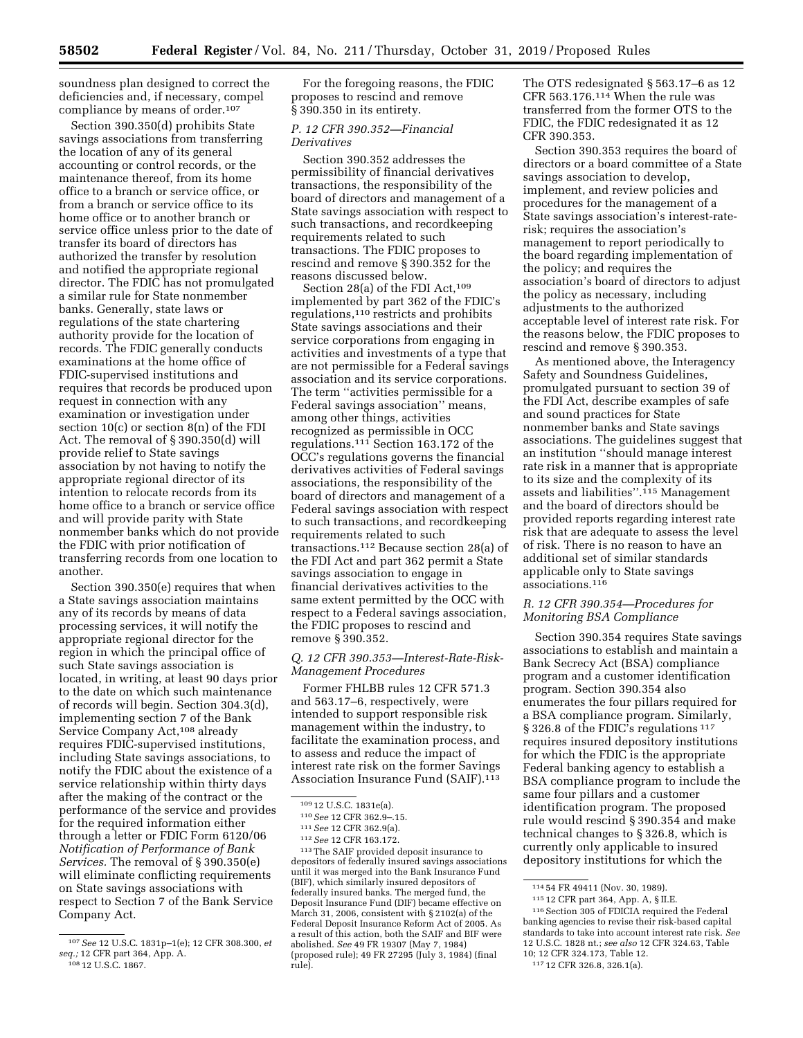soundness plan designed to correct the deficiencies and, if necessary, compel compliance by means of order.107

Section 390.350(d) prohibits State savings associations from transferring the location of any of its general accounting or control records, or the maintenance thereof, from its home office to a branch or service office, or from a branch or service office to its home office or to another branch or service office unless prior to the date of transfer its board of directors has authorized the transfer by resolution and notified the appropriate regional director. The FDIC has not promulgated a similar rule for State nonmember banks. Generally, state laws or regulations of the state chartering authority provide for the location of records. The FDIC generally conducts examinations at the home office of FDIC-supervised institutions and requires that records be produced upon request in connection with any examination or investigation under section 10(c) or section 8(n) of the FDI Act. The removal of § 390.350(d) will provide relief to State savings association by not having to notify the appropriate regional director of its intention to relocate records from its home office to a branch or service office and will provide parity with State nonmember banks which do not provide the FDIC with prior notification of transferring records from one location to another.

Section 390.350(e) requires that when a State savings association maintains any of its records by means of data processing services, it will notify the appropriate regional director for the region in which the principal office of such State savings association is located, in writing, at least 90 days prior to the date on which such maintenance of records will begin. Section 304.3(d), implementing section 7 of the Bank Service Company Act,<sup>108</sup> already requires FDIC-supervised institutions, including State savings associations, to notify the FDIC about the existence of a service relationship within thirty days after the making of the contract or the performance of the service and provides for the required information either through a letter or FDIC Form 6120/06 *Notification of Performance of Bank Services.* The removal of § 390.350(e) will eliminate conflicting requirements on State savings associations with respect to Section 7 of the Bank Service Company Act.

For the foregoing reasons, the FDIC proposes to rescind and remove § 390.350 in its entirety.

# *P. 12 CFR 390.352—Financial Derivatives*

Section 390.352 addresses the permissibility of financial derivatives transactions, the responsibility of the board of directors and management of a State savings association with respect to such transactions, and recordkeeping requirements related to such transactions. The FDIC proposes to rescind and remove § 390.352 for the reasons discussed below.

Section 28(a) of the FDI Act,<sup>109</sup> implemented by part 362 of the FDIC's regulations,110 restricts and prohibits State savings associations and their service corporations from engaging in activities and investments of a type that are not permissible for a Federal savings association and its service corporations. The term ''activities permissible for a Federal savings association'' means, among other things, activities recognized as permissible in OCC regulations.111 Section 163.172 of the OCC's regulations governs the financial derivatives activities of Federal savings associations, the responsibility of the board of directors and management of a Federal savings association with respect to such transactions, and recordkeeping requirements related to such transactions.112 Because section 28(a) of the FDI Act and part 362 permit a State savings association to engage in financial derivatives activities to the same extent permitted by the OCC with respect to a Federal savings association, the FDIC proposes to rescind and remove § 390.352.

# *Q. 12 CFR 390.353—Interest-Rate-Risk-Management Procedures*

Former FHLBB rules 12 CFR 571.3 and 563.17–6, respectively, were intended to support responsible risk management within the industry, to facilitate the examination process, and to assess and reduce the impact of interest rate risk on the former Savings Association Insurance Fund (SAIF).113

109 12 U.S.C. 1831e(a).<br><sup>110</sup> *See* 12 CFR 362.9–.15.<br><sup>111</sup> *See* 12 CFR 362.9(a).<br><sup>112</sup> *See* 12 CFR 163.172.<br><sup>113</sup> The SAIF provided deposit insurance to depositors of federally insured savings associations until it was merged into the Bank Insurance Fund (BIF), which similarly insured depositors of federally insured banks. The merged fund, the Deposit Insurance Fund (DIF) became effective on March 31, 2006, consistent with § 2102(a) of the Federal Deposit Insurance Reform Act of 2005. As a result of this action, both the SAIF and BIF were abolished. *See* 49 FR 19307 (May 7, 1984) (proposed rule); 49 FR 27295 (July 3, 1984) (final rule).

The OTS redesignated § 563.17–6 as 12 CFR 563.176.114 When the rule was transferred from the former OTS to the FDIC, the FDIC redesignated it as 12 CFR 390.353.

Section 390.353 requires the board of directors or a board committee of a State savings association to develop, implement, and review policies and procedures for the management of a State savings association's interest-raterisk; requires the association's management to report periodically to the board regarding implementation of the policy; and requires the association's board of directors to adjust the policy as necessary, including adjustments to the authorized acceptable level of interest rate risk. For the reasons below, the FDIC proposes to rescind and remove § 390.353.

As mentioned above, the Interagency Safety and Soundness Guidelines, promulgated pursuant to section 39 of the FDI Act, describe examples of safe and sound practices for State nonmember banks and State savings associations. The guidelines suggest that an institution ''should manage interest rate risk in a manner that is appropriate to its size and the complexity of its assets and liabilities''.115 Management and the board of directors should be provided reports regarding interest rate risk that are adequate to assess the level of risk. There is no reason to have an additional set of similar standards applicable only to State savings associations.116

# *R. 12 CFR 390.354—Procedures for Monitoring BSA Compliance*

Section 390.354 requires State savings associations to establish and maintain a Bank Secrecy Act (BSA) compliance program and a customer identification program. Section 390.354 also enumerates the four pillars required for a BSA compliance program. Similarly, § 326.8 of the FDIC's regulations<sup>117</sup> requires insured depository institutions for which the FDIC is the appropriate Federal banking agency to establish a BSA compliance program to include the same four pillars and a customer identification program. The proposed rule would rescind § 390.354 and make technical changes to § 326.8, which is currently only applicable to insured depository institutions for which the

<sup>107</sup>*See* 12 U.S.C. 1831p–1(e); 12 CFR 308.300, *et seq.;* 12 CFR part 364, App. A. 108 12 U.S.C. 1867.

<sup>114</sup> 54 FR 49411 (Nov. 30, 1989).

<sup>115</sup> 12 CFR part 364, App. A, § II.E.

 $^{\rm 116}$  Section 305 of FDICIA required the Federal banking agencies to revise their risk-based capital standards to take into account interest rate risk. *See*  12 U.S.C. 1828 nt.; *see also* 12 CFR 324.63, Table 10; 12 CFR 324.173, Table 12.

<sup>117</sup> 12 CFR 326.8, 326.1(a).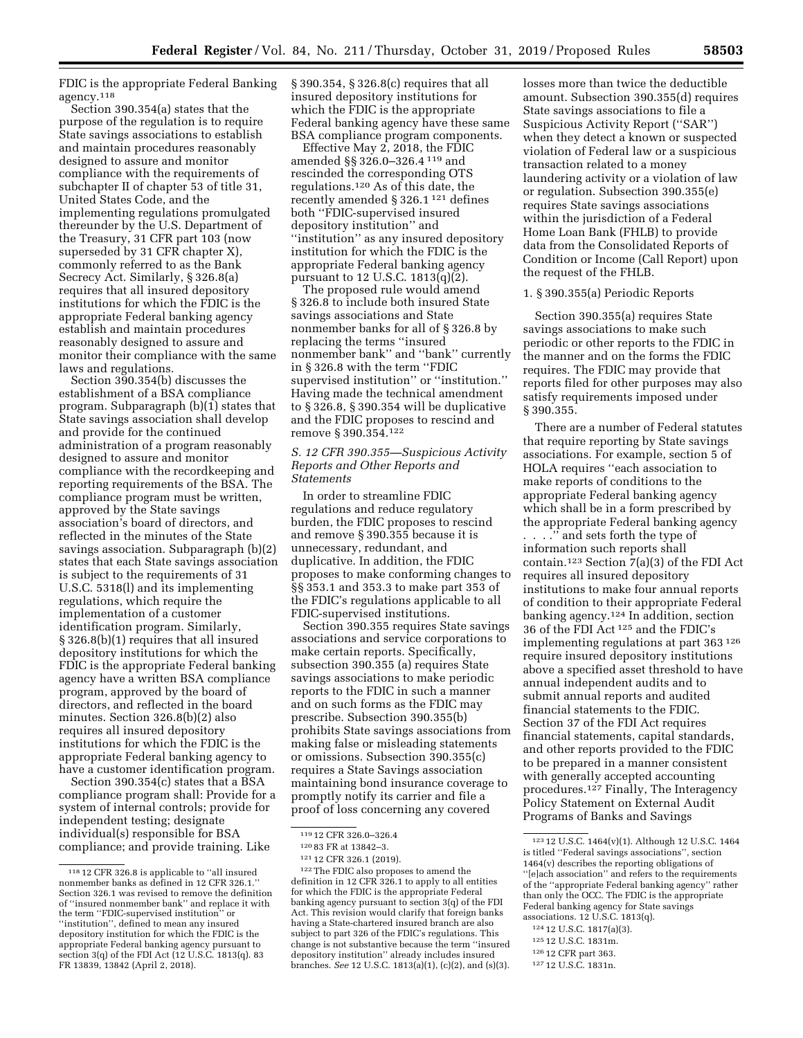FDIC is the appropriate Federal Banking agency.118

Section 390.354(a) states that the purpose of the regulation is to require State savings associations to establish and maintain procedures reasonably designed to assure and monitor compliance with the requirements of subchapter II of chapter 53 of title 31, United States Code, and the implementing regulations promulgated thereunder by the U.S. Department of the Treasury, 31 CFR part 103 (now superseded by 31 CFR chapter X), commonly referred to as the Bank Secrecy Act. Similarly, § 326.8(a) requires that all insured depository institutions for which the FDIC is the appropriate Federal banking agency establish and maintain procedures reasonably designed to assure and monitor their compliance with the same laws and regulations.

Section 390.354(b) discusses the establishment of a BSA compliance program. Subparagraph (b)(1) states that State savings association shall develop and provide for the continued administration of a program reasonably designed to assure and monitor compliance with the recordkeeping and reporting requirements of the BSA. The compliance program must be written, approved by the State savings association's board of directors, and reflected in the minutes of the State savings association. Subparagraph (b)(2) states that each State savings association is subject to the requirements of 31 U.S.C. 5318(l) and its implementing regulations, which require the implementation of a customer identification program. Similarly, § 326.8(b)(1) requires that all insured depository institutions for which the FDIC is the appropriate Federal banking agency have a written BSA compliance program, approved by the board of directors, and reflected in the board minutes. Section 326.8(b)(2) also requires all insured depository institutions for which the FDIC is the appropriate Federal banking agency to have a customer identification program.

Section 390.354(c) states that a BSA compliance program shall: Provide for a system of internal controls; provide for independent testing; designate individual(s) responsible for BSA compliance; and provide training. Like

§ 390.354, § 326.8(c) requires that all insured depository institutions for which the FDIC is the appropriate Federal banking agency have these same BSA compliance program components.

Effective May 2, 2018, the FDIC amended §§ 326.0–326.4 119 and rescinded the corresponding OTS regulations.120 As of this date, the recently amended § 326.1 121 defines both ''FDIC-supervised insured depository institution'' and ''institution'' as any insured depository institution for which the FDIC is the appropriate Federal banking agency pursuant to 12 U.S.C. 1813(q)(2).

The proposed rule would amend § 326.8 to include both insured State savings associations and State nonmember banks for all of § 326.8 by replacing the terms ''insured nonmember bank'' and ''bank'' currently in § 326.8 with the term ''FDIC supervised institution'' or ''institution.'' Having made the technical amendment to § 326.8, § 390.354 will be duplicative and the FDIC proposes to rescind and remove § 390.354.122

# *S. 12 CFR 390.355—Suspicious Activity Reports and Other Reports and Statements*

In order to streamline FDIC regulations and reduce regulatory burden, the FDIC proposes to rescind and remove § 390.355 because it is unnecessary, redundant, and duplicative. In addition, the FDIC proposes to make conforming changes to §§ 353.1 and 353.3 to make part 353 of the FDIC's regulations applicable to all FDIC-supervised institutions.

Section 390.355 requires State savings associations and service corporations to make certain reports. Specifically, subsection 390.355 (a) requires State savings associations to make periodic reports to the FDIC in such a manner and on such forms as the FDIC may prescribe. Subsection 390.355(b) prohibits State savings associations from making false or misleading statements or omissions. Subsection 390.355(c) requires a State Savings association maintaining bond insurance coverage to promptly notify its carrier and file a proof of loss concerning any covered

122The FDIC also proposes to amend the definition in 12 CFR 326.1 to apply to all entities for which the FDIC is the appropriate Federal banking agency pursuant to section 3(q) of the FDI Act. This revision would clarify that foreign banks having a State-chartered insured branch are also subject to part 326 of the FDIC's regulations. This change is not substantive because the term ''insured depository institution'' already includes insured branches. *See* 12 U.S.C. 1813(a)(1), (c)(2), and (s)(3). losses more than twice the deductible amount. Subsection 390.355(d) requires State savings associations to file a Suspicious Activity Report (''SAR'') when they detect a known or suspected violation of Federal law or a suspicious transaction related to a money laundering activity or a violation of law or regulation. Subsection 390.355(e) requires State savings associations within the jurisdiction of a Federal Home Loan Bank (FHLB) to provide data from the Consolidated Reports of Condition or Income (Call Report) upon the request of the FHLB.

### 1. § 390.355(a) Periodic Reports

Section 390.355(a) requires State savings associations to make such periodic or other reports to the FDIC in the manner and on the forms the FDIC requires. The FDIC may provide that reports filed for other purposes may also satisfy requirements imposed under § 390.355.

There are a number of Federal statutes that require reporting by State savings associations. For example, section 5 of HOLA requires ''each association to make reports of conditions to the appropriate Federal banking agency which shall be in a form prescribed by the appropriate Federal banking agency

. . . .'' and sets forth the type of information such reports shall contain.123 Section 7(a)(3) of the FDI Act requires all insured depository institutions to make four annual reports of condition to their appropriate Federal banking agency.124 In addition, section 36 of the FDI Act 125 and the FDIC's implementing regulations at part 363 126 require insured depository institutions above a specified asset threshold to have annual independent audits and to submit annual reports and audited financial statements to the FDIC. Section 37 of the FDI Act requires financial statements, capital standards, and other reports provided to the FDIC to be prepared in a manner consistent with generally accepted accounting procedures.127 Finally, The Interagency Policy Statement on External Audit Programs of Banks and Savings

- 125 12 U.S.C. 1831m.
- 126 12 CFR part 363.

<sup>118</sup> 12 CFR 326.8 is applicable to ''all insured nonmember banks as defined in 12 CFR 326.1.'' Section 326.1 was revised to remove the definition of ''insured nonmember bank'' and replace it with the term ''FDIC-supervised institution'' or ''institution'', defined to mean any insured depository institution for which the FDIC is the appropriate Federal banking agency pursuant to section 3(q) of the FDI Act (12 U.S.C. 1813(q). 83 FR 13839, 13842 (April 2, 2018).

<sup>119</sup> 12 CFR 326.0–326.4

<sup>120</sup> 83 FR at 13842–3.

<sup>121</sup> 12 CFR 326.1 (2019).

<sup>123</sup> 12 U.S.C. 1464(v)(1). Although 12 U.S.C. 1464 is titled ''Federal savings associations'', section 1464(v) describes the reporting obligations of ''[e]ach association'' and refers to the requirements of the ''appropriate Federal banking agency'' rather than only the OCC. The FDIC is the appropriate Federal banking agency for State savings associations. 12 U.S.C. 1813(q).

<sup>124</sup> 12 U.S.C. 1817(a)(3).

<sup>127</sup> 12 U.S.C. 1831n.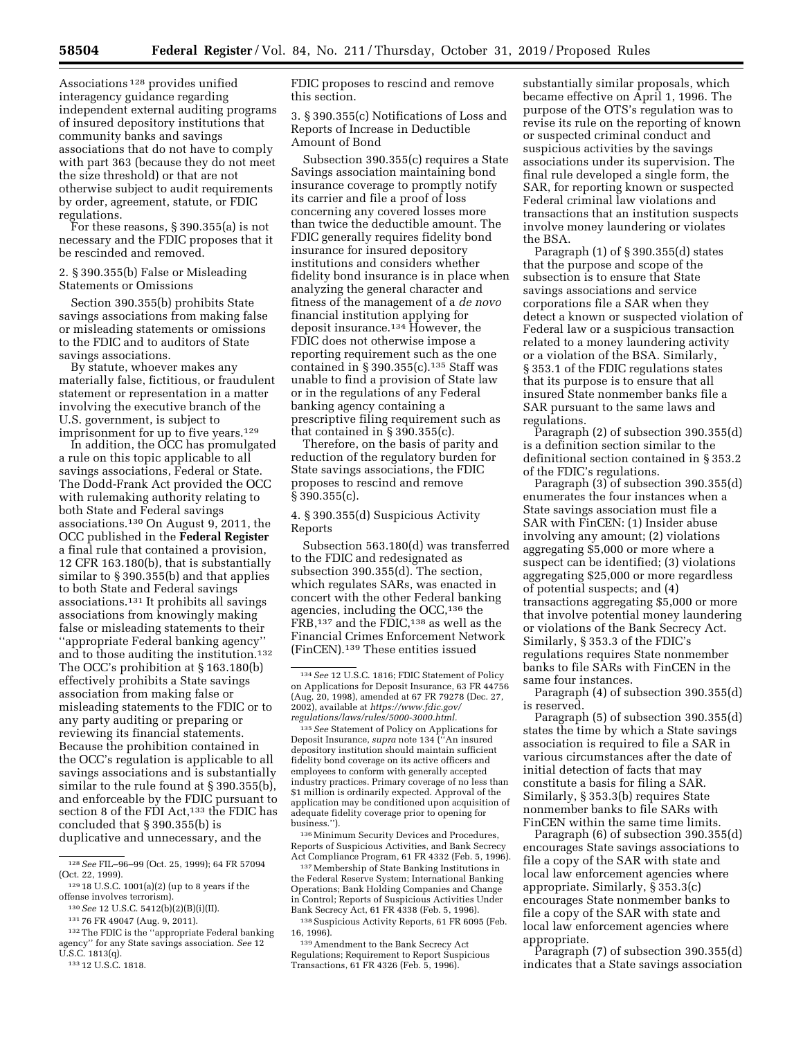Associations 128 provides unified interagency guidance regarding independent external auditing programs of insured depository institutions that community banks and savings associations that do not have to comply with part 363 (because they do not meet the size threshold) or that are not otherwise subject to audit requirements by order, agreement, statute, or FDIC regulations.

For these reasons, § 390.355(a) is not necessary and the FDIC proposes that it be rescinded and removed.

2. § 390.355(b) False or Misleading Statements or Omissions

Section 390.355(b) prohibits State savings associations from making false or misleading statements or omissions to the FDIC and to auditors of State savings associations.

By statute, whoever makes any materially false, fictitious, or fraudulent statement or representation in a matter involving the executive branch of the U.S. government, is subject to imprisonment for up to five years.<sup>129</sup>

In addition, the OCC has promulgated a rule on this topic applicable to all savings associations, Federal or State. The Dodd-Frank Act provided the OCC with rulemaking authority relating to both State and Federal savings associations.130 On August 9, 2011, the OCC published in the **Federal Register**  a final rule that contained a provision, 12 CFR 163.180(b), that is substantially similar to § 390.355(b) and that applies to both State and Federal savings associations.131 It prohibits all savings associations from knowingly making false or misleading statements to their ''appropriate Federal banking agency'' and to those auditing the institution.132 The OCC's prohibition at § 163.180(b) effectively prohibits a State savings association from making false or misleading statements to the FDIC or to any party auditing or preparing or reviewing its financial statements. Because the prohibition contained in the OCC's regulation is applicable to all savings associations and is substantially similar to the rule found at § 390.355(b), and enforceable by the FDIC pursuant to section 8 of the FDI Act,<sup>133</sup> the FDIC has concluded that § 390.355(b) is duplicative and unnecessary, and the

133 12 U.S.C. 1818.

FDIC proposes to rescind and remove this section.

3. § 390.355(c) Notifications of Loss and Reports of Increase in Deductible Amount of Bond

Subsection 390.355(c) requires a State Savings association maintaining bond insurance coverage to promptly notify its carrier and file a proof of loss concerning any covered losses more than twice the deductible amount. The FDIC generally requires fidelity bond insurance for insured depository institutions and considers whether fidelity bond insurance is in place when analyzing the general character and fitness of the management of a *de novo*  financial institution applying for deposit insurance.134 However, the FDIC does not otherwise impose a reporting requirement such as the one contained in § 390.355(c). $135$  Staff was unable to find a provision of State law or in the regulations of any Federal banking agency containing a prescriptive filing requirement such as that contained in § 390.355(c).

Therefore, on the basis of parity and reduction of the regulatory burden for State savings associations, the FDIC proposes to rescind and remove § 390.355(c).

4. § 390.355(d) Suspicious Activity Reports

Subsection 563.180(d) was transferred to the FDIC and redesignated as subsection 390.355(d). The section, which regulates SARs, was enacted in concert with the other Federal banking agencies, including the OCC,<sup>136</sup> the FRB,137 and the FDIC,138 as well as the Financial Crimes Enforcement Network (FinCEN).139 These entities issued

135*See* Statement of Policy on Applications for Deposit Insurance, *supra* note 134 (''An insured depository institution should maintain sufficient fidelity bond coverage on its active officers and employees to conform with generally accepted industry practices. Primary coverage of no less than \$1 million is ordinarily expected. Approval of the application may be conditioned upon acquisition of adequate fidelity coverage prior to opening for business.'').

136Minimum Security Devices and Procedures, Reports of Suspicious Activities, and Bank Secrecy Act Compliance Program, 61 FR 4332 (Feb. 5, 1996).

137Membership of State Banking Institutions in the Federal Reserve System; International Banking Operations; Bank Holding Companies and Change in Control; Reports of Suspicious Activities Under Bank Secrecy Act, 61 FR 4338 (Feb. 5, 1996).

138Suspicious Activity Reports, 61 FR 6095 (Feb. 16, 1996).

139Amendment to the Bank Secrecy Act Regulations; Requirement to Report Suspicious Transactions, 61 FR 4326 (Feb. 5, 1996).

substantially similar proposals, which became effective on April 1, 1996. The purpose of the OTS's regulation was to revise its rule on the reporting of known or suspected criminal conduct and suspicious activities by the savings associations under its supervision. The final rule developed a single form, the SAR, for reporting known or suspected Federal criminal law violations and transactions that an institution suspects involve money laundering or violates the BSA.

Paragraph (1) of § 390.355(d) states that the purpose and scope of the subsection is to ensure that State savings associations and service corporations file a SAR when they detect a known or suspected violation of Federal law or a suspicious transaction related to a money laundering activity or a violation of the BSA. Similarly, § 353.1 of the FDIC regulations states that its purpose is to ensure that all insured State nonmember banks file a SAR pursuant to the same laws and regulations.

Paragraph (2) of subsection 390.355(d) is a definition section similar to the definitional section contained in § 353.2 of the FDIC's regulations.

Paragraph (3) of subsection 390.355(d) enumerates the four instances when a State savings association must file a SAR with FinCEN: (1) Insider abuse involving any amount; (2) violations aggregating \$5,000 or more where a suspect can be identified; (3) violations aggregating \$25,000 or more regardless of potential suspects; and (4) transactions aggregating \$5,000 or more that involve potential money laundering or violations of the Bank Secrecy Act. Similarly, § 353.3 of the FDIC's regulations requires State nonmember banks to file SARs with FinCEN in the same four instances.

Paragraph (4) of subsection 390.355(d) is reserved.

Paragraph (5) of subsection 390.355(d) states the time by which a State savings association is required to file a SAR in various circumstances after the date of initial detection of facts that may constitute a basis for filing a SAR. Similarly, § 353.3(b) requires State nonmember banks to file SARs with FinCEN within the same time limits.

Paragraph (6) of subsection 390.355(d) encourages State savings associations to file a copy of the SAR with state and local law enforcement agencies where appropriate. Similarly, § 353.3(c) encourages State nonmember banks to file a copy of the SAR with state and local law enforcement agencies where appropriate.

Paragraph (7) of subsection 390.355(d) indicates that a State savings association

<sup>128</sup>*See* FIL–96–99 (Oct. 25, 1999); 64 FR 57094 (Oct. 22, 1999).

 $^{\rm 129\,18}$  U.S.C. 1001(a)(2) (up to 8 years if the offense involves terrorism).

<sup>130</sup>*See* 12 U.S.C. 5412(b)(2)(B)(i)(II).

<sup>131</sup> 76 FR 49047 (Aug. 9, 2011).

<sup>132</sup>The FDIC is the ''appropriate Federal banking agency'' for any State savings association. *See* 12 U.S.C. 1813(q).

<sup>134</sup>*See* 12 U.S.C. 1816; FDIC Statement of Policy on Applications for Deposit Insurance, 63 FR 44756 (Aug. 20, 1998), amended at 67 FR 79278 (Dec. 27, 2002), available at *[https://www.fdic.gov/](https://www.fdic.gov/regulations/laws/rules/5000-3000.html)  [regulations/laws/rules/5000-3000.html.](https://www.fdic.gov/regulations/laws/rules/5000-3000.html)*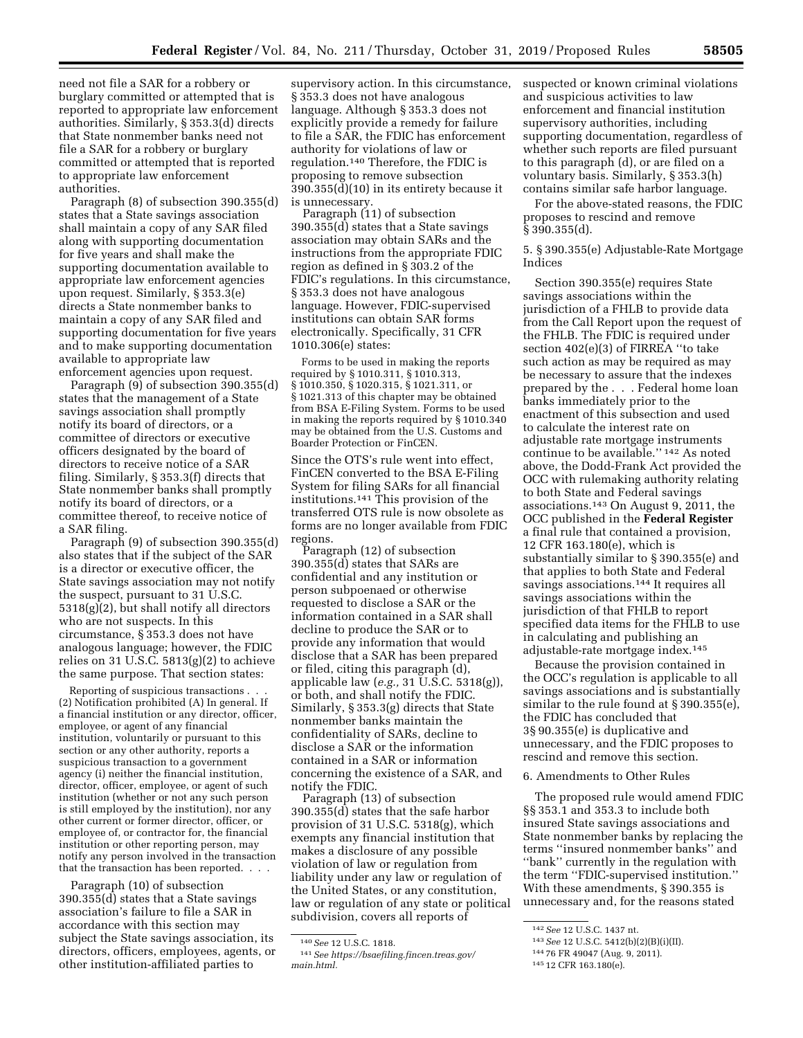need not file a SAR for a robbery or burglary committed or attempted that is reported to appropriate law enforcement authorities. Similarly, § 353.3(d) directs that State nonmember banks need not file a SAR for a robbery or burglary committed or attempted that is reported to appropriate law enforcement authorities.

Paragraph (8) of subsection 390.355(d) states that a State savings association shall maintain a copy of any SAR filed along with supporting documentation for five years and shall make the supporting documentation available to appropriate law enforcement agencies upon request. Similarly, § 353.3(e) directs a State nonmember banks to maintain a copy of any SAR filed and supporting documentation for five years and to make supporting documentation available to appropriate law enforcement agencies upon request.

Paragraph (9) of subsection 390.355(d) states that the management of a State savings association shall promptly notify its board of directors, or a committee of directors or executive officers designated by the board of directors to receive notice of a SAR filing. Similarly, § 353.3(f) directs that State nonmember banks shall promptly notify its board of directors, or a committee thereof, to receive notice of a SAR filing.

Paragraph (9) of subsection 390.355(d) also states that if the subject of the SAR is a director or executive officer, the State savings association may not notify the suspect, pursuant to 31 U.S.C. 5318(g)(2), but shall notify all directors who are not suspects. In this circumstance, § 353.3 does not have analogous language; however, the FDIC relies on 31 U.S.C.  $5813(g)(2)$  to achieve the same purpose. That section states:

Reporting of suspicious transactions . . . (2) Notification prohibited (A) In general. If a financial institution or any director, officer, employee, or agent of any financial institution, voluntarily or pursuant to this section or any other authority, reports a suspicious transaction to a government agency (i) neither the financial institution, director, officer, employee, or agent of such institution (whether or not any such person is still employed by the institution), nor any other current or former director, officer, or employee of, or contractor for, the financial institution or other reporting person, may notify any person involved in the transaction that the transaction has been reported. . . .

Paragraph (10) of subsection 390.355(d) states that a State savings association's failure to file a SAR in accordance with this section may subject the State savings association, its directors, officers, employees, agents, or other institution-affiliated parties to

supervisory action. In this circumstance, § 353.3 does not have analogous language. Although § 353.3 does not explicitly provide a remedy for failure to file a SAR, the FDIC has enforcement authority for violations of law or regulation.140 Therefore, the FDIC is proposing to remove subsection 390.355(d)(10) in its entirety because it is unnecessary.

Paragraph (11) of subsection 390.355(d) states that a State savings association may obtain SARs and the instructions from the appropriate FDIC region as defined in § 303.2 of the FDIC's regulations. In this circumstance, § 353.3 does not have analogous language. However, FDIC-supervised institutions can obtain SAR forms electronically. Specifically, 31 CFR 1010.306(e) states:

Forms to be used in making the reports required by § 1010.311, § 1010.313, § 1010.350, § 1020.315, § 1021.311, or § 1021.313 of this chapter may be obtained from BSA E-Filing System. Forms to be used in making the reports required by § 1010.340 may be obtained from the U.S. Customs and Boarder Protection or FinCEN.

Since the OTS's rule went into effect, FinCEN converted to the BSA E-Filing System for filing SARs for all financial institutions.141 This provision of the transferred OTS rule is now obsolete as forms are no longer available from FDIC regions.

Paragraph (12) of subsection 390.355(d) states that SARs are confidential and any institution or person subpoenaed or otherwise requested to disclose a SAR or the information contained in a SAR shall decline to produce the SAR or to provide any information that would disclose that a SAR has been prepared or filed, citing this paragraph (d), applicable law (*e.g.,* 31 U.S.C. 5318(g)), or both, and shall notify the FDIC. Similarly, § 353.3(g) directs that State nonmember banks maintain the confidentiality of SARs, decline to disclose a SAR or the information contained in a SAR or information concerning the existence of a SAR, and notify the FDIC.

Paragraph (13) of subsection 390.355(d) states that the safe harbor provision of 31 U.S.C. 5318(g), which exempts any financial institution that makes a disclosure of any possible violation of law or regulation from liability under any law or regulation of the United States, or any constitution, law or regulation of any state or political subdivision, covers all reports of

suspected or known criminal violations and suspicious activities to law enforcement and financial institution supervisory authorities, including supporting documentation, regardless of whether such reports are filed pursuant to this paragraph (d), or are filed on a voluntary basis. Similarly, § 353.3(h) contains similar safe harbor language.

For the above-stated reasons, the FDIC proposes to rescind and remove § 390.355(d).

5. § 390.355(e) Adjustable-Rate Mortgage Indices

Section 390.355(e) requires State savings associations within the jurisdiction of a FHLB to provide data from the Call Report upon the request of the FHLB. The FDIC is required under section 402(e)(3) of FIRREA ''to take such action as may be required as may be necessary to assure that the indexes prepared by the . . . Federal home loan banks immediately prior to the enactment of this subsection and used to calculate the interest rate on adjustable rate mortgage instruments continue to be available.'' 142 As noted above, the Dodd-Frank Act provided the OCC with rulemaking authority relating to both State and Federal savings associations.143 On August 9, 2011, the OCC published in the **Federal Register**  a final rule that contained a provision, 12 CFR 163.180(e), which is substantially similar to § 390.355(e) and that applies to both State and Federal savings associations.144 It requires all savings associations within the jurisdiction of that FHLB to report specified data items for the FHLB to use in calculating and publishing an adjustable-rate mortgage index.145

Because the provision contained in the OCC's regulation is applicable to all savings associations and is substantially similar to the rule found at § 390.355(e), the FDIC has concluded that 3§ 90.355(e) is duplicative and unnecessary, and the FDIC proposes to rescind and remove this section.

# 6. Amendments to Other Rules

The proposed rule would amend FDIC §§ 353.1 and 353.3 to include both insured State savings associations and State nonmember banks by replacing the terms ''insured nonmember banks'' and ''bank'' currently in the regulation with the term ''FDIC-supervised institution.'' With these amendments, § 390.355 is unnecessary and, for the reasons stated

<sup>140</sup>*See* 12 U.S.C. 1818.

<sup>141</sup>*See [https://bsaefiling.fincen.treas.gov/](https://bsaefiling.fincen.treas.gov/main.html)  [main.html.](https://bsaefiling.fincen.treas.gov/main.html)* 

<sup>142</sup>*See* 12 U.S.C. 1437 nt.

<sup>143</sup>*See* 12 U.S.C. 5412(b)(2)(B)(i)(II).

<sup>144</sup> 76 FR 49047 (Aug. 9, 2011).

<sup>145</sup> 12 CFR 163.180(e).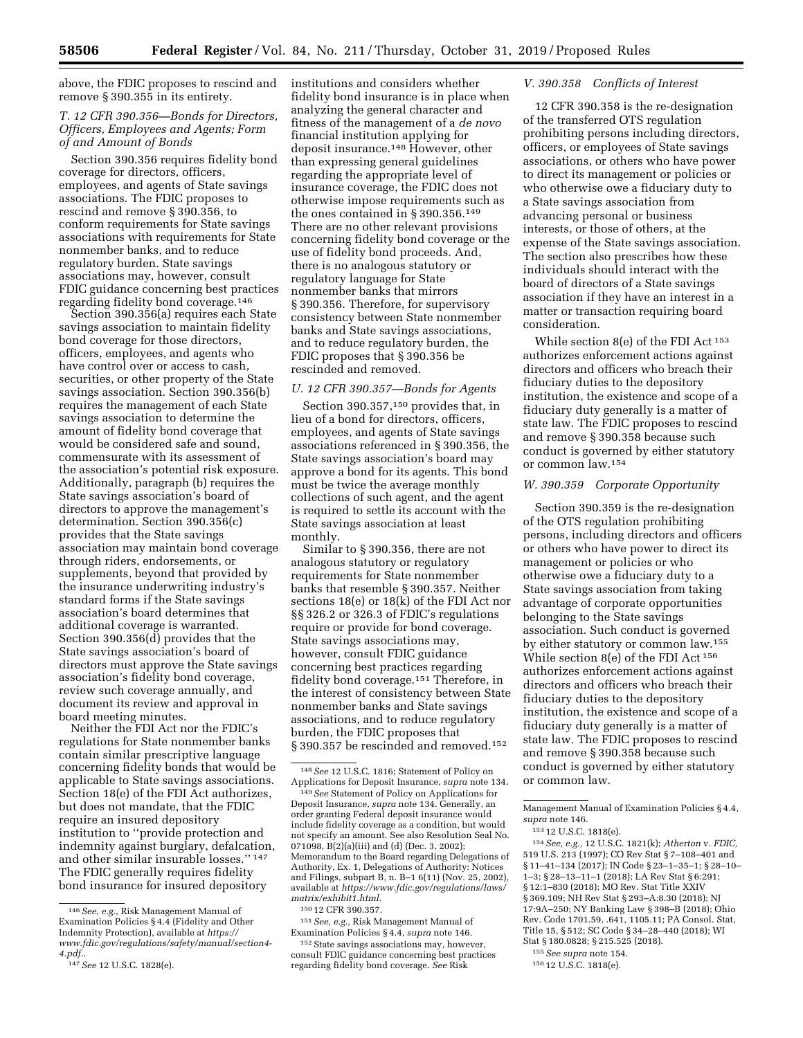above, the FDIC proposes to rescind and remove § 390.355 in its entirety.

# *T. 12 CFR 390.356—Bonds for Directors, Officers, Employees and Agents; Form of and Amount of Bonds*

Section 390.356 requires fidelity bond coverage for directors, officers, employees, and agents of State savings associations. The FDIC proposes to rescind and remove § 390.356, to conform requirements for State savings associations with requirements for State nonmember banks, and to reduce regulatory burden. State savings associations may, however, consult FDIC guidance concerning best practices regarding fidelity bond coverage.<sup>146</sup>

Section 390.356(a) requires each State savings association to maintain fidelity bond coverage for those directors, officers, employees, and agents who have control over or access to cash, securities, or other property of the State savings association. Section 390.356(b) requires the management of each State savings association to determine the amount of fidelity bond coverage that would be considered safe and sound, commensurate with its assessment of the association's potential risk exposure. Additionally, paragraph (b) requires the State savings association's board of directors to approve the management's determination. Section 390.356(c) provides that the State savings association may maintain bond coverage through riders, endorsements, or supplements, beyond that provided by the insurance underwriting industry's standard forms if the State savings association's board determines that additional coverage is warranted. Section 390.356(d) provides that the State savings association's board of directors must approve the State savings association's fidelity bond coverage, review such coverage annually, and document its review and approval in board meeting minutes.

Neither the FDI Act nor the FDIC's regulations for State nonmember banks contain similar prescriptive language concerning fidelity bonds that would be applicable to State savings associations. Section 18(e) of the FDI Act authorizes, but does not mandate, that the FDIC require an insured depository institution to ''provide protection and indemnity against burglary, defalcation, and other similar insurable losses.'' 147 The FDIC generally requires fidelity bond insurance for insured depository

institutions and considers whether fidelity bond insurance is in place when analyzing the general character and fitness of the management of a *de novo*  financial institution applying for deposit insurance.148 However, other than expressing general guidelines regarding the appropriate level of insurance coverage, the FDIC does not otherwise impose requirements such as the ones contained in § 390.356.149 There are no other relevant provisions concerning fidelity bond coverage or the use of fidelity bond proceeds. And, there is no analogous statutory or regulatory language for State nonmember banks that mirrors § 390.356. Therefore, for supervisory consistency between State nonmember banks and State savings associations, and to reduce regulatory burden, the FDIC proposes that § 390.356 be rescinded and removed.

### *U. 12 CFR 390.357—Bonds for Agents*

Section 390.357,<sup>150</sup> provides that, in lieu of a bond for directors, officers, employees, and agents of State savings associations referenced in § 390.356, the State savings association's board may approve a bond for its agents. This bond must be twice the average monthly collections of such agent, and the agent is required to settle its account with the State savings association at least monthly.

Similar to § 390.356, there are not analogous statutory or regulatory requirements for State nonmember banks that resemble § 390.357. Neither sections 18(e) or 18(k) of the FDI Act nor §§ 326.2 or 326.3 of FDIC's regulations require or provide for bond coverage. State savings associations may, however, consult FDIC guidance concerning best practices regarding fidelity bond coverage.151 Therefore, in the interest of consistency between State nonmember banks and State savings associations, and to reduce regulatory burden, the FDIC proposes that § 390.357 be rescinded and removed.152

151*See, e.g.,* Risk Management Manual of Examination Policies § 4.4, *supra* note 146.

152 State savings associations may, however, consult FDIC guidance concerning best practices regarding fidelity bond coverage. *See* Risk

### *V. 390.358 Conflicts of Interest*

12 CFR 390.358 is the re-designation of the transferred OTS regulation prohibiting persons including directors, officers, or employees of State savings associations, or others who have power to direct its management or policies or who otherwise owe a fiduciary duty to a State savings association from advancing personal or business interests, or those of others, at the expense of the State savings association. The section also prescribes how these individuals should interact with the board of directors of a State savings association if they have an interest in a matter or transaction requiring board consideration.

While section 8(e) of the FDI Act 153 authorizes enforcement actions against directors and officers who breach their fiduciary duties to the depository institution, the existence and scope of a fiduciary duty generally is a matter of state law. The FDIC proposes to rescind and remove § 390.358 because such conduct is governed by either statutory or common law.154

# *W. 390.359 Corporate Opportunity*

Section 390.359 is the re-designation of the OTS regulation prohibiting persons, including directors and officers or others who have power to direct its management or policies or who otherwise owe a fiduciary duty to a State savings association from taking advantage of corporate opportunities belonging to the State savings association. Such conduct is governed by either statutory or common law.155 While section 8(e) of the FDI Act 156 authorizes enforcement actions against directors and officers who breach their fiduciary duties to the depository institution, the existence and scope of a fiduciary duty generally is a matter of state law. The FDIC proposes to rescind and remove § 390.358 because such conduct is governed by either statutory or common law.

Management Manual of Examination Policies § 4.4, *supra* note 146.

154*See, e.g.,* 12 U.S.C. 1821(k); *Atherton* v. *FDIC,*  519 U.S. 213 (1997); CO Rev Stat § 7–108–401 and § 11–41–134 (2017); IN Code § 23–1–35–1; § 28–10– 1–3; § 28–13–11–1 (2018); LA Rev Stat § 6:291; § 12:1–830 (2018); MO Rev. Stat Title XXIV § 369.109; NH Rev Stat § 293-A:8.30 (2018); NJ 17:9A–250; NY Banking Law § 398–B (2018); Ohio Rev. Code 1701.59, .641, 1105.11; PA Consol. Stat, Title 15, § 512; SC Code § 34–28–440 (2018); WI Stat § 180.0828; § 215.525 (2018).

<sup>146</sup>*See, e.g.,* Risk Management Manual of Examination Policies § 4.4 (Fidelity and Other Indemnity Protection), available at *[https://](https://www.fdic.gov/regulations/safety/manual/section4-4.pdf) [www.fdic.gov/regulations/safety/manual/section4-](https://www.fdic.gov/regulations/safety/manual/section4-4.pdf)  [4.pdf.](https://www.fdic.gov/regulations/safety/manual/section4-4.pdf)*.

<sup>147</sup>*See* 12 U.S.C. 1828(e).

<sup>148</sup>*See* 12 U.S.C. 1816; Statement of Policy on Applications for Deposit Insurance, *supra* note 134.

<sup>149</sup>*See* Statement of Policy on Applications for Deposit Insurance, *supra* note 134. Generally, an order granting Federal deposit insurance would include fidelity coverage as a condition, but would not specify an amount. See also Resolution Seal No. 071098, B(2)(a)(iii) and (d) (Dec. 3, 2002); Memorandum to the Board regarding Delegations of Authority, Ex. 1, Delegations of Authority: Notices and Filings, subpart B, n. B–1 6(11) (Nov. 25, 2002), available at *[https://www.fdic.gov/regulations/laws/](https://www.fdic.gov/regulations/laws/matrix/exhibit1.html)  [matrix/exhibit1.html.](https://www.fdic.gov/regulations/laws/matrix/exhibit1.html)* 

<sup>150</sup> 12 CFR 390.357.

<sup>153</sup> 12 U.S.C. 1818(e).

<sup>155</sup>*See supra* note 154.

<sup>156</sup> 12 U.S.C. 1818(e).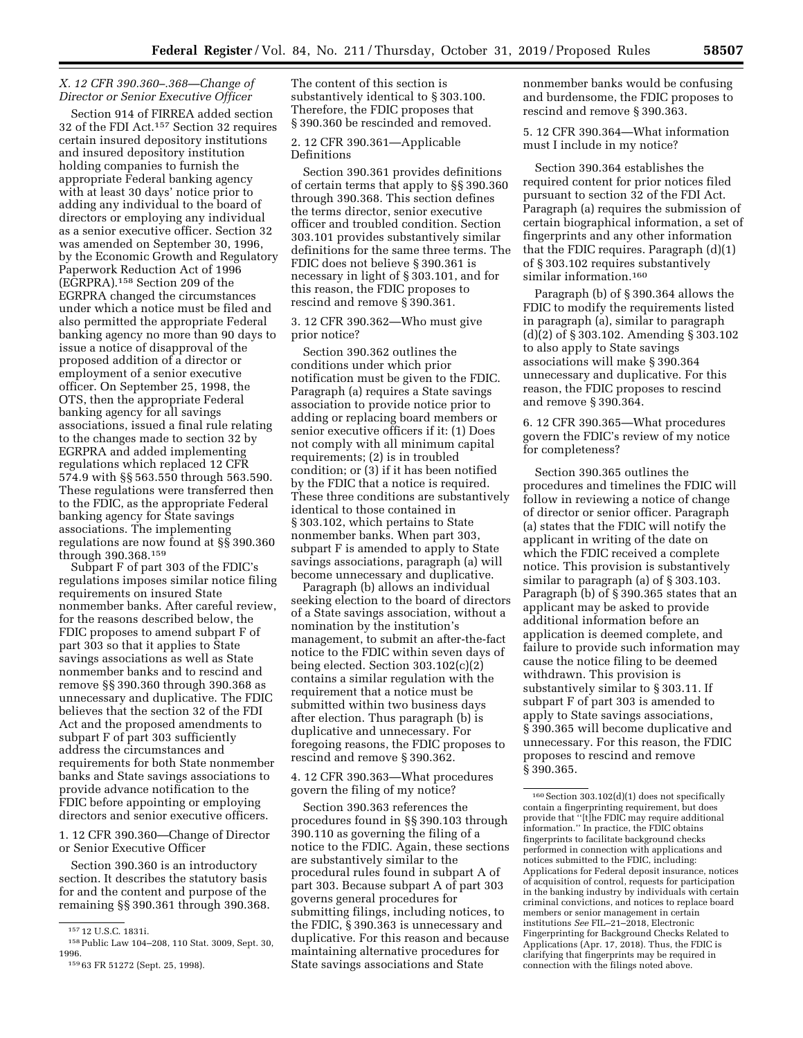# *X. 12 CFR 390.360–.368—Change of Director or Senior Executive Officer*

Section 914 of FIRREA added section 32 of the FDI Act.157 Section 32 requires certain insured depository institutions and insured depository institution holding companies to furnish the appropriate Federal banking agency with at least 30 days' notice prior to adding any individual to the board of directors or employing any individual as a senior executive officer. Section 32 was amended on September 30, 1996, by the Economic Growth and Regulatory Paperwork Reduction Act of 1996 (EGRPRA).158 Section 209 of the EGRPRA changed the circumstances under which a notice must be filed and also permitted the appropriate Federal banking agency no more than 90 days to issue a notice of disapproval of the proposed addition of a director or employment of a senior executive officer. On September 25, 1998, the OTS, then the appropriate Federal banking agency for all savings associations, issued a final rule relating to the changes made to section 32 by EGRPRA and added implementing regulations which replaced 12 CFR 574.9 with §§ 563.550 through 563.590. These regulations were transferred then to the FDIC, as the appropriate Federal banking agency for State savings associations. The implementing regulations are now found at §§ 390.360 through 390.368.159

Subpart F of part 303 of the FDIC's regulations imposes similar notice filing requirements on insured State nonmember banks. After careful review, for the reasons described below, the FDIC proposes to amend subpart F of part 303 so that it applies to State savings associations as well as State nonmember banks and to rescind and remove §§ 390.360 through 390.368 as unnecessary and duplicative. The FDIC believes that the section 32 of the FDI Act and the proposed amendments to subpart F of part 303 sufficiently address the circumstances and requirements for both State nonmember banks and State savings associations to provide advance notification to the FDIC before appointing or employing directors and senior executive officers.

1. 12 CFR 390.360—Change of Director or Senior Executive Officer

Section 390.360 is an introductory section. It describes the statutory basis for and the content and purpose of the remaining §§ 390.361 through 390.368. 2. 12 CFR 390.361—Applicable Definitions

Section 390.361 provides definitions of certain terms that apply to §§ 390.360 through 390.368. This section defines the terms director, senior executive officer and troubled condition. Section 303.101 provides substantively similar definitions for the same three terms. The FDIC does not believe § 390.361 is necessary in light of § 303.101, and for this reason, the FDIC proposes to rescind and remove § 390.361.

3. 12 CFR 390.362—Who must give prior notice?

Section 390.362 outlines the conditions under which prior notification must be given to the FDIC. Paragraph (a) requires a State savings association to provide notice prior to adding or replacing board members or senior executive officers if it: (1) Does not comply with all minimum capital requirements; (2) is in troubled condition; or (3) if it has been notified by the FDIC that a notice is required. These three conditions are substantively identical to those contained in § 303.102, which pertains to State nonmember banks. When part 303, subpart F is amended to apply to State savings associations, paragraph (a) will become unnecessary and duplicative.

Paragraph (b) allows an individual seeking election to the board of directors of a State savings association, without a nomination by the institution's management, to submit an after-the-fact notice to the FDIC within seven days of being elected. Section 303.102(c)(2) contains a similar regulation with the requirement that a notice must be submitted within two business days after election. Thus paragraph (b) is duplicative and unnecessary. For foregoing reasons, the FDIC proposes to rescind and remove § 390.362.

4. 12 CFR 390.363—What procedures govern the filing of my notice?

Section 390.363 references the procedures found in §§ 390.103 through 390.110 as governing the filing of a notice to the FDIC. Again, these sections are substantively similar to the procedural rules found in subpart A of part 303. Because subpart A of part 303 governs general procedures for submitting filings, including notices, to the FDIC, § 390.363 is unnecessary and duplicative. For this reason and because maintaining alternative procedures for State savings associations and State

nonmember banks would be confusing and burdensome, the FDIC proposes to rescind and remove § 390.363.

5. 12 CFR 390.364—What information must I include in my notice?

Section 390.364 establishes the required content for prior notices filed pursuant to section 32 of the FDI Act. Paragraph (a) requires the submission of certain biographical information, a set of fingerprints and any other information that the FDIC requires. Paragraph (d)(1) of § 303.102 requires substantively similar information.<sup>160</sup>

Paragraph (b) of § 390.364 allows the FDIC to modify the requirements listed in paragraph (a), similar to paragraph (d)(2) of § 303.102. Amending § 303.102 to also apply to State savings associations will make § 390.364 unnecessary and duplicative. For this reason, the FDIC proposes to rescind and remove § 390.364.

6. 12 CFR 390.365—What procedures govern the FDIC's review of my notice for completeness?

Section 390.365 outlines the procedures and timelines the FDIC will follow in reviewing a notice of change of director or senior officer. Paragraph (a) states that the FDIC will notify the applicant in writing of the date on which the FDIC received a complete notice. This provision is substantively similar to paragraph (a) of § 303.103. Paragraph (b) of § 390.365 states that an applicant may be asked to provide additional information before an application is deemed complete, and failure to provide such information may cause the notice filing to be deemed withdrawn. This provision is substantively similar to § 303.11. If subpart F of part 303 is amended to apply to State savings associations, § 390.365 will become duplicative and unnecessary. For this reason, the FDIC proposes to rescind and remove § 390.365.

<sup>157</sup> 12 U.S.C. 1831i.

<sup>158</sup>Public Law 104–208, 110 Stat. 3009, Sept. 30, 1996. 159 63 FR 51272 (Sept. 25, 1998).

The content of this section is substantively identical to § 303.100. Therefore, the FDIC proposes that § 390.360 be rescinded and removed.

<sup>160</sup>Section 303.102(d)(1) does not specifically contain a fingerprinting requirement, but does provide that ''[t]he FDIC may require additional information.'' In practice, the FDIC obtains fingerprints to facilitate background checks performed in connection with applications and notices submitted to the FDIC, including: Applications for Federal deposit insurance, notices of acquisition of control, requests for participation in the banking industry by individuals with certain criminal convictions, and notices to replace board members or senior management in certain institutions *See* FIL–21–2018, Electronic Fingerprinting for Background Checks Related to Applications (Apr. 17, 2018). Thus, the FDIC is clarifying that fingerprints may be required in connection with the filings noted above.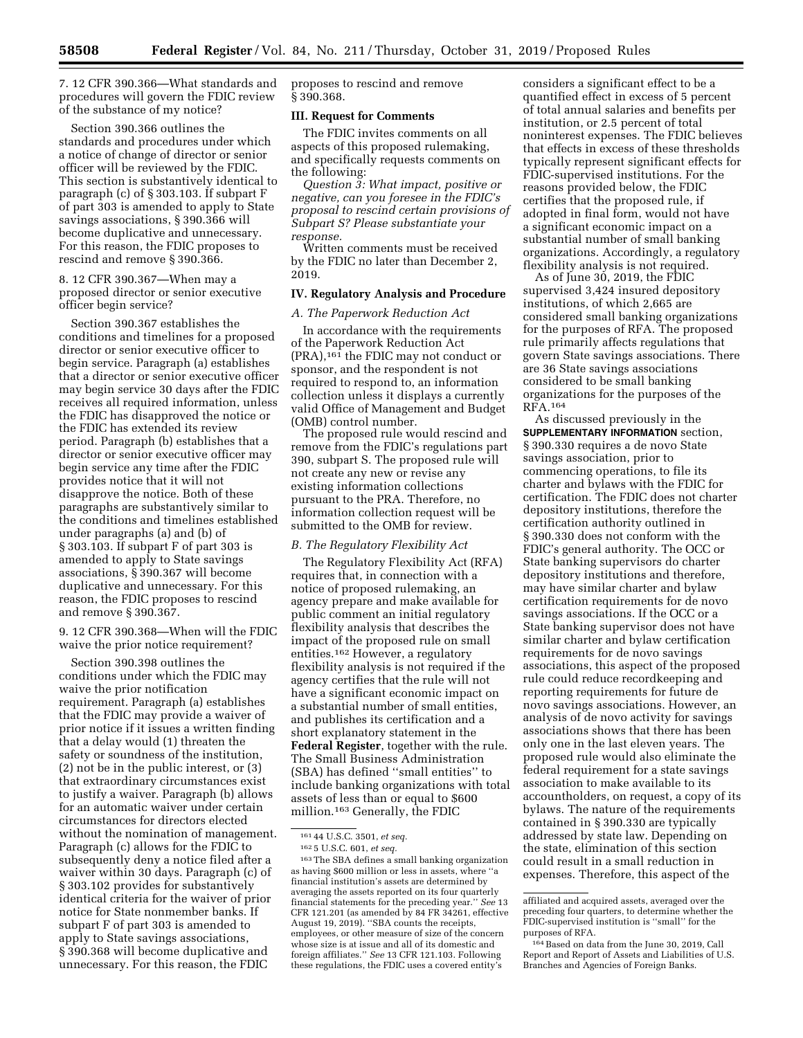7. 12 CFR 390.366—What standards and procedures will govern the FDIC review of the substance of my notice?

Section 390.366 outlines the standards and procedures under which a notice of change of director or senior officer will be reviewed by the FDIC. This section is substantively identical to paragraph (c) of § 303.103. If subpart F of part 303 is amended to apply to State savings associations, § 390.366 will become duplicative and unnecessary. For this reason, the FDIC proposes to rescind and remove § 390.366.

8. 12 CFR 390.367—When may a proposed director or senior executive officer begin service?

Section 390.367 establishes the conditions and timelines for a proposed director or senior executive officer to begin service. Paragraph (a) establishes that a director or senior executive officer may begin service 30 days after the FDIC receives all required information, unless the FDIC has disapproved the notice or the FDIC has extended its review period. Paragraph (b) establishes that a director or senior executive officer may begin service any time after the FDIC provides notice that it will not disapprove the notice. Both of these paragraphs are substantively similar to the conditions and timelines established under paragraphs (a) and (b) of § 303.103. If subpart F of part 303 is amended to apply to State savings associations, § 390.367 will become duplicative and unnecessary. For this reason, the FDIC proposes to rescind and remove § 390.367.

9. 12 CFR 390.368—When will the FDIC waive the prior notice requirement?

Section 390.398 outlines the conditions under which the FDIC may waive the prior notification requirement. Paragraph (a) establishes that the FDIC may provide a waiver of prior notice if it issues a written finding that a delay would (1) threaten the safety or soundness of the institution, (2) not be in the public interest, or (3) that extraordinary circumstances exist to justify a waiver. Paragraph (b) allows for an automatic waiver under certain circumstances for directors elected without the nomination of management. Paragraph (c) allows for the FDIC to subsequently deny a notice filed after a waiver within 30 days. Paragraph (c) of § 303.102 provides for substantively identical criteria for the waiver of prior notice for State nonmember banks. If subpart F of part 303 is amended to apply to State savings associations, § 390.368 will become duplicative and unnecessary. For this reason, the FDIC

proposes to rescind and remove § 390.368.

#### **III. Request for Comments**

The FDIC invites comments on all aspects of this proposed rulemaking, and specifically requests comments on the following:

*Question 3: What impact, positive or negative, can you foresee in the FDIC's proposal to rescind certain provisions of Subpart S? Please substantiate your response.* 

Written comments must be received by the FDIC no later than December 2, 2019.

### **IV. Regulatory Analysis and Procedure**

#### *A. The Paperwork Reduction Act*

In accordance with the requirements of the Paperwork Reduction Act (PRA),161 the FDIC may not conduct or sponsor, and the respondent is not required to respond to, an information collection unless it displays a currently valid Office of Management and Budget (OMB) control number.

The proposed rule would rescind and remove from the FDIC's regulations part 390, subpart S. The proposed rule will not create any new or revise any existing information collections pursuant to the PRA. Therefore, no information collection request will be submitted to the OMB for review.

### *B. The Regulatory Flexibility Act*

The Regulatory Flexibility Act (RFA) requires that, in connection with a notice of proposed rulemaking, an agency prepare and make available for public comment an initial regulatory flexibility analysis that describes the impact of the proposed rule on small entities.162 However, a regulatory flexibility analysis is not required if the agency certifies that the rule will not have a significant economic impact on a substantial number of small entities, and publishes its certification and a short explanatory statement in the **Federal Register**, together with the rule. The Small Business Administration (SBA) has defined ''small entities'' to include banking organizations with total assets of less than or equal to \$600 million.163 Generally, the FDIC

considers a significant effect to be a quantified effect in excess of 5 percent of total annual salaries and benefits per institution, or 2.5 percent of total noninterest expenses. The FDIC believes that effects in excess of these thresholds typically represent significant effects for FDIC-supervised institutions. For the reasons provided below, the FDIC certifies that the proposed rule, if adopted in final form, would not have a significant economic impact on a substantial number of small banking organizations. Accordingly, a regulatory flexibility analysis is not required.

As of June 30, 2019, the FDIC supervised 3,424 insured depository institutions, of which 2,665 are considered small banking organizations for the purposes of RFA. The proposed rule primarily affects regulations that govern State savings associations. There are 36 State savings associations considered to be small banking organizations for the purposes of the RFA.164

As discussed previously in the **SUPPLEMENTARY INFORMATION** section, § 390.330 requires a de novo State savings association, prior to commencing operations, to file its charter and bylaws with the FDIC for certification. The FDIC does not charter depository institutions, therefore the certification authority outlined in § 390.330 does not conform with the FDIC's general authority. The OCC or State banking supervisors do charter depository institutions and therefore, may have similar charter and bylaw certification requirements for de novo savings associations. If the OCC or a State banking supervisor does not have similar charter and bylaw certification requirements for de novo savings associations, this aspect of the proposed rule could reduce recordkeeping and reporting requirements for future de novo savings associations. However, an analysis of de novo activity for savings associations shows that there has been only one in the last eleven years. The proposed rule would also eliminate the federal requirement for a state savings association to make available to its accountholders, on request, a copy of its bylaws. The nature of the requirements contained in § 390.330 are typically addressed by state law. Depending on the state, elimination of this section could result in a small reduction in expenses. Therefore, this aspect of the

<sup>161</sup> 44 U.S.C. 3501, *et seq.* 

<sup>162</sup> 5 U.S.C. 601, *et seq.* 

<sup>163</sup>The SBA defines a small banking organization as having \$600 million or less in assets, where ''a financial institution's assets are determined by averaging the assets reported on its four quarterly financial statements for the preceding year.'' *See* 13 CFR 121.201 (as amended by 84 FR 34261, effective August 19, 2019). ''SBA counts the receipts, employees, or other measure of size of the concern whose size is at issue and all of its domestic and foreign affiliates.'' *See* 13 CFR 121.103. Following these regulations, the FDIC uses a covered entity's

affiliated and acquired assets, averaged over the preceding four quarters, to determine whether the FDIC-supervised institution is ''small'' for the purposes of RFA.

<sup>164</sup>Based on data from the June 30, 2019, Call Report and Report of Assets and Liabilities of U.S. Branches and Agencies of Foreign Banks.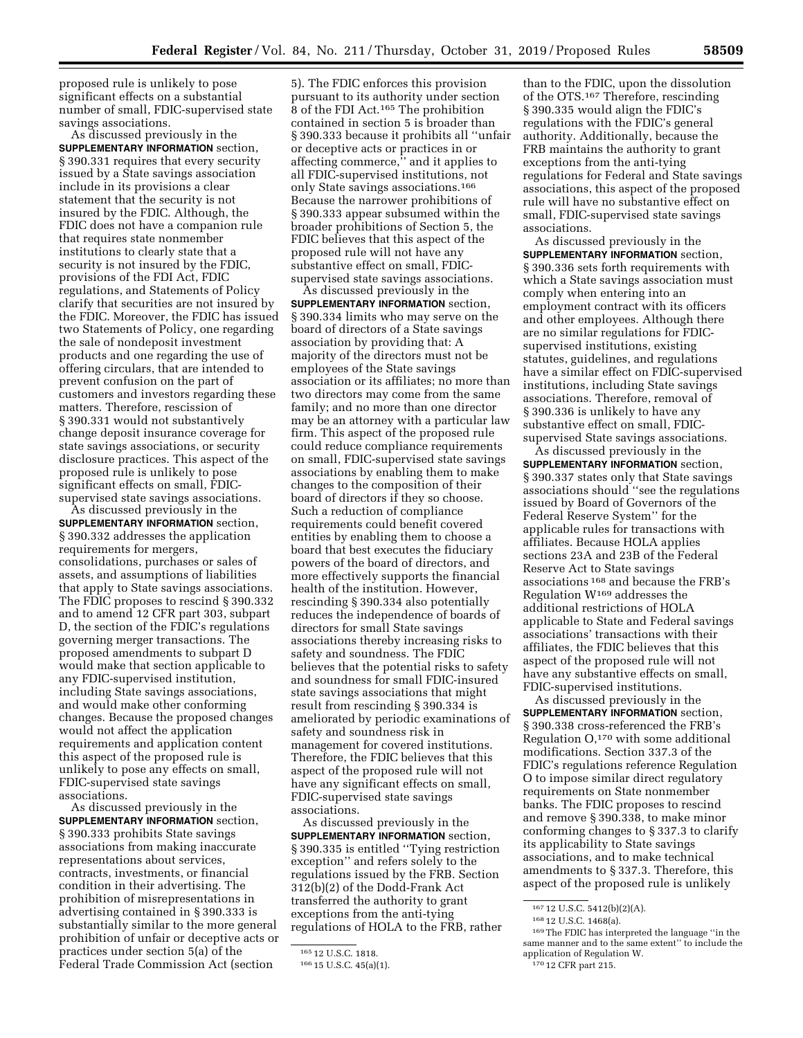proposed rule is unlikely to pose significant effects on a substantial number of small, FDIC-supervised state savings associations.

As discussed previously in the **SUPPLEMENTARY INFORMATION** section, § 390.331 requires that every security issued by a State savings association include in its provisions a clear statement that the security is not insured by the FDIC. Although, the FDIC does not have a companion rule that requires state nonmember institutions to clearly state that a security is not insured by the FDIC, provisions of the FDI Act, FDIC regulations, and Statements of Policy clarify that securities are not insured by the FDIC. Moreover, the FDIC has issued two Statements of Policy, one regarding the sale of nondeposit investment products and one regarding the use of offering circulars, that are intended to prevent confusion on the part of customers and investors regarding these matters. Therefore, rescission of § 390.331 would not substantively change deposit insurance coverage for state savings associations, or security disclosure practices. This aspect of the proposed rule is unlikely to pose significant effects on small, FDICsupervised state savings associations.

As discussed previously in the **SUPPLEMENTARY INFORMATION** section, § 390.332 addresses the application requirements for mergers, consolidations, purchases or sales of assets, and assumptions of liabilities that apply to State savings associations. The FDIC proposes to rescind § 390.332 and to amend 12 CFR part 303, subpart D, the section of the FDIC's regulations governing merger transactions. The proposed amendments to subpart D would make that section applicable to any FDIC-supervised institution, including State savings associations, and would make other conforming changes. Because the proposed changes would not affect the application requirements and application content this aspect of the proposed rule is unlikely to pose any effects on small, FDIC-supervised state savings associations.

As discussed previously in the **SUPPLEMENTARY INFORMATION** section, § 390.333 prohibits State savings associations from making inaccurate representations about services, contracts, investments, or financial condition in their advertising. The prohibition of misrepresentations in advertising contained in § 390.333 is substantially similar to the more general prohibition of unfair or deceptive acts or practices under section 5(a) of the Federal Trade Commission Act (section

5). The FDIC enforces this provision pursuant to its authority under section 8 of the FDI Act.165 The prohibition contained in section 5 is broader than § 390.333 because it prohibits all ''unfair or deceptive acts or practices in or affecting commerce,'' and it applies to all FDIC-supervised institutions, not only State savings associations.166 Because the narrower prohibitions of § 390.333 appear subsumed within the broader prohibitions of Section 5, the FDIC believes that this aspect of the proposed rule will not have any substantive effect on small, FDICsupervised state savings associations.

As discussed previously in the **SUPPLEMENTARY INFORMATION** section, § 390.334 limits who may serve on the board of directors of a State savings association by providing that: A majority of the directors must not be employees of the State savings association or its affiliates; no more than two directors may come from the same family; and no more than one director may be an attorney with a particular law firm. This aspect of the proposed rule could reduce compliance requirements on small, FDIC-supervised state savings associations by enabling them to make changes to the composition of their board of directors if they so choose. Such a reduction of compliance requirements could benefit covered entities by enabling them to choose a board that best executes the fiduciary powers of the board of directors, and more effectively supports the financial health of the institution. However, rescinding § 390.334 also potentially reduces the independence of boards of directors for small State savings associations thereby increasing risks to safety and soundness. The FDIC believes that the potential risks to safety and soundness for small FDIC-insured state savings associations that might result from rescinding § 390.334 is ameliorated by periodic examinations of safety and soundness risk in management for covered institutions. Therefore, the FDIC believes that this aspect of the proposed rule will not have any significant effects on small, FDIC-supervised state savings associations.

As discussed previously in the **SUPPLEMENTARY INFORMATION** section, § 390.335 is entitled ''Tying restriction exception'' and refers solely to the regulations issued by the FRB. Section 312(b)(2) of the Dodd-Frank Act transferred the authority to grant exceptions from the anti-tying regulations of HOLA to the FRB, rather

than to the FDIC, upon the dissolution of the OTS.167 Therefore, rescinding § 390.335 would align the FDIC's regulations with the FDIC's general authority. Additionally, because the FRB maintains the authority to grant exceptions from the anti-tying regulations for Federal and State savings associations, this aspect of the proposed rule will have no substantive effect on small, FDIC-supervised state savings associations.

As discussed previously in the **SUPPLEMENTARY INFORMATION** section, § 390.336 sets forth requirements with which a State savings association must comply when entering into an employment contract with its officers and other employees. Although there are no similar regulations for FDICsupervised institutions, existing statutes, guidelines, and regulations have a similar effect on FDIC-supervised institutions, including State savings associations. Therefore, removal of § 390.336 is unlikely to have any substantive effect on small, FDICsupervised State savings associations.

As discussed previously in the **SUPPLEMENTARY INFORMATION** section, § 390.337 states only that State savings associations should ''see the regulations issued by Board of Governors of the Federal Reserve System'' for the applicable rules for transactions with affiliates. Because HOLA applies sections 23A and 23B of the Federal Reserve Act to State savings associations 168 and because the FRB's Regulation W169 addresses the additional restrictions of HOLA applicable to State and Federal savings associations' transactions with their affiliates, the FDIC believes that this aspect of the proposed rule will not have any substantive effects on small, FDIC-supervised institutions.

As discussed previously in the **SUPPLEMENTARY INFORMATION** section, § 390.338 cross-referenced the FRB's Regulation  $O<sub>170</sub>$  with some additional modifications. Section 337.3 of the FDIC's regulations reference Regulation O to impose similar direct regulatory requirements on State nonmember banks. The FDIC proposes to rescind and remove § 390.338, to make minor conforming changes to § 337.3 to clarify its applicability to State savings associations, and to make technical amendments to § 337.3. Therefore, this aspect of the proposed rule is unlikely

<sup>165</sup> 12 U.S.C. 1818.

<sup>166</sup> 15 U.S.C. 45(a)(1).

<sup>167</sup> 12 U.S.C. 5412(b)(2)(A).

<sup>168</sup> 12 U.S.C. 1468(a).

<sup>169</sup>The FDIC has interpreted the language ''in the same manner and to the same extent'' to include the application of Regulation W.

<sup>170</sup> 12 CFR part 215.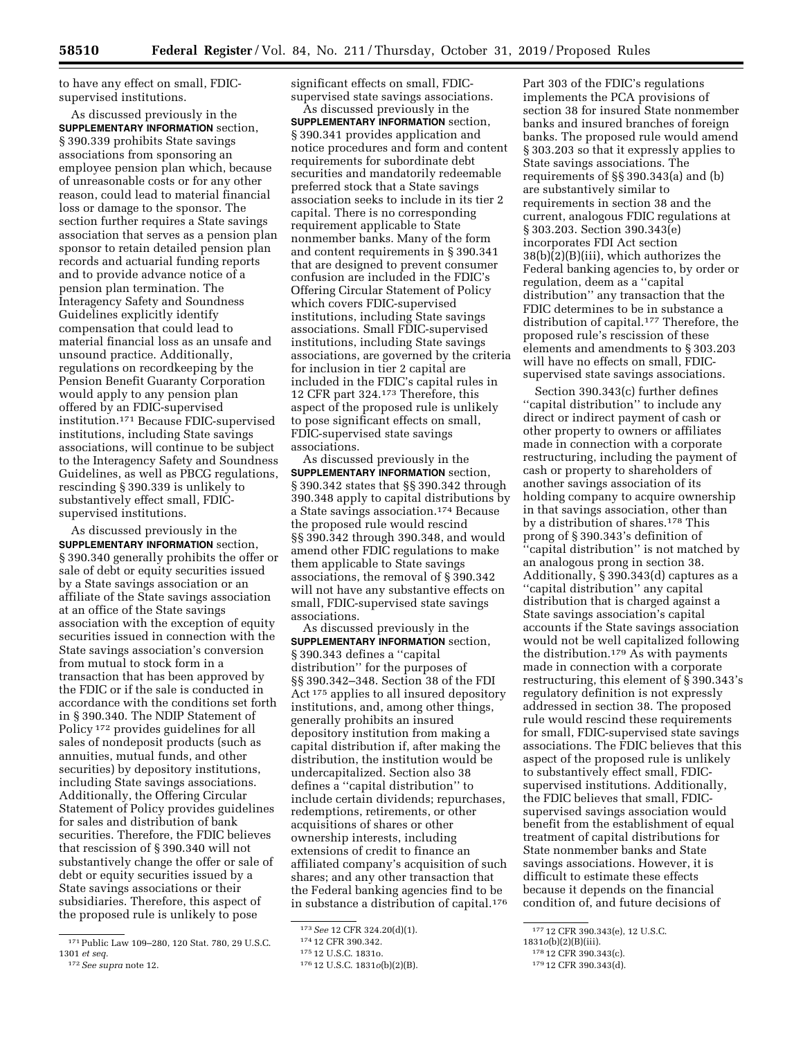to have any effect on small, FDICsupervised institutions.

As discussed previously in the **SUPPLEMENTARY INFORMATION** section, § 390.339 prohibits State savings associations from sponsoring an employee pension plan which, because of unreasonable costs or for any other reason, could lead to material financial loss or damage to the sponsor. The section further requires a State savings association that serves as a pension plan sponsor to retain detailed pension plan records and actuarial funding reports and to provide advance notice of a pension plan termination. The Interagency Safety and Soundness Guidelines explicitly identify compensation that could lead to material financial loss as an unsafe and unsound practice. Additionally, regulations on recordkeeping by the Pension Benefit Guaranty Corporation would apply to any pension plan offered by an FDIC-supervised institution.171 Because FDIC-supervised institutions, including State savings associations, will continue to be subject to the Interagency Safety and Soundness Guidelines, as well as PBCG regulations, rescinding § 390.339 is unlikely to substantively effect small, FDICsupervised institutions.

As discussed previously in the **SUPPLEMENTARY INFORMATION** section, § 390.340 generally prohibits the offer or sale of debt or equity securities issued by a State savings association or an affiliate of the State savings association at an office of the State savings association with the exception of equity securities issued in connection with the State savings association's conversion from mutual to stock form in a transaction that has been approved by the FDIC or if the sale is conducted in accordance with the conditions set forth in § 390.340. The NDIP Statement of Policy 172 provides guidelines for all sales of nondeposit products (such as annuities, mutual funds, and other securities) by depository institutions, including State savings associations. Additionally, the Offering Circular Statement of Policy provides guidelines for sales and distribution of bank securities. Therefore, the FDIC believes that rescission of § 390.340 will not substantively change the offer or sale of debt or equity securities issued by a State savings associations or their subsidiaries. Therefore, this aspect of the proposed rule is unlikely to pose

significant effects on small, FDICsupervised state savings associations.

As discussed previously in the **SUPPLEMENTARY INFORMATION** section, § 390.341 provides application and notice procedures and form and content requirements for subordinate debt securities and mandatorily redeemable preferred stock that a State savings association seeks to include in its tier 2 capital. There is no corresponding requirement applicable to State nonmember banks. Many of the form and content requirements in § 390.341 that are designed to prevent consumer confusion are included in the FDIC's Offering Circular Statement of Policy which covers FDIC-supervised institutions, including State savings associations. Small FDIC-supervised institutions, including State savings associations, are governed by the criteria for inclusion in tier 2 capital are included in the FDIC's capital rules in 12 CFR part 324.173 Therefore, this aspect of the proposed rule is unlikely to pose significant effects on small, FDIC-supervised state savings associations.

As discussed previously in the **SUPPLEMENTARY INFORMATION** section, § 390.342 states that §§ 390.342 through 390.348 apply to capital distributions by a State savings association.174 Because the proposed rule would rescind §§ 390.342 through 390.348, and would amend other FDIC regulations to make them applicable to State savings associations, the removal of § 390.342 will not have any substantive effects on small, FDIC-supervised state savings associations.

As discussed previously in the **SUPPLEMENTARY INFORMATION** section, § 390.343 defines a ''capital distribution'' for the purposes of §§ 390.342–348. Section 38 of the FDI Act 175 applies to all insured depository institutions, and, among other things, generally prohibits an insured depository institution from making a capital distribution if, after making the distribution, the institution would be undercapitalized. Section also 38 defines a ''capital distribution'' to include certain dividends; repurchases, redemptions, retirements, or other acquisitions of shares or other ownership interests, including extensions of credit to finance an affiliated company's acquisition of such shares; and any other transaction that the Federal banking agencies find to be in substance a distribution of capital.176 Part 303 of the FDIC's regulations implements the PCA provisions of section 38 for insured State nonmember banks and insured branches of foreign banks. The proposed rule would amend § 303.203 so that it expressly applies to State savings associations. The requirements of §§ 390.343(a) and (b) are substantively similar to requirements in section 38 and the current, analogous FDIC regulations at § 303.203. Section 390.343(e) incorporates FDI Act section 38(b)(2)(B)(iii), which authorizes the Federal banking agencies to, by order or regulation, deem as a ''capital distribution'' any transaction that the FDIC determines to be in substance a distribution of capital.177 Therefore, the proposed rule's rescission of these elements and amendments to § 303.203 will have no effects on small, FDICsupervised state savings associations.

Section 390.343(c) further defines ''capital distribution'' to include any direct or indirect payment of cash or other property to owners or affiliates made in connection with a corporate restructuring, including the payment of cash or property to shareholders of another savings association of its holding company to acquire ownership in that savings association, other than by a distribution of shares.178 This prong of § 390.343's definition of ''capital distribution'' is not matched by an analogous prong in section 38. Additionally, § 390.343(d) captures as a ''capital distribution'' any capital distribution that is charged against a State savings association's capital accounts if the State savings association would not be well capitalized following the distribution.179 As with payments made in connection with a corporate restructuring, this element of § 390.343's regulatory definition is not expressly addressed in section 38. The proposed rule would rescind these requirements for small, FDIC-supervised state savings associations. The FDIC believes that this aspect of the proposed rule is unlikely to substantively effect small, FDICsupervised institutions. Additionally, the FDIC believes that small, FDICsupervised savings association would benefit from the establishment of equal treatment of capital distributions for State nonmember banks and State savings associations. However, it is difficult to estimate these effects because it depends on the financial condition of, and future decisions of

<sup>171</sup>Public Law 109–280, 120 Stat. 780, 29 U.S.C. 1301 *et seq.* 

<sup>172</sup>*See supra* note 12.

<sup>173</sup>*See* 12 CFR 324.20(d)(1).

<sup>174</sup> 12 CFR 390.342.

<sup>175</sup> 12 U.S.C. 1831o.

<sup>176</sup> 12 U.S.C. 1831*o*(b)(2)(B).

<sup>177</sup> 12 CFR 390.343(e), 12 U.S.C.

<sup>1831</sup>*o*(b)(2)(B)(iii). 178 12 CFR 390.343(c).

<sup>179</sup> 12 CFR 390.343(d).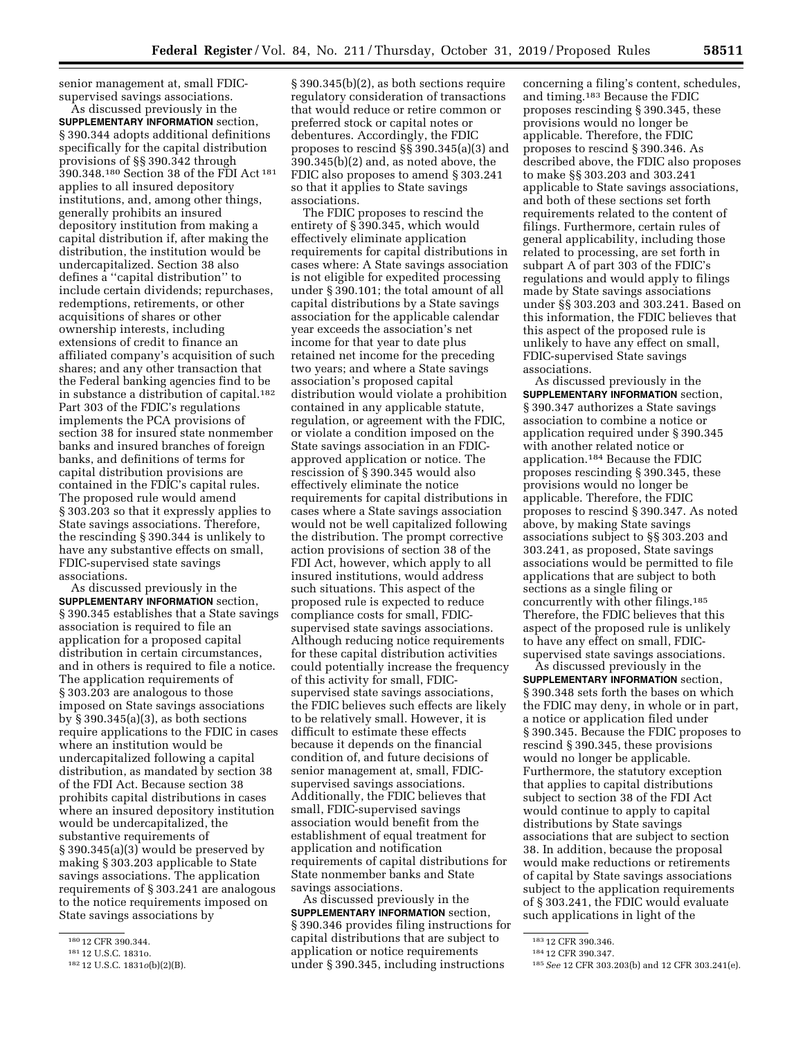senior management at, small FDICsupervised savings associations.

As discussed previously in the **SUPPLEMENTARY INFORMATION** section, § 390.344 adopts additional definitions specifically for the capital distribution provisions of §§ 390.342 through 390.348.180 Section 38 of the FDI Act 181 applies to all insured depository institutions, and, among other things, generally prohibits an insured depository institution from making a capital distribution if, after making the distribution, the institution would be undercapitalized. Section 38 also defines a ''capital distribution'' to include certain dividends; repurchases, redemptions, retirements, or other acquisitions of shares or other ownership interests, including extensions of credit to finance an affiliated company's acquisition of such shares; and any other transaction that the Federal banking agencies find to be in substance a distribution of capital.182 Part 303 of the FDIC's regulations implements the PCA provisions of section 38 for insured state nonmember banks and insured branches of foreign banks, and definitions of terms for capital distribution provisions are contained in the FDIC's capital rules. The proposed rule would amend § 303.203 so that it expressly applies to State savings associations. Therefore, the rescinding § 390.344 is unlikely to have any substantive effects on small, FDIC-supervised state savings associations.

As discussed previously in the **SUPPLEMENTARY INFORMATION** section, § 390.345 establishes that a State savings association is required to file an application for a proposed capital distribution in certain circumstances, and in others is required to file a notice. The application requirements of § 303.203 are analogous to those imposed on State savings associations by § 390.345(a)(3), as both sections require applications to the FDIC in cases where an institution would be undercapitalized following a capital distribution, as mandated by section 38 of the FDI Act. Because section 38 prohibits capital distributions in cases where an insured depository institution would be undercapitalized, the substantive requirements of § 390.345(a)(3) would be preserved by making § 303.203 applicable to State savings associations. The application requirements of § 303.241 are analogous to the notice requirements imposed on State savings associations by

§ 390.345(b)(2), as both sections require regulatory consideration of transactions that would reduce or retire common or preferred stock or capital notes or debentures. Accordingly, the FDIC proposes to rescind §§ 390.345(a)(3) and 390.345(b)(2) and, as noted above, the FDIC also proposes to amend § 303.241 so that it applies to State savings associations.

The FDIC proposes to rescind the entirety of § 390.345, which would effectively eliminate application requirements for capital distributions in cases where: A State savings association is not eligible for expedited processing under § 390.101; the total amount of all capital distributions by a State savings association for the applicable calendar year exceeds the association's net income for that year to date plus retained net income for the preceding two years; and where a State savings association's proposed capital distribution would violate a prohibition contained in any applicable statute, regulation, or agreement with the FDIC, or violate a condition imposed on the State savings association in an FDICapproved application or notice. The rescission of § 390.345 would also effectively eliminate the notice requirements for capital distributions in cases where a State savings association would not be well capitalized following the distribution. The prompt corrective action provisions of section 38 of the FDI Act, however, which apply to all insured institutions, would address such situations. This aspect of the proposed rule is expected to reduce compliance costs for small, FDICsupervised state savings associations. Although reducing notice requirements for these capital distribution activities could potentially increase the frequency of this activity for small, FDICsupervised state savings associations, the FDIC believes such effects are likely to be relatively small. However, it is difficult to estimate these effects because it depends on the financial condition of, and future decisions of senior management at, small, FDICsupervised savings associations. Additionally, the FDIC believes that small, FDIC-supervised savings association would benefit from the establishment of equal treatment for application and notification requirements of capital distributions for State nonmember banks and State savings associations.

As discussed previously in the **SUPPLEMENTARY INFORMATION** section, § 390.346 provides filing instructions for capital distributions that are subject to application or notice requirements under § 390.345, including instructions

concerning a filing's content, schedules, and timing.183 Because the FDIC proposes rescinding § 390.345, these provisions would no longer be applicable. Therefore, the FDIC proposes to rescind § 390.346. As described above, the FDIC also proposes to make §§ 303.203 and 303.241 applicable to State savings associations, and both of these sections set forth requirements related to the content of filings. Furthermore, certain rules of general applicability, including those related to processing, are set forth in subpart A of part 303 of the FDIC's regulations and would apply to filings made by State savings associations under §§ 303.203 and 303.241. Based on this information, the FDIC believes that this aspect of the proposed rule is unlikely to have any effect on small, FDIC-supervised State savings associations.

As discussed previously in the **SUPPLEMENTARY INFORMATION** section, § 390.347 authorizes a State savings association to combine a notice or application required under § 390.345 with another related notice or application.184 Because the FDIC proposes rescinding § 390.345, these provisions would no longer be applicable. Therefore, the FDIC proposes to rescind § 390.347. As noted above, by making State savings associations subject to §§ 303.203 and 303.241, as proposed, State savings associations would be permitted to file applications that are subject to both sections as a single filing or concurrently with other filings.185 Therefore, the FDIC believes that this aspect of the proposed rule is unlikely to have any effect on small, FDICsupervised state savings associations.

As discussed previously in the **SUPPLEMENTARY INFORMATION** section, § 390.348 sets forth the bases on which the FDIC may deny, in whole or in part, a notice or application filed under § 390.345. Because the FDIC proposes to rescind § 390.345, these provisions would no longer be applicable. Furthermore, the statutory exception that applies to capital distributions subject to section 38 of the FDI Act would continue to apply to capital distributions by State savings associations that are subject to section 38. In addition, because the proposal would make reductions or retirements of capital by State savings associations subject to the application requirements of § 303.241, the FDIC would evaluate such applications in light of the

<sup>180</sup> 12 CFR 390.344.

<sup>181</sup> 12 U.S.C. 1831o.

<sup>182</sup> 12 U.S.C. 1831*o*(b)(2)(B).

<sup>183</sup> 12 CFR 390.346.

<sup>184</sup> 12 CFR 390.347.

<sup>185</sup>*See* 12 CFR 303.203(b) and 12 CFR 303.241(e).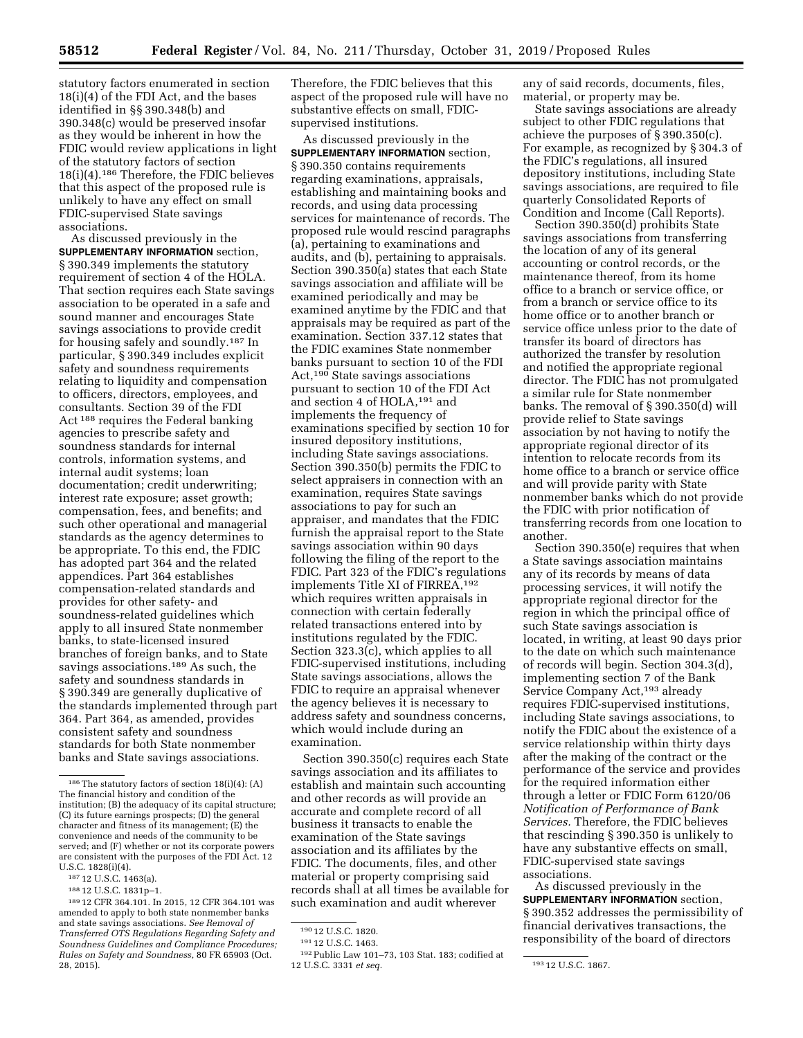statutory factors enumerated in section 18(i)(4) of the FDI Act, and the bases identified in §§ 390.348(b) and 390.348(c) would be preserved insofar as they would be inherent in how the FDIC would review applications in light of the statutory factors of section 18(i)(4).186 Therefore, the FDIC believes that this aspect of the proposed rule is unlikely to have any effect on small FDIC-supervised State savings associations.

As discussed previously in the **SUPPLEMENTARY INFORMATION** section, § 390.349 implements the statutory requirement of section 4 of the HOLA. That section requires each State savings association to be operated in a safe and sound manner and encourages State savings associations to provide credit for housing safely and soundly.187 In particular, § 390.349 includes explicit safety and soundness requirements relating to liquidity and compensation to officers, directors, employees, and consultants. Section 39 of the FDI Act 188 requires the Federal banking agencies to prescribe safety and soundness standards for internal controls, information systems, and internal audit systems; loan documentation; credit underwriting; interest rate exposure; asset growth; compensation, fees, and benefits; and such other operational and managerial standards as the agency determines to be appropriate. To this end, the FDIC has adopted part 364 and the related appendices. Part 364 establishes compensation-related standards and provides for other safety- and soundness-related guidelines which apply to all insured State nonmember banks, to state-licensed insured branches of foreign banks, and to State savings associations.<sup>189</sup> As such, the safety and soundness standards in § 390.349 are generally duplicative of the standards implemented through part 364. Part 364, as amended, provides consistent safety and soundness standards for both State nonmember banks and State savings associations.

Therefore, the FDIC believes that this aspect of the proposed rule will have no substantive effects on small, FDICsupervised institutions.

As discussed previously in the **SUPPLEMENTARY INFORMATION** section, § 390.350 contains requirements regarding examinations, appraisals, establishing and maintaining books and records, and using data processing services for maintenance of records. The proposed rule would rescind paragraphs (a), pertaining to examinations and audits, and (b), pertaining to appraisals. Section 390.350(a) states that each State savings association and affiliate will be examined periodically and may be examined anytime by the FDIC and that appraisals may be required as part of the examination. Section 337.12 states that the FDIC examines State nonmember banks pursuant to section 10 of the FDI Act,190 State savings associations pursuant to section 10 of the FDI Act and section 4 of HOLA,191 and implements the frequency of examinations specified by section 10 for insured depository institutions, including State savings associations. Section 390.350(b) permits the FDIC to select appraisers in connection with an examination, requires State savings associations to pay for such an appraiser, and mandates that the FDIC furnish the appraisal report to the State savings association within 90 days following the filing of the report to the FDIC. Part 323 of the FDIC's regulations implements Title XI of FIRREA,192 which requires written appraisals in connection with certain federally related transactions entered into by institutions regulated by the FDIC. Section 323.3(c), which applies to all FDIC-supervised institutions, including State savings associations, allows the FDIC to require an appraisal whenever the agency believes it is necessary to address safety and soundness concerns, which would include during an examination.

Section 390.350(c) requires each State savings association and its affiliates to establish and maintain such accounting and other records as will provide an accurate and complete record of all business it transacts to enable the examination of the State savings association and its affiliates by the FDIC. The documents, files, and other material or property comprising said records shall at all times be available for such examination and audit wherever

any of said records, documents, files, material, or property may be.

State savings associations are already subject to other FDIC regulations that achieve the purposes of § 390.350(c). For example, as recognized by § 304.3 of the FDIC's regulations, all insured depository institutions, including State savings associations, are required to file quarterly Consolidated Reports of Condition and Income (Call Reports).

Section 390.350(d) prohibits State savings associations from transferring the location of any of its general accounting or control records, or the maintenance thereof, from its home office to a branch or service office, or from a branch or service office to its home office or to another branch or service office unless prior to the date of transfer its board of directors has authorized the transfer by resolution and notified the appropriate regional director. The FDIC has not promulgated a similar rule for State nonmember banks. The removal of § 390.350(d) will provide relief to State savings association by not having to notify the appropriate regional director of its intention to relocate records from its home office to a branch or service office and will provide parity with State nonmember banks which do not provide the FDIC with prior notification of transferring records from one location to another.

Section 390.350(e) requires that when a State savings association maintains any of its records by means of data processing services, it will notify the appropriate regional director for the region in which the principal office of such State savings association is located, in writing, at least 90 days prior to the date on which such maintenance of records will begin. Section 304.3(d), implementing section 7 of the Bank Service Company Act,<sup>193</sup> already requires FDIC-supervised institutions, including State savings associations, to notify the FDIC about the existence of a service relationship within thirty days after the making of the contract or the performance of the service and provides for the required information either through a letter or FDIC Form 6120/06 *Notification of Performance of Bank Services.* Therefore, the FDIC believes that rescinding § 390.350 is unlikely to have any substantive effects on small, FDIC-supervised state savings associations.

As discussed previously in the **SUPPLEMENTARY INFORMATION** section, § 390.352 addresses the permissibility of financial derivatives transactions, the responsibility of the board of directors

<sup>186</sup>The statutory factors of section 18(i)(4): (A) The financial history and condition of the institution; (B) the adequacy of its capital structure; (C) its future earnings prospects; (D) the general character and fitness of its management; (E) the convenience and needs of the community to be served; and (F) whether or not its corporate powers are consistent with the purposes of the FDI Act. 12 U.S.C. 1828(i)(4).

<sup>187</sup> 12 U.S.C. 1463(a).

<sup>188</sup> 12 U.S.C. 1831p–1.

<sup>189</sup> 12 CFR 364.101. In 2015, 12 CFR 364.101 was amended to apply to both state nonmember banks and state savings associations. *See Removal of Transferred OTS Regulations Regarding Safety and Soundness Guidelines and Compliance Procedures; Rules on Safety and Soundness,* 80 FR 65903 (Oct. 28, 2015).

<sup>190</sup> 12 U.S.C. 1820.

<sup>191</sup> 12 U.S.C. 1463.

<sup>192</sup>Public Law 101–73, 103 Stat. 183; codified at 12 U.S.C. 3331 *et seq.* 193 12 U.S.C. 1867.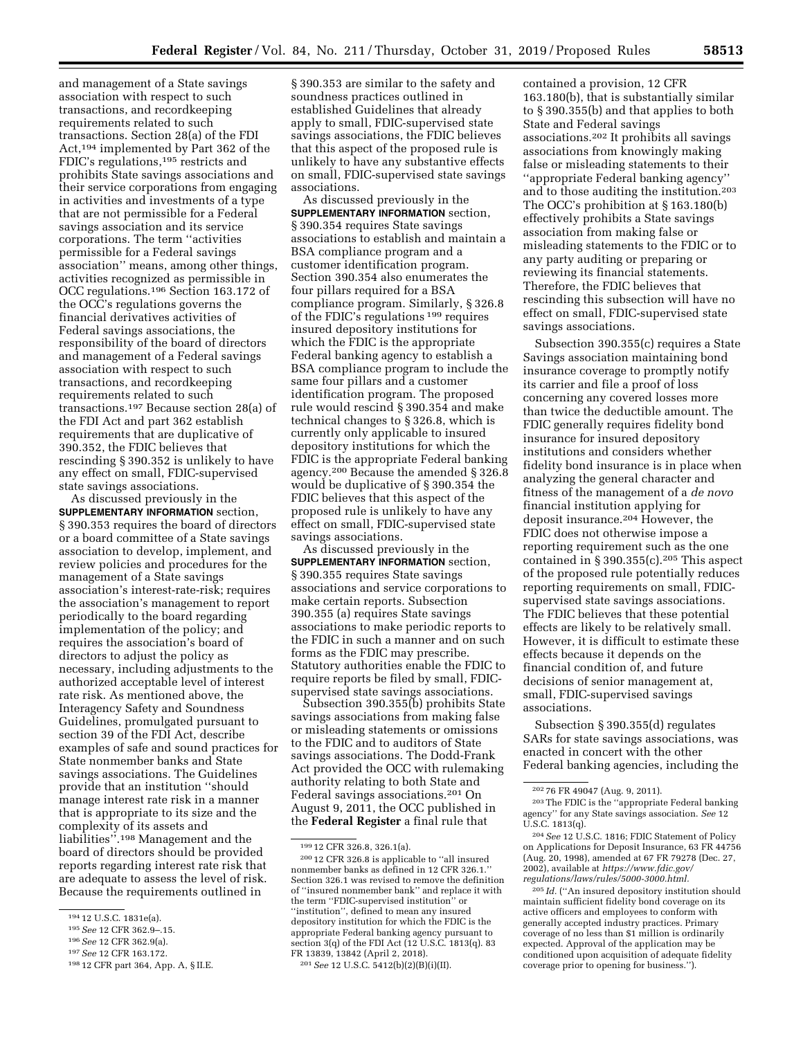and management of a State savings association with respect to such transactions, and recordkeeping requirements related to such transactions. Section 28(a) of the FDI Act,194 implemented by Part 362 of the FDIC's regulations,195 restricts and prohibits State savings associations and their service corporations from engaging in activities and investments of a type that are not permissible for a Federal savings association and its service corporations. The term ''activities permissible for a Federal savings association'' means, among other things, activities recognized as permissible in OCC regulations.196 Section 163.172 of the OCC's regulations governs the financial derivatives activities of Federal savings associations, the responsibility of the board of directors and management of a Federal savings association with respect to such transactions, and recordkeeping requirements related to such transactions.197 Because section 28(a) of the FDI Act and part 362 establish requirements that are duplicative of 390.352, the FDIC believes that rescinding § 390.352 is unlikely to have any effect on small, FDIC-supervised state savings associations.

As discussed previously in the **SUPPLEMENTARY INFORMATION** section, § 390.353 requires the board of directors or a board committee of a State savings association to develop, implement, and review policies and procedures for the management of a State savings association's interest-rate-risk; requires the association's management to report periodically to the board regarding implementation of the policy; and requires the association's board of directors to adjust the policy as necessary, including adjustments to the authorized acceptable level of interest rate risk. As mentioned above, the Interagency Safety and Soundness Guidelines, promulgated pursuant to section 39 of the FDI Act, describe examples of safe and sound practices for State nonmember banks and State savings associations. The Guidelines provide that an institution ''should manage interest rate risk in a manner that is appropriate to its size and the complexity of its assets and liabilities''.198 Management and the board of directors should be provided reports regarding interest rate risk that are adequate to assess the level of risk. Because the requirements outlined in

- 195*See* 12 CFR 362.9–.15.
- 196*See* 12 CFR 362.9(a).

§ 390.353 are similar to the safety and soundness practices outlined in established Guidelines that already apply to small, FDIC-supervised state savings associations, the FDIC believes that this aspect of the proposed rule is unlikely to have any substantive effects on small, FDIC-supervised state savings associations.

As discussed previously in the **SUPPLEMENTARY INFORMATION** section, § 390.354 requires State savings associations to establish and maintain a BSA compliance program and a customer identification program. Section 390.354 also enumerates the four pillars required for a BSA compliance program. Similarly, § 326.8 of the FDIC's regulations 199 requires insured depository institutions for which the FDIC is the appropriate Federal banking agency to establish a BSA compliance program to include the same four pillars and a customer identification program. The proposed rule would rescind § 390.354 and make technical changes to § 326.8, which is currently only applicable to insured depository institutions for which the FDIC is the appropriate Federal banking agency.200 Because the amended § 326.8 would be duplicative of § 390.354 the FDIC believes that this aspect of the proposed rule is unlikely to have any effect on small, FDIC-supervised state savings associations.

As discussed previously in the **SUPPLEMENTARY INFORMATION** section, § 390.355 requires State savings associations and service corporations to make certain reports. Subsection 390.355 (a) requires State savings associations to make periodic reports to the FDIC in such a manner and on such forms as the FDIC may prescribe. Statutory authorities enable the FDIC to require reports be filed by small, FDICsupervised state savings associations.

Subsection 390.355(b) prohibits State savings associations from making false or misleading statements or omissions to the FDIC and to auditors of State savings associations. The Dodd-Frank Act provided the OCC with rulemaking authority relating to both State and Federal savings associations.201 On August 9, 2011, the OCC published in the **Federal Register** a final rule that

contained a provision, 12 CFR 163.180(b), that is substantially similar to § 390.355(b) and that applies to both State and Federal savings associations.202 It prohibits all savings associations from knowingly making false or misleading statements to their ''appropriate Federal banking agency'' and to those auditing the institution.203 The OCC's prohibition at § 163.180(b) effectively prohibits a State savings association from making false or misleading statements to the FDIC or to any party auditing or preparing or reviewing its financial statements. Therefore, the FDIC believes that rescinding this subsection will have no effect on small, FDIC-supervised state savings associations.

Subsection 390.355(c) requires a State Savings association maintaining bond insurance coverage to promptly notify its carrier and file a proof of loss concerning any covered losses more than twice the deductible amount. The FDIC generally requires fidelity bond insurance for insured depository institutions and considers whether fidelity bond insurance is in place when analyzing the general character and fitness of the management of a *de novo*  financial institution applying for deposit insurance.204 However, the FDIC does not otherwise impose a reporting requirement such as the one contained in  $\S 390.355(c)$ . <sup>205</sup> This aspect of the proposed rule potentially reduces reporting requirements on small, FDICsupervised state savings associations. The FDIC believes that these potential effects are likely to be relatively small. However, it is difficult to estimate these effects because it depends on the financial condition of, and future decisions of senior management at, small, FDIC-supervised savings associations.

Subsection § 390.355(d) regulates SARs for state savings associations, was enacted in concert with the other Federal banking agencies, including the

203The FDIC is the ''appropriate Federal banking agency'' for any State savings association. *See* 12 U.S.C. 1813(q).

204*See* 12 U.S.C. 1816; FDIC Statement of Policy on Applications for Deposit Insurance, 63 FR 44756 (Aug. 20, 1998), amended at 67 FR 79278 (Dec. 27, 2002), available at *[https://www.fdic.gov/](https://www.fdic.gov/regulations/laws/rules/5000-3000.html)  [regulations/laws/rules/5000-3000.html.](https://www.fdic.gov/regulations/laws/rules/5000-3000.html)* 

205 *Id.* (''An insured depository institution should maintain sufficient fidelity bond coverage on its active officers and employees to conform with generally accepted industry practices. Primary coverage of no less than \$1 million is ordinarily expected. Approval of the application may be conditioned upon acquisition of adequate fidelity coverage prior to opening for business.'').

<sup>194</sup> 12 U.S.C. 1831e(a).

<sup>197</sup>*See* 12 CFR 163.172.

<sup>198</sup> 12 CFR part 364, App. A, § II.E.

<sup>199</sup> 12 CFR 326.8, 326.1(a).

<sup>200</sup> 12 CFR 326.8 is applicable to ''all insured nonmember banks as defined in 12 CFR 326.1.'' Section 326.1 was revised to remove the definition of ''insured nonmember bank'' and replace it with the term ''FDIC-supervised institution'' or ''institution'', defined to mean any insured depository institution for which the FDIC is the appropriate Federal banking agency pursuant to section 3(q) of the FDI Act (12 U.S.C. 1813(q). 83 FR 13839, 13842 (April 2, 2018).

<sup>201</sup>*See* 12 U.S.C. 5412(b)(2)(B)(i)(II).

<sup>202</sup> 76 FR 49047 (Aug. 9, 2011).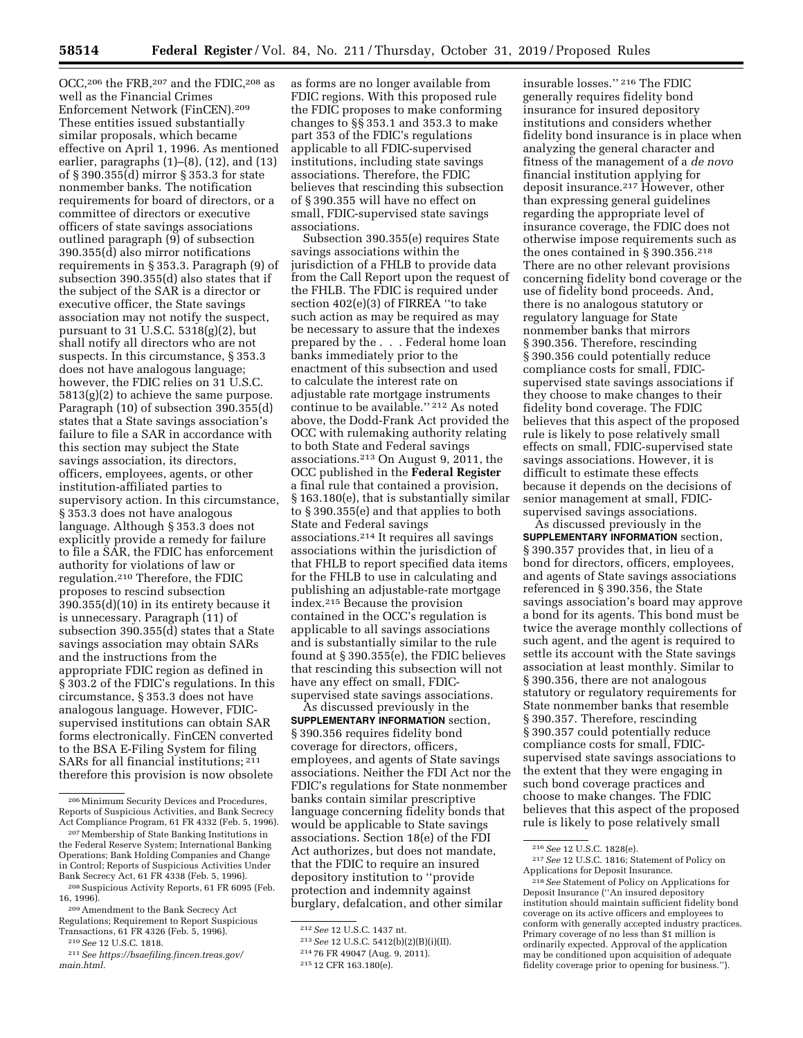OCC,206 the FRB,207 and the FDIC,208 as well as the Financial Crimes Enforcement Network (FinCEN).209 These entities issued substantially similar proposals, which became effective on April 1, 1996. As mentioned earlier, paragraphs  $(1)$ – $(8)$ ,  $(12)$ , and  $(13)$ of § 390.355(d) mirror § 353.3 for state nonmember banks. The notification requirements for board of directors, or a committee of directors or executive officers of state savings associations outlined paragraph (9) of subsection 390.355(d) also mirror notifications requirements in § 353.3. Paragraph (9) of subsection 390.355(d) also states that if the subject of the SAR is a director or executive officer, the State savings association may not notify the suspect, pursuant to 31 U.S.C. 5318(g)(2), but shall notify all directors who are not suspects. In this circumstance, § 353.3 does not have analogous language; however, the FDIC relies on 31 U.S.C. 5813(g)(2) to achieve the same purpose. Paragraph (10) of subsection 390.355(d) states that a State savings association's failure to file a SAR in accordance with this section may subject the State savings association, its directors, officers, employees, agents, or other institution-affiliated parties to supervisory action. In this circumstance, § 353.3 does not have analogous language. Although § 353.3 does not explicitly provide a remedy for failure to file a SAR, the FDIC has enforcement authority for violations of law or regulation.210 Therefore, the FDIC proposes to rescind subsection 390.355(d)(10) in its entirety because it is unnecessary. Paragraph (11) of subsection 390.355(d) states that a State savings association may obtain SARs and the instructions from the appropriate FDIC region as defined in § 303.2 of the FDIC's regulations. In this circumstance, § 353.3 does not have analogous language. However, FDICsupervised institutions can obtain SAR forms electronically. FinCEN converted to the BSA E-Filing System for filing SARs for all financial institutions; 211 therefore this provision is now obsolete

as forms are no longer available from FDIC regions. With this proposed rule the FDIC proposes to make conforming changes to §§ 353.1 and 353.3 to make part 353 of the FDIC's regulations applicable to all FDIC-supervised institutions, including state savings associations. Therefore, the FDIC believes that rescinding this subsection of § 390.355 will have no effect on small, FDIC-supervised state savings associations.

Subsection 390.355(e) requires State savings associations within the jurisdiction of a FHLB to provide data from the Call Report upon the request of the FHLB. The FDIC is required under section 402(e)(3) of FIRREA ''to take such action as may be required as may be necessary to assure that the indexes prepared by the . . . Federal home loan banks immediately prior to the enactment of this subsection and used to calculate the interest rate on adjustable rate mortgage instruments continue to be available.'' 212 As noted above, the Dodd-Frank Act provided the OCC with rulemaking authority relating to both State and Federal savings associations.213 On August 9, 2011, the OCC published in the **Federal Register**  a final rule that contained a provision, § 163.180(e), that is substantially similar to § 390.355(e) and that applies to both State and Federal savings associations.214 It requires all savings associations within the jurisdiction of that FHLB to report specified data items for the FHLB to use in calculating and publishing an adjustable-rate mortgage index.215 Because the provision contained in the OCC's regulation is applicable to all savings associations and is substantially similar to the rule found at § 390.355(e), the FDIC believes that rescinding this subsection will not have any effect on small, FDICsupervised state savings associations.

As discussed previously in the **SUPPLEMENTARY INFORMATION** section, § 390.356 requires fidelity bond coverage for directors, officers, employees, and agents of State savings associations. Neither the FDI Act nor the FDIC's regulations for State nonmember banks contain similar prescriptive language concerning fidelity bonds that would be applicable to State savings associations. Section 18(e) of the FDI Act authorizes, but does not mandate, that the FDIC to require an insured depository institution to ''provide protection and indemnity against burglary, defalcation, and other similar

insurable losses.'' 216 The FDIC generally requires fidelity bond insurance for insured depository institutions and considers whether fidelity bond insurance is in place when analyzing the general character and fitness of the management of a *de novo*  financial institution applying for deposit insurance.217 However, other than expressing general guidelines regarding the appropriate level of insurance coverage, the FDIC does not otherwise impose requirements such as the ones contained in § 390.356.218 There are no other relevant provisions concerning fidelity bond coverage or the use of fidelity bond proceeds. And, there is no analogous statutory or regulatory language for State nonmember banks that mirrors § 390.356. Therefore, rescinding § 390.356 could potentially reduce compliance costs for small, FDICsupervised state savings associations if they choose to make changes to their fidelity bond coverage. The FDIC believes that this aspect of the proposed rule is likely to pose relatively small effects on small, FDIC-supervised state savings associations. However, it is difficult to estimate these effects because it depends on the decisions of senior management at small, FDICsupervised savings associations.

As discussed previously in the **SUPPLEMENTARY INFORMATION** section, § 390.357 provides that, in lieu of a bond for directors, officers, employees, and agents of State savings associations referenced in § 390.356, the State savings association's board may approve a bond for its agents. This bond must be twice the average monthly collections of such agent, and the agent is required to settle its account with the State savings association at least monthly. Similar to § 390.356, there are not analogous statutory or regulatory requirements for State nonmember banks that resemble § 390.357. Therefore, rescinding § 390.357 could potentially reduce compliance costs for small, FDICsupervised state savings associations to the extent that they were engaging in such bond coverage practices and choose to make changes. The FDIC believes that this aspect of the proposed rule is likely to pose relatively small

<sup>206</sup>Minimum Security Devices and Procedures, Reports of Suspicious Activities, and Bank Secrecy Act Compliance Program, 61 FR 4332 (Feb. 5, 1996).

<sup>207</sup>Membership of State Banking Institutions in the Federal Reserve System; International Banking Operations; Bank Holding Companies and Change in Control; Reports of Suspicious Activities Under Bank Secrecy Act, 61 FR 4338 (Feb. 5, 1996).

<sup>208</sup>Suspicious Activity Reports, 61 FR 6095 (Feb. 16, 1996).

<sup>209</sup>Amendment to the Bank Secrecy Act Regulations; Requirement to Report Suspicious Transactions, 61 FR 4326 (Feb. 5, 1996).

<sup>210</sup>*See* 12 U.S.C. 1818.

<sup>211</sup>*See [https://bsaefiling.fincen.treas.gov/](https://bsaefiling.fincen.treas.gov/main.html)  [main.html.](https://bsaefiling.fincen.treas.gov/main.html)* 

<sup>212</sup>*See* 12 U.S.C. 1437 nt.

<sup>213</sup>*See* 12 U.S.C. 5412(b)(2)(B)(i)(II).

<sup>214</sup> 76 FR 49047 (Aug. 9, 2011).

<sup>215</sup> 12 CFR 163.180(e).

<sup>216</sup>*See* 12 U.S.C. 1828(e).

<sup>217</sup>*See* 12 U.S.C. 1816; Statement of Policy on Applications for Deposit Insurance.

<sup>218</sup>*See* Statement of Policy on Applications for Deposit Insurance (''An insured depository institution should maintain sufficient fidelity bond coverage on its active officers and employees to conform with generally accepted industry practices. Primary coverage of no less than \$1 million is ordinarily expected. Approval of the application may be conditioned upon acquisition of adequate fidelity coverage prior to opening for business.'').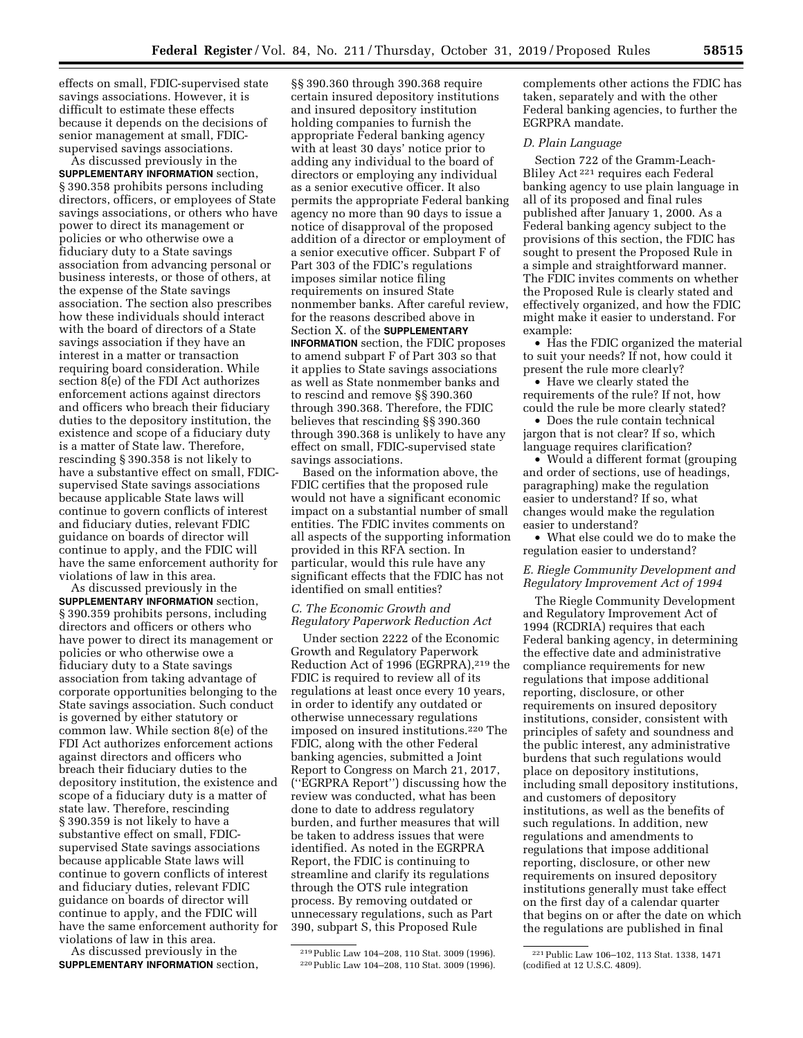effects on small, FDIC-supervised state savings associations. However, it is difficult to estimate these effects because it depends on the decisions of senior management at small, FDICsupervised savings associations.

As discussed previously in the **SUPPLEMENTARY INFORMATION** section, § 390.358 prohibits persons including directors, officers, or employees of State savings associations, or others who have power to direct its management or policies or who otherwise owe a fiduciary duty to a State savings association from advancing personal or business interests, or those of others, at the expense of the State savings association. The section also prescribes how these individuals should interact with the board of directors of a State savings association if they have an interest in a matter or transaction requiring board consideration. While section 8(e) of the FDI Act authorizes enforcement actions against directors and officers who breach their fiduciary duties to the depository institution, the existence and scope of a fiduciary duty is a matter of State law. Therefore, rescinding § 390.358 is not likely to have a substantive effect on small, FDICsupervised State savings associations because applicable State laws will continue to govern conflicts of interest and fiduciary duties, relevant FDIC guidance on boards of director will continue to apply, and the FDIC will have the same enforcement authority for violations of law in this area.

As discussed previously in the **SUPPLEMENTARY INFORMATION** section, § 390.359 prohibits persons, including directors and officers or others who have power to direct its management or policies or who otherwise owe a fiduciary duty to a State savings association from taking advantage of corporate opportunities belonging to the State savings association. Such conduct is governed by either statutory or common law. While section 8(e) of the FDI Act authorizes enforcement actions against directors and officers who breach their fiduciary duties to the depository institution, the existence and scope of a fiduciary duty is a matter of state law. Therefore, rescinding § 390.359 is not likely to have a substantive effect on small, FDICsupervised State savings associations because applicable State laws will continue to govern conflicts of interest and fiduciary duties, relevant FDIC guidance on boards of director will continue to apply, and the FDIC will have the same enforcement authority for violations of law in this area.

As discussed previously in the **SUPPLEMENTARY INFORMATION** section,

§§ 390.360 through 390.368 require certain insured depository institutions and insured depository institution holding companies to furnish the appropriate Federal banking agency with at least 30 days' notice prior to adding any individual to the board of directors or employing any individual as a senior executive officer. It also permits the appropriate Federal banking agency no more than 90 days to issue a notice of disapproval of the proposed addition of a director or employment of a senior executive officer. Subpart F of Part 303 of the FDIC's regulations imposes similar notice filing requirements on insured State nonmember banks. After careful review, for the reasons described above in Section X. of the **SUPPLEMENTARY INFORMATION** section, the FDIC proposes to amend subpart F of Part 303 so that it applies to State savings associations as well as State nonmember banks and to rescind and remove §§ 390.360 through 390.368. Therefore, the FDIC believes that rescinding §§ 390.360 through 390.368 is unlikely to have any effect on small, FDIC-supervised state savings associations.

Based on the information above, the FDIC certifies that the proposed rule would not have a significant economic impact on a substantial number of small entities. The FDIC invites comments on all aspects of the supporting information provided in this RFA section. In particular, would this rule have any significant effects that the FDIC has not identified on small entities?

# *C. The Economic Growth and Regulatory Paperwork Reduction Act*

Under section 2222 of the Economic Growth and Regulatory Paperwork Reduction Act of 1996 (EGRPRA),219 the FDIC is required to review all of its regulations at least once every 10 years, in order to identify any outdated or otherwise unnecessary regulations imposed on insured institutions.220 The FDIC, along with the other Federal banking agencies, submitted a Joint Report to Congress on March 21, 2017, (''EGRPRA Report'') discussing how the review was conducted, what has been done to date to address regulatory burden, and further measures that will be taken to address issues that were identified. As noted in the EGRPRA Report, the FDIC is continuing to streamline and clarify its regulations through the OTS rule integration process. By removing outdated or unnecessary regulations, such as Part 390, subpart S, this Proposed Rule

219Public Law 104–208, 110 Stat. 3009 (1996). 220Public Law 104–208, 110 Stat. 3009 (1996). complements other actions the FDIC has taken, separately and with the other Federal banking agencies, to further the EGRPRA mandate.

## *D. Plain Language*

Section 722 of the Gramm-Leach-Bliley Act 221 requires each Federal banking agency to use plain language in all of its proposed and final rules published after January 1, 2000. As a Federal banking agency subject to the provisions of this section, the FDIC has sought to present the Proposed Rule in a simple and straightforward manner. The FDIC invites comments on whether the Proposed Rule is clearly stated and effectively organized, and how the FDIC might make it easier to understand. For example:

• Has the FDIC organized the material to suit your needs? If not, how could it present the rule more clearly?

• Have we clearly stated the requirements of the rule? If not, how could the rule be more clearly stated?

• Does the rule contain technical jargon that is not clear? If so, which language requires clarification?

• Would a different format (grouping and order of sections, use of headings, paragraphing) make the regulation easier to understand? If so, what changes would make the regulation easier to understand?

• What else could we do to make the regulation easier to understand?

## *E. Riegle Community Development and Regulatory Improvement Act of 1994*

The Riegle Community Development and Regulatory Improvement Act of 1994 (RCDRIA) requires that each Federal banking agency, in determining the effective date and administrative compliance requirements for new regulations that impose additional reporting, disclosure, or other requirements on insured depository institutions, consider, consistent with principles of safety and soundness and the public interest, any administrative burdens that such regulations would place on depository institutions, including small depository institutions, and customers of depository institutions, as well as the benefits of such regulations. In addition, new regulations and amendments to regulations that impose additional reporting, disclosure, or other new requirements on insured depository institutions generally must take effect on the first day of a calendar quarter that begins on or after the date on which the regulations are published in final

<sup>221</sup>Public Law 106–102, 113 Stat. 1338, 1471 (codified at 12 U.S.C. 4809).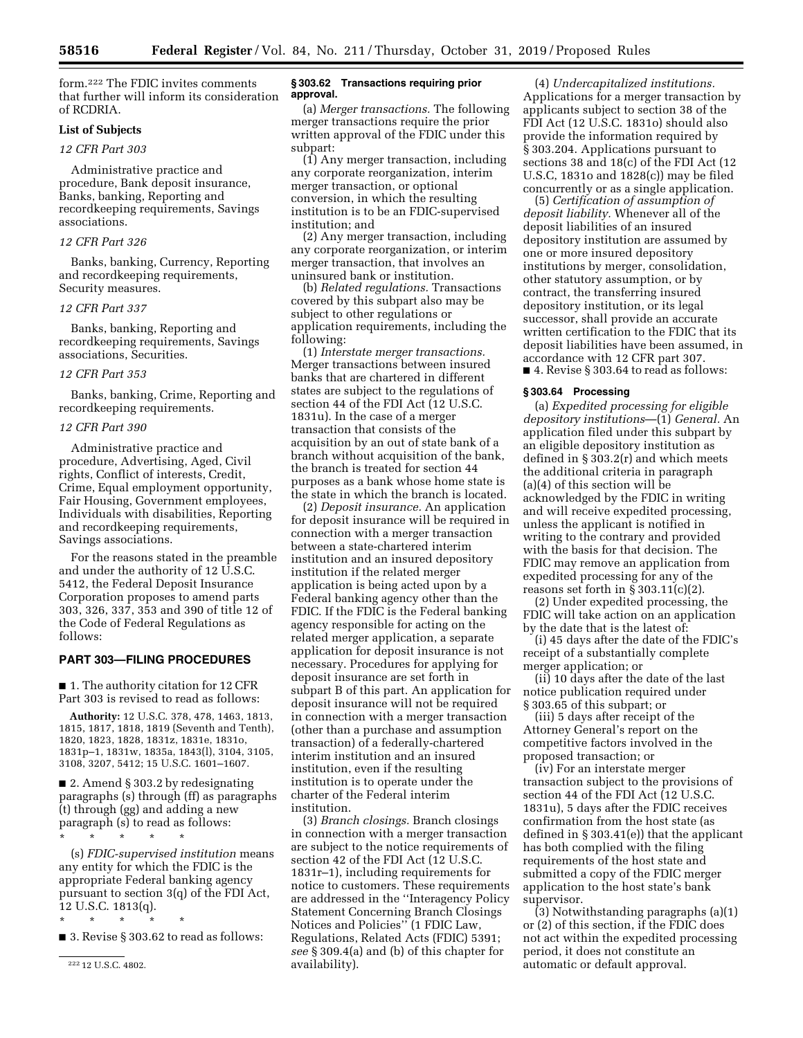form.222 The FDIC invites comments that further will inform its consideration of RCDRIA.

## **List of Subjects**

# *12 CFR Part 303*

Administrative practice and procedure, Bank deposit insurance, Banks, banking, Reporting and recordkeeping requirements, Savings associations.

### *12 CFR Part 326*

Banks, banking, Currency, Reporting and recordkeeping requirements, Security measures.

## *12 CFR Part 337*

Banks, banking, Reporting and recordkeeping requirements, Savings associations, Securities.

## *12 CFR Part 353*

Banks, banking, Crime, Reporting and recordkeeping requirements.

#### *12 CFR Part 390*

Administrative practice and procedure, Advertising, Aged, Civil rights, Conflict of interests, Credit, Crime, Equal employment opportunity, Fair Housing, Government employees, Individuals with disabilities, Reporting and recordkeeping requirements, Savings associations.

For the reasons stated in the preamble and under the authority of 12 U.S.C. 5412, the Federal Deposit Insurance Corporation proposes to amend parts 303, 326, 337, 353 and 390 of title 12 of the Code of Federal Regulations as follows:

## **PART 303—FILING PROCEDURES**

■ 1. The authority citation for 12 CFR Part 303 is revised to read as follows:

**Authority:** 12 U.S.C. 378, 478, 1463, 1813, 1815, 1817, 1818, 1819 (Seventh and Tenth), 1820, 1823, 1828, 1831z, 1831e, 1831o, 1831p–1, 1831w, 1835a, 1843(l), 3104, 3105, 3108, 3207, 5412; 15 U.S.C. 1601–1607.

■ 2. Amend § 303.2 by redesignating paragraphs (s) through (ff) as paragraphs (t) through (gg) and adding a new paragraph (s) to read as follows:

\* \* \* \* \* (s) *FDIC-supervised institution* means any entity for which the FDIC is the appropriate Federal banking agency pursuant to section 3(q) of the FDI Act, 12 U.S.C. 1813(q).

\* \* \* \* \*

■ 3. Revise § 303.62 to read as follows:

222 12 U.S.C. 4802.

### **§ 303.62 Transactions requiring prior approval.**

(a) *Merger transactions.* The following merger transactions require the prior written approval of the FDIC under this subpart:

(1) Any merger transaction, including any corporate reorganization, interim merger transaction, or optional conversion, in which the resulting institution is to be an FDIC-supervised institution; and

(2) Any merger transaction, including any corporate reorganization, or interim merger transaction, that involves an uninsured bank or institution.

(b) *Related regulations.* Transactions covered by this subpart also may be subject to other regulations or application requirements, including the following:

(1) *Interstate merger transactions.*  Merger transactions between insured banks that are chartered in different states are subject to the regulations of section 44 of the FDI Act (12 U.S.C. 1831u). In the case of a merger transaction that consists of the acquisition by an out of state bank of a branch without acquisition of the bank, the branch is treated for section 44 purposes as a bank whose home state is the state in which the branch is located.

(2) *Deposit insurance.* An application for deposit insurance will be required in connection with a merger transaction between a state-chartered interim institution and an insured depository institution if the related merger application is being acted upon by a Federal banking agency other than the FDIC. If the FDIC is the Federal banking agency responsible for acting on the related merger application, a separate application for deposit insurance is not necessary. Procedures for applying for deposit insurance are set forth in subpart B of this part. An application for deposit insurance will not be required in connection with a merger transaction (other than a purchase and assumption transaction) of a federally-chartered interim institution and an insured institution, even if the resulting institution is to operate under the charter of the Federal interim institution.

(3) *Branch closings.* Branch closings in connection with a merger transaction are subject to the notice requirements of section 42 of the FDI Act (12 U.S.C. 1831r–1), including requirements for notice to customers. These requirements are addressed in the ''Interagency Policy Statement Concerning Branch Closings Notices and Policies'' (1 FDIC Law, Regulations, Related Acts (FDIC) 5391; *see* § 309.4(a) and (b) of this chapter for availability).

(4) *Undercapitalized institutions.*  Applications for a merger transaction by applicants subject to section 38 of the FDI Act (12 U.S.C. 1831o) should also provide the information required by § 303.204. Applications pursuant to sections 38 and 18(c) of the FDI Act (12 U.S.C, 1831o and 1828(c)) may be filed concurrently or as a single application.

(5) *Certification of assumption of deposit liability.* Whenever all of the deposit liabilities of an insured depository institution are assumed by one or more insured depository institutions by merger, consolidation, other statutory assumption, or by contract, the transferring insured depository institution, or its legal successor, shall provide an accurate written certification to the FDIC that its deposit liabilities have been assumed, in accordance with 12 CFR part 307. ■ 4. Revise § 303.64 to read as follows:

#### **§ 303.64 Processing**

(a) *Expedited processing for eligible depository institutions*—(1) *General.* An application filed under this subpart by an eligible depository institution as defined in § 303.2(r) and which meets the additional criteria in paragraph (a)(4) of this section will be acknowledged by the FDIC in writing and will receive expedited processing, unless the applicant is notified in writing to the contrary and provided with the basis for that decision. The FDIC may remove an application from expedited processing for any of the reasons set forth in  $\S 303.11(c)(2)$ .

(2) Under expedited processing, the FDIC will take action on an application by the date that is the latest of:

(i) 45 days after the date of the FDIC's receipt of a substantially complete merger application; or

(ii) 10 days after the date of the last notice publication required under § 303.65 of this subpart; or

(iii) 5 days after receipt of the Attorney General's report on the competitive factors involved in the proposed transaction; or

(iv) For an interstate merger transaction subject to the provisions of section 44 of the FDI Act (12 U.S.C. 1831u), 5 days after the FDIC receives confirmation from the host state (as defined in § 303.41(e)) that the applicant has both complied with the filing requirements of the host state and submitted a copy of the FDIC merger application to the host state's bank supervisor.

(3) Notwithstanding paragraphs (a)(1) or (2) of this section, if the FDIC does not act within the expedited processing period, it does not constitute an automatic or default approval.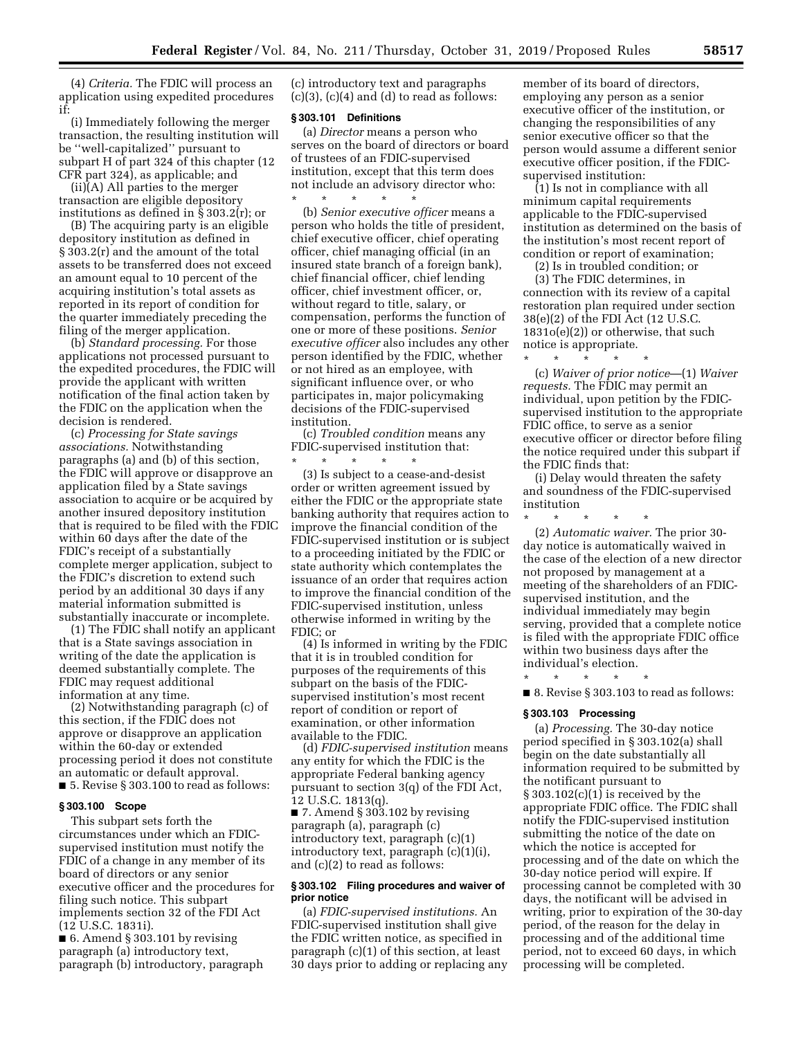(4) *Criteria.* The FDIC will process an application using expedited procedures if:

(i) Immediately following the merger transaction, the resulting institution will be ''well-capitalized'' pursuant to subpart H of part 324 of this chapter (12 CFR part 324), as applicable; and

 $(ii)(A)$  All parties to the merger transaction are eligible depository institutions as defined in § 303.2(r); or

(B) The acquiring party is an eligible depository institution as defined in § 303.2(r) and the amount of the total assets to be transferred does not exceed an amount equal to 10 percent of the acquiring institution's total assets as reported in its report of condition for the quarter immediately preceding the filing of the merger application.

(b) *Standard processing.* For those applications not processed pursuant to the expedited procedures, the FDIC will provide the applicant with written notification of the final action taken by the FDIC on the application when the decision is rendered.

(c) *Processing for State savings associations.* Notwithstanding paragraphs (a) and (b) of this section, the FDIC will approve or disapprove an application filed by a State savings association to acquire or be acquired by another insured depository institution that is required to be filed with the FDIC within 60 days after the date of the FDIC's receipt of a substantially complete merger application, subject to the FDIC's discretion to extend such period by an additional 30 days if any material information submitted is substantially inaccurate or incomplete.

(1) The FDIC shall notify an applicant that is a State savings association in writing of the date the application is deemed substantially complete. The FDIC may request additional information at any time.

(2) Notwithstanding paragraph (c) of this section, if the FDIC does not approve or disapprove an application within the 60-day or extended processing period it does not constitute an automatic or default approval. ■ 5. Revise § 303.100 to read as follows:

### **§ 303.100 Scope**

This subpart sets forth the circumstances under which an FDICsupervised institution must notify the FDIC of a change in any member of its board of directors or any senior executive officer and the procedures for filing such notice. This subpart implements section 32 of the FDI Act (12 U.S.C. 1831i).

■ 6. Amend § 303.101 by revising paragraph (a) introductory text, paragraph (b) introductory, paragraph (c) introductory text and paragraphs  $(c)(3)$ ,  $(c)(4)$  and  $(d)$  to read as follows:

#### **§ 303.101 Definitions**

(a) *Director* means a person who serves on the board of directors or board of trustees of an FDIC-supervised institution, except that this term does not include an advisory director who: \* \* \* \* \*

(b) *Senior executive officer* means a person who holds the title of president, chief executive officer, chief operating officer, chief managing official (in an insured state branch of a foreign bank), chief financial officer, chief lending officer, chief investment officer, or, without regard to title, salary, or compensation, performs the function of one or more of these positions. *Senior executive officer* also includes any other person identified by the FDIC, whether or not hired as an employee, with significant influence over, or who participates in, major policymaking decisions of the FDIC-supervised institution.

(c) *Troubled condition* means any FDIC-supervised institution that:

\* \* \* \* \* (3) Is subject to a cease-and-desist order or written agreement issued by either the FDIC or the appropriate state banking authority that requires action to improve the financial condition of the FDIC-supervised institution or is subject to a proceeding initiated by the FDIC or state authority which contemplates the issuance of an order that requires action to improve the financial condition of the FDIC-supervised institution, unless otherwise informed in writing by the FDIC; or

(4) Is informed in writing by the FDIC that it is in troubled condition for purposes of the requirements of this subpart on the basis of the FDICsupervised institution's most recent report of condition or report of examination, or other information available to the FDIC.

(d) *FDIC-supervised institution* means any entity for which the FDIC is the appropriate Federal banking agency pursuant to section 3(q) of the FDI Act, 12 U.S.C. 1813(q).

 $\blacksquare$  7. Amend § 303.102 by revising paragraph (a), paragraph (c) introductory text, paragraph (c)(1) introductory text, paragraph (c)(1)(i), and (c)(2) to read as follows:

### **§ 303.102 Filing procedures and waiver of prior notice**

(a) *FDIC-supervised institutions.* An FDIC-supervised institution shall give the FDIC written notice, as specified in paragraph (c)(1) of this section, at least 30 days prior to adding or replacing any member of its board of directors, employing any person as a senior executive officer of the institution, or changing the responsibilities of any senior executive officer so that the person would assume a different senior executive officer position, if the FDICsupervised institution:

(1) Is not in compliance with all minimum capital requirements applicable to the FDIC-supervised institution as determined on the basis of the institution's most recent report of condition or report of examination;

(2) Is in troubled condition; or

(3) The FDIC determines, in connection with its review of a capital restoration plan required under section 38(e)(2) of the FDI Act (12 U.S.C. 1831o(e)(2)) or otherwise, that such notice is appropriate.

\* \* \* \* \* (c) *Waiver of prior notice*—(1) *Waiver requests.* The FDIC may permit an individual, upon petition by the FDICsupervised institution to the appropriate FDIC office, to serve as a senior executive officer or director before filing the notice required under this subpart if the FDIC finds that:

(i) Delay would threaten the safety and soundness of the FDIC-supervised institution

\* \* \* \* \* (2) *Automatic waiver.* The prior 30 day notice is automatically waived in the case of the election of a new director not proposed by management at a meeting of the shareholders of an FDICsupervised institution, and the individual immediately may begin serving, provided that a complete notice is filed with the appropriate FDIC office within two business days after the individual's election.

\* \* \* \* \* ■ 8. Revise § 303.103 to read as follows:

#### **§ 303.103 Processing**

(a) *Processing.* The 30-day notice period specified in § 303.102(a) shall begin on the date substantially all information required to be submitted by the notificant pursuant to  $\S 303.102(c)(1)$  is received by the appropriate FDIC office. The FDIC shall notify the FDIC-supervised institution submitting the notice of the date on which the notice is accepted for processing and of the date on which the 30-day notice period will expire. If processing cannot be completed with 30 days, the notificant will be advised in writing, prior to expiration of the 30-day period, of the reason for the delay in processing and of the additional time period, not to exceed 60 days, in which processing will be completed.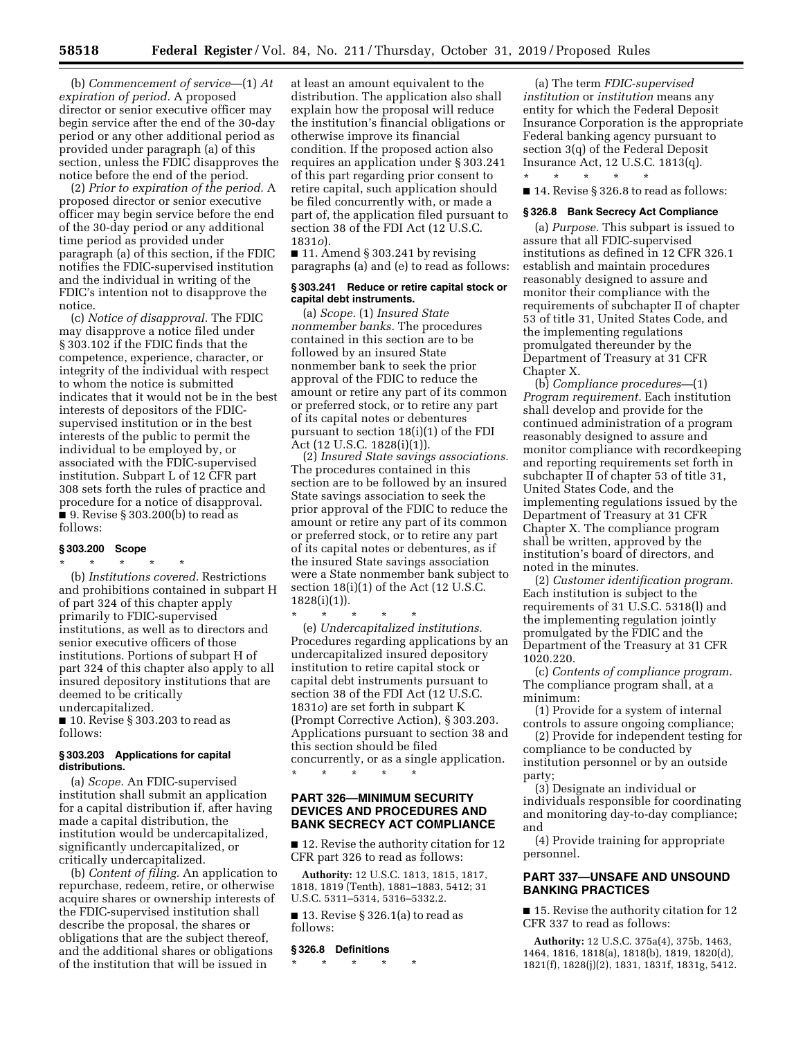(b) *Commencement of service*—(1) *At expiration of period.* A proposed director or senior executive officer may begin service after the end of the 30-day period or any other additional period as provided under paragraph (a) of this section, unless the FDIC disapproves the notice before the end of the period.

(2) *Prior to expiration of the period.* A proposed director or senior executive officer may begin service before the end of the 30-day period or any additional time period as provided under paragraph (a) of this section, if the FDIC notifies the FDIC-supervised institution and the individual in writing of the FDIC's intention not to disapprove the notice.

(c) *Notice of disapproval.* The FDIC may disapprove a notice filed under § 303.102 if the FDIC finds that the competence, experience, character, or integrity of the individual with respect to whom the notice is submitted indicates that it would not be in the best interests of depositors of the FDICsupervised institution or in the best interests of the public to permit the individual to be employed by, or associated with the FDIC-supervised institution. Subpart L of 12 CFR part 308 sets forth the rules of practice and procedure for a notice of disapproval. ■ 9. Revise § 303.200(b) to read as follows:

### **§ 303.200 Scope**

\* \* \* \* \* (b) *Institutions covered.* Restrictions and prohibitions contained in subpart H of part 324 of this chapter apply primarily to FDIC-supervised institutions, as well as to directors and senior executive officers of those institutions. Portions of subpart H of part 324 of this chapter also apply to all insured depository institutions that are deemed to be critically undercapitalized.

■ 10. Revise § 303.203 to read as follows:

### **§ 303.203 Applications for capital distributions.**

(a) *Scope.* An FDIC-supervised institution shall submit an application for a capital distribution if, after having made a capital distribution, the institution would be undercapitalized, significantly undercapitalized, or critically undercapitalized.

(b) *Content of filing.* An application to repurchase, redeem, retire, or otherwise acquire shares or ownership interests of the FDIC-supervised institution shall describe the proposal, the shares or obligations that are the subject thereof, and the additional shares or obligations of the institution that will be issued in

at least an amount equivalent to the distribution. The application also shall explain how the proposal will reduce the institution's financial obligations or otherwise improve its financial condition. If the proposed action also requires an application under § 303.241 of this part regarding prior consent to retire capital, such application should be filed concurrently with, or made a part of, the application filed pursuant to section 38 of the FDI Act (12 U.S.C. 1831*o*).

■ 11. Amend § 303.241 by revising paragraphs (a) and (e) to read as follows:

### **§ 303.241 Reduce or retire capital stock or capital debt instruments.**

(a) *Scope.* (1) *Insured State nonmember banks.* The procedures contained in this section are to be followed by an insured State nonmember bank to seek the prior approval of the FDIC to reduce the amount or retire any part of its common or preferred stock, or to retire any part of its capital notes or debentures pursuant to section 18(i)(1) of the FDI Act (12 U.S.C. 1828(i)(1)).

(2) *Insured State savings associations.*  The procedures contained in this section are to be followed by an insured State savings association to seek the prior approval of the FDIC to reduce the amount or retire any part of its common or preferred stock, or to retire any part of its capital notes or debentures, as if the insured State savings association were a State nonmember bank subject to section 18(i)(1) of the Act (12 U.S.C. 1828(i)(1)).

\* \* \* \* \* (e) *Undercapitalized institutions.*  Procedures regarding applications by an undercapitalized insured depository institution to retire capital stock or capital debt instruments pursuant to section 38 of the FDI Act (12 U.S.C. 1831*o*) are set forth in subpart K (Prompt Corrective Action), § 303.203. Applications pursuant to section 38 and this section should be filed concurrently, or as a single application.

\* \* \* \* \*

## **PART 326—MINIMUM SECURITY DEVICES AND PROCEDURES AND BANK SECRECY ACT COMPLIANCE**

■ 12. Revise the authority citation for 12 CFR part 326 to read as follows:

**Authority:** 12 U.S.C. 1813, 1815, 1817, 1818, 1819 (Tenth), 1881–1883, 5412; 31 U.S.C. 5311–5314, 5316–5332.2.

 $\blacksquare$  13. Revise § 326.1(a) to read as follows:

## **§ 326.8 Definitions**

\* \* \* \* \*

(a) The term *FDIC-supervised institution* or *institution* means any entity for which the Federal Deposit Insurance Corporation is the appropriate Federal banking agency pursuant to section 3(q) of the Federal Deposit Insurance Act, 12 U.S.C. 1813(q).

■ 14. Revise § 326.8 to read as follows:

\* \* \* \* \*

#### **§ 326.8 Bank Secrecy Act Compliance**

(a) *Purpose.* This subpart is issued to assure that all FDIC-supervised institutions as defined in 12 CFR 326.1 establish and maintain procedures reasonably designed to assure and monitor their compliance with the requirements of subchapter II of chapter 53 of title 31, United States Code, and the implementing regulations promulgated thereunder by the Department of Treasury at 31 CFR Chapter X.

(b) *Compliance procedures—*(1) *Program requirement.* Each institution shall develop and provide for the continued administration of a program reasonably designed to assure and monitor compliance with recordkeeping and reporting requirements set forth in subchapter II of chapter 53 of title 31, United States Code, and the implementing regulations issued by the Department of Treasury at 31 CFR Chapter X. The compliance program shall be written, approved by the institution's board of directors, and noted in the minutes.

(2) *Customer identification program.*  Each institution is subject to the requirements of 31 U.S.C. 5318(l) and the implementing regulation jointly promulgated by the FDIC and the Department of the Treasury at 31 CFR 1020.220.

(c) *Contents of compliance program.*  The compliance program shall, at a minimum:

(1) Provide for a system of internal controls to assure ongoing compliance;

(2) Provide for independent testing for compliance to be conducted by institution personnel or by an outside party;

(3) Designate an individual or individuals responsible for coordinating and monitoring day-to-day compliance; and

(4) Provide training for appropriate personnel.

# **PART 337—UNSAFE AND UNSOUND BANKING PRACTICES**

■ 15. Revise the authority citation for 12 CFR 337 to read as follows:

**Authority:** 12 U.S.C. 375a(4), 375b, 1463, 1464, 1816, 1818(a), 1818(b), 1819, 1820(d), 1821(f), 1828(j)(2), 1831, 1831f, 1831g, 5412.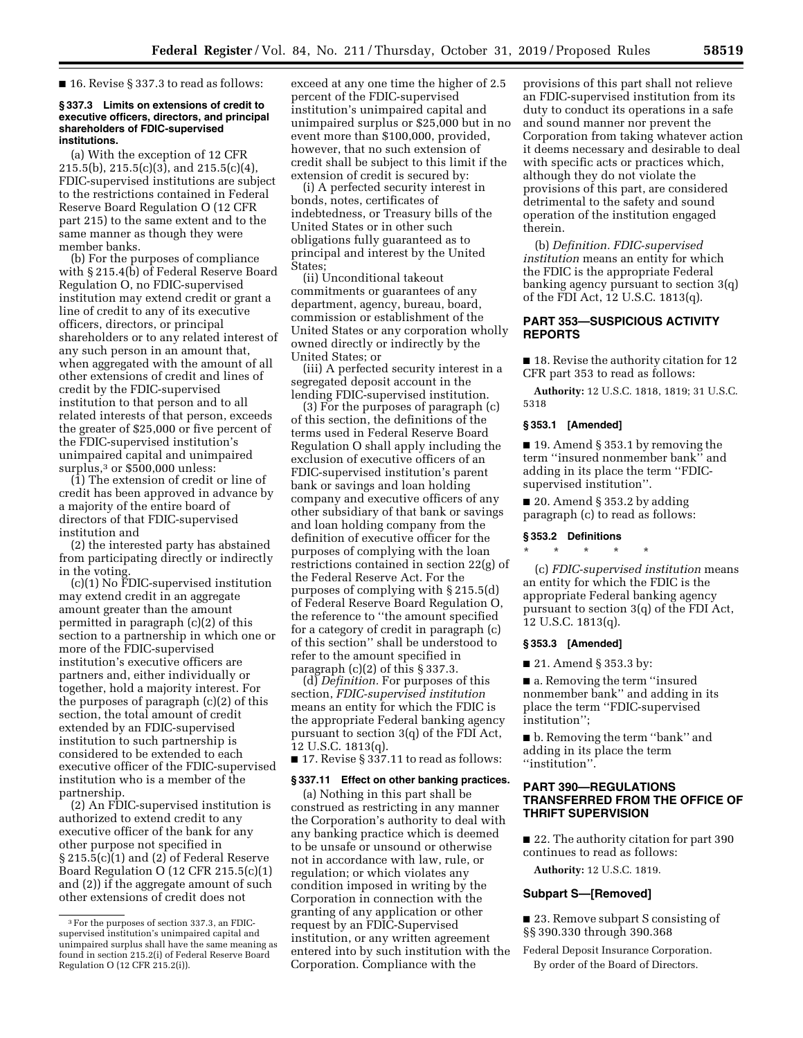■ 16. Revise § 337.3 to read as follows:

### **§ 337.3 Limits on extensions of credit to executive officers, directors, and principal shareholders of FDIC-supervised institutions.**

(a) With the exception of 12 CFR 215.5(b), 215.5(c)(3), and 215.5(c)(4), FDIC-supervised institutions are subject to the restrictions contained in Federal Reserve Board Regulation O (12 CFR part 215) to the same extent and to the same manner as though they were member banks.

(b) For the purposes of compliance with § 215.4(b) of Federal Reserve Board Regulation O, no FDIC-supervised institution may extend credit or grant a line of credit to any of its executive officers, directors, or principal shareholders or to any related interest of any such person in an amount that, when aggregated with the amount of all other extensions of credit and lines of credit by the FDIC-supervised institution to that person and to all related interests of that person, exceeds the greater of \$25,000 or five percent of the FDIC-supervised institution's unimpaired capital and unimpaired surplus,<sup>3</sup> or \$500,000 unless:

(1) The extension of credit or line of credit has been approved in advance by a majority of the entire board of directors of that FDIC-supervised institution and

(2) the interested party has abstained from participating directly or indirectly in the voting.

(c)(1) No FDIC-supervised institution may extend credit in an aggregate amount greater than the amount permitted in paragraph (c)(2) of this section to a partnership in which one or more of the FDIC-supervised institution's executive officers are partners and, either individually or together, hold a majority interest. For the purposes of paragraph (c)(2) of this section, the total amount of credit extended by an FDIC-supervised institution to such partnership is considered to be extended to each executive officer of the FDIC-supervised institution who is a member of the partnership.

(2) An FDIC-supervised institution is authorized to extend credit to any executive officer of the bank for any other purpose not specified in § 215.5(c)(1) and (2) of Federal Reserve Board Regulation O (12 CFR 215.5(c)(1) and (2)) if the aggregate amount of such other extensions of credit does not

exceed at any one time the higher of 2.5 percent of the FDIC-supervised institution's unimpaired capital and unimpaired surplus or \$25,000 but in no event more than \$100,000, provided, however, that no such extension of credit shall be subject to this limit if the extension of credit is secured by:

(i) A perfected security interest in bonds, notes, certificates of indebtedness, or Treasury bills of the United States or in other such obligations fully guaranteed as to principal and interest by the United States;

(ii) Unconditional takeout commitments or guarantees of any department, agency, bureau, board, commission or establishment of the United States or any corporation wholly owned directly or indirectly by the United States; or

(iii) A perfected security interest in a segregated deposit account in the lending FDIC-supervised institution.

(3) For the purposes of paragraph (c) of this section, the definitions of the terms used in Federal Reserve Board Regulation O shall apply including the exclusion of executive officers of an FDIC-supervised institution's parent bank or savings and loan holding company and executive officers of any other subsidiary of that bank or savings and loan holding company from the definition of executive officer for the purposes of complying with the loan restrictions contained in section 22(g) of the Federal Reserve Act. For the purposes of complying with § 215.5(d) of Federal Reserve Board Regulation O, the reference to ''the amount specified for a category of credit in paragraph (c) of this section'' shall be understood to refer to the amount specified in paragraph (c)(2) of this § 337.3.

(d) *Definition.* For purposes of this section, *FDIC-supervised institution*  means an entity for which the FDIC is the appropriate Federal banking agency pursuant to section 3(q) of the FDI Act, 12 U.S.C. 1813(q).

■ 17. Revise § 337.11 to read as follows:

#### **§ 337.11 Effect on other banking practices.**

(a) Nothing in this part shall be construed as restricting in any manner the Corporation's authority to deal with any banking practice which is deemed to be unsafe or unsound or otherwise not in accordance with law, rule, or regulation; or which violates any condition imposed in writing by the Corporation in connection with the granting of any application or other request by an FDIC-Supervised institution, or any written agreement entered into by such institution with the Corporation. Compliance with the

provisions of this part shall not relieve an FDIC-supervised institution from its duty to conduct its operations in a safe and sound manner nor prevent the Corporation from taking whatever action it deems necessary and desirable to deal with specific acts or practices which, although they do not violate the provisions of this part, are considered detrimental to the safety and sound operation of the institution engaged therein.

(b) *Definition. FDIC-supervised institution* means an entity for which the FDIC is the appropriate Federal banking agency pursuant to section 3(q) of the FDI Act, 12 U.S.C. 1813(q).

## **PART 353—SUSPICIOUS ACTIVITY REPORTS**

■ 18. Revise the authority citation for 12 CFR part 353 to read as follows:

**Authority:** 12 U.S.C. 1818, 1819; 31 U.S.C. 5318

## **§ 353.1 [Amended]**

■ 19. Amend § 353.1 by removing the term ''insured nonmember bank'' and adding in its place the term ''FDICsupervised institution''.

 $\blacksquare$  20. Amend § 353.2 by adding paragraph (c) to read as follows:

### **§ 353.2 Definitions**

\* \* \* \* \*

(c) *FDIC-supervised institution* means an entity for which the FDIC is the appropriate Federal banking agency pursuant to section 3(q) of the FDI Act, 12 U.S.C. 1813(q).

## **§ 353.3 [Amended]**

■ 21. Amend § 353.3 by:

■ a. Removing the term "insured nonmember bank'' and adding in its place the term ''FDIC-supervised institution'';

■ b. Removing the term "bank" and adding in its place the term ''institution''.

# **PART 390—REGULATIONS TRANSFERRED FROM THE OFFICE OF THRIFT SUPERVISION**

■ 22. The authority citation for part 390 continues to read as follows:

**Authority:** 12 U.S.C. 1819.

## **Subpart S—[Removed]**

■ 23. Remove subpart S consisting of §§ 390.330 through 390.368

Federal Deposit Insurance Corporation. By order of the Board of Directors.

<sup>3</sup>For the purposes of section 337.3, an FDICsupervised institution's unimpaired capital and unimpaired surplus shall have the same meaning as found in section 215.2(i) of Federal Reserve Board Regulation O (12 CFR 215.2(i)).